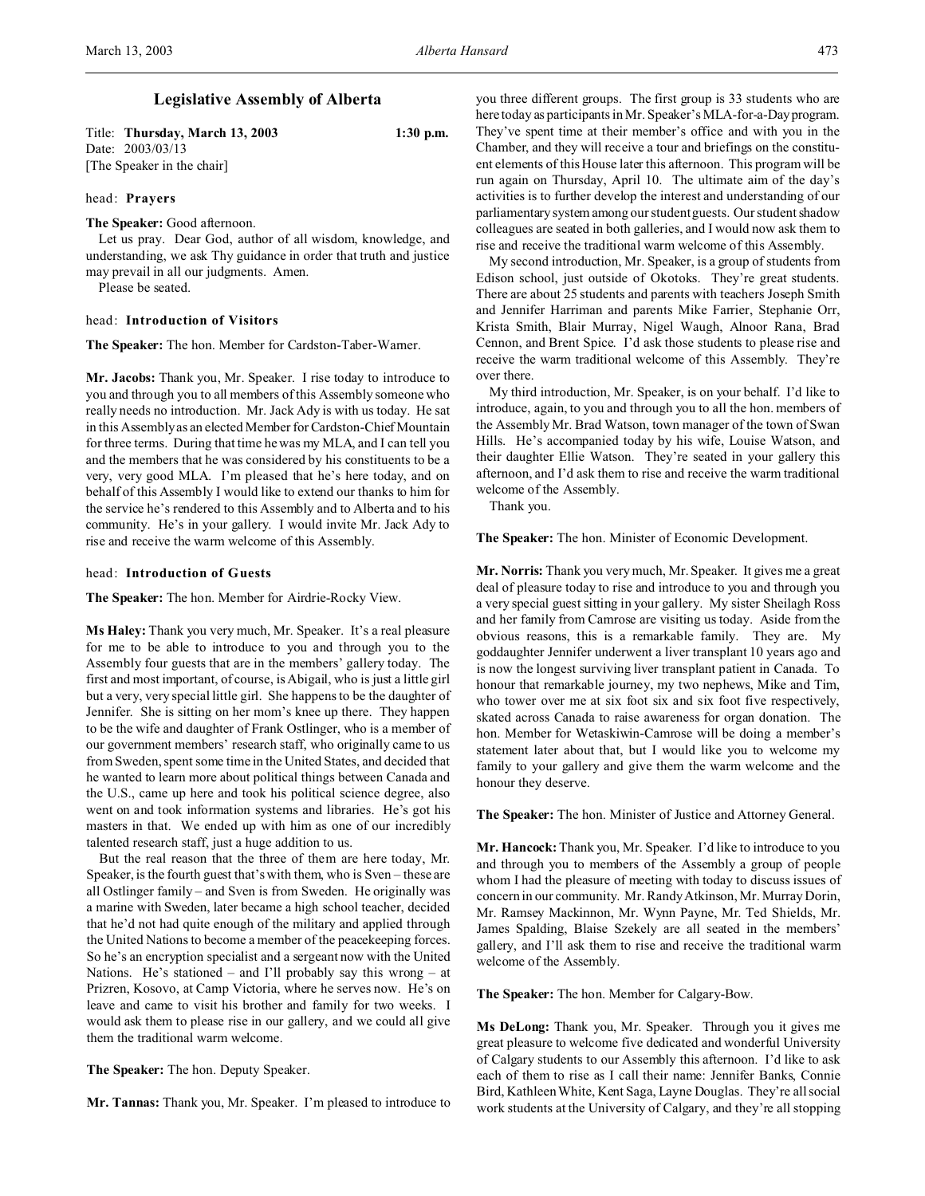# **Legislative Assembly of Alberta**

Title: **Thursday, March 13, 2003 1:30 p.m.** Date: 2003/03/13 [The Speaker in the chair]

### head: **Prayers**

## **The Speaker:** Good afternoon.

Let us pray. Dear God, author of all wisdom, knowledge, and understanding, we ask Thy guidance in order that truth and justice may prevail in all our judgments. Amen.

Please be seated.

## head: **Introduction of Visitors**

**The Speaker:** The hon. Member for Cardston-Taber-Warner.

**Mr. Jacobs:** Thank you, Mr. Speaker. I rise today to introduce to you and through you to all members of this Assembly someone who really needs no introduction. Mr. Jack Ady is with us today. He sat in this Assembly as an elected Member for Cardston-Chief Mountain for three terms. During that time he was my MLA, and I can tell you and the members that he was considered by his constituents to be a very, very good MLA. I'm pleased that he's here today, and on behalf of this Assembly I would like to extend our thanks to him for the service he's rendered to this Assembly and to Alberta and to his community. He's in your gallery. I would invite Mr. Jack Ady to rise and receive the warm welcome of this Assembly.

### head: **Introduction of Guests**

**The Speaker:** The hon. Member for Airdrie-Rocky View.

**Ms Haley:** Thank you very much, Mr. Speaker. It's a real pleasure for me to be able to introduce to you and through you to the Assembly four guests that are in the members' gallery today. The first and most important, of course, is Abigail, who is just a little girl but a very, very special little girl. She happens to be the daughter of Jennifer. She is sitting on her mom's knee up there. They happen to be the wife and daughter of Frank Ostlinger, who is a member of our government members' research staff, who originally came to us from Sweden, spent some time in the United States, and decided that he wanted to learn more about political things between Canada and the U.S., came up here and took his political science degree, also went on and took information systems and libraries. He's got his masters in that. We ended up with him as one of our incredibly talented research staff, just a huge addition to us.

But the real reason that the three of them are here today, Mr. Speaker, is the fourth guest that's with them, who is Sven – these are all Ostlinger family – and Sven is from Sweden. He originally was a marine with Sweden, later became a high school teacher, decided that he'd not had quite enough of the military and applied through the United Nations to become a member of the peacekeeping forces. So he's an encryption specialist and a sergeant now with the United Nations. He's stationed – and I'll probably say this wrong – at Prizren, Kosovo, at Camp Victoria, where he serves now. He's on leave and came to visit his brother and family for two weeks. I would ask them to please rise in our gallery, and we could all give them the traditional warm welcome.

**The Speaker:** The hon. Deputy Speaker.

**Mr. Tannas:** Thank you, Mr. Speaker. I'm pleased to introduce to

you three different groups. The first group is 33 students who are here today as participants in Mr. Speaker's MLA-for-a-Dayprogram. They've spent time at their member's office and with you in the Chamber, and they will receive a tour and briefings on the constituent elements of this House later this afternoon. This program will be run again on Thursday, April 10. The ultimate aim of the day's activities is to further develop the interest and understanding of our parliamentary system among our student guests. Our student shadow colleagues are seated in both galleries, and I would now ask them to rise and receive the traditional warm welcome of this Assembly.

My second introduction, Mr. Speaker, is a group of students from Edison school, just outside of Okotoks. They're great students. There are about 25 students and parents with teachers Joseph Smith and Jennifer Harriman and parents Mike Farrier, Stephanie Orr, Krista Smith, Blair Murray, Nigel Waugh, Alnoor Rana, Brad Cennon, and Brent Spice. I'd ask those students to please rise and receive the warm traditional welcome of this Assembly. They're over there.

My third introduction, Mr. Speaker, is on your behalf. I'd like to introduce, again, to you and through you to all the hon. members of the Assembly Mr. Brad Watson, town manager of the town of Swan Hills. He's accompanied today by his wife, Louise Watson, and their daughter Ellie Watson. They're seated in your gallery this afternoon, and I'd ask them to rise and receive the warm traditional welcome of the Assembly.

Thank you.

**The Speaker:** The hon. Minister of Economic Development.

**Mr. Norris:** Thank you very much, Mr. Speaker. It gives me a great deal of pleasure today to rise and introduce to you and through you a very special guest sitting in your gallery. My sister Sheilagh Ross and her family from Camrose are visiting us today. Aside from the obvious reasons, this is a remarkable family. They are. My goddaughter Jennifer underwent a liver transplant 10 years ago and is now the longest surviving liver transplant patient in Canada. To honour that remarkable journey, my two nephews, Mike and Tim, who tower over me at six foot six and six foot five respectively, skated across Canada to raise awareness for organ donation. The hon. Member for Wetaskiwin-Camrose will be doing a member's statement later about that, but I would like you to welcome my family to your gallery and give them the warm welcome and the honour they deserve.

**The Speaker:** The hon. Minister of Justice and Attorney General.

**Mr. Hancock:** Thank you, Mr. Speaker. I'd like to introduce to you and through you to members of the Assembly a group of people whom I had the pleasure of meeting with today to discuss issues of concern in our community. Mr. Randy Atkinson, Mr. Murray Dorin, Mr. Ramsey Mackinnon, Mr. Wynn Payne, Mr. Ted Shields, Mr. James Spalding, Blaise Szekely are all seated in the members' gallery, and I'll ask them to rise and receive the traditional warm welcome of the Assembly.

**The Speaker:** The hon. Member for Calgary-Bow.

**Ms DeLong:** Thank you, Mr. Speaker. Through you it gives me great pleasure to welcome five dedicated and wonderful University of Calgary students to our Assembly this afternoon. I'd like to ask each of them to rise as I call their name: Jennifer Banks, Connie Bird, Kathleen White, Kent Saga, Layne Douglas. They're all social work students at the University of Calgary, and they're all stopping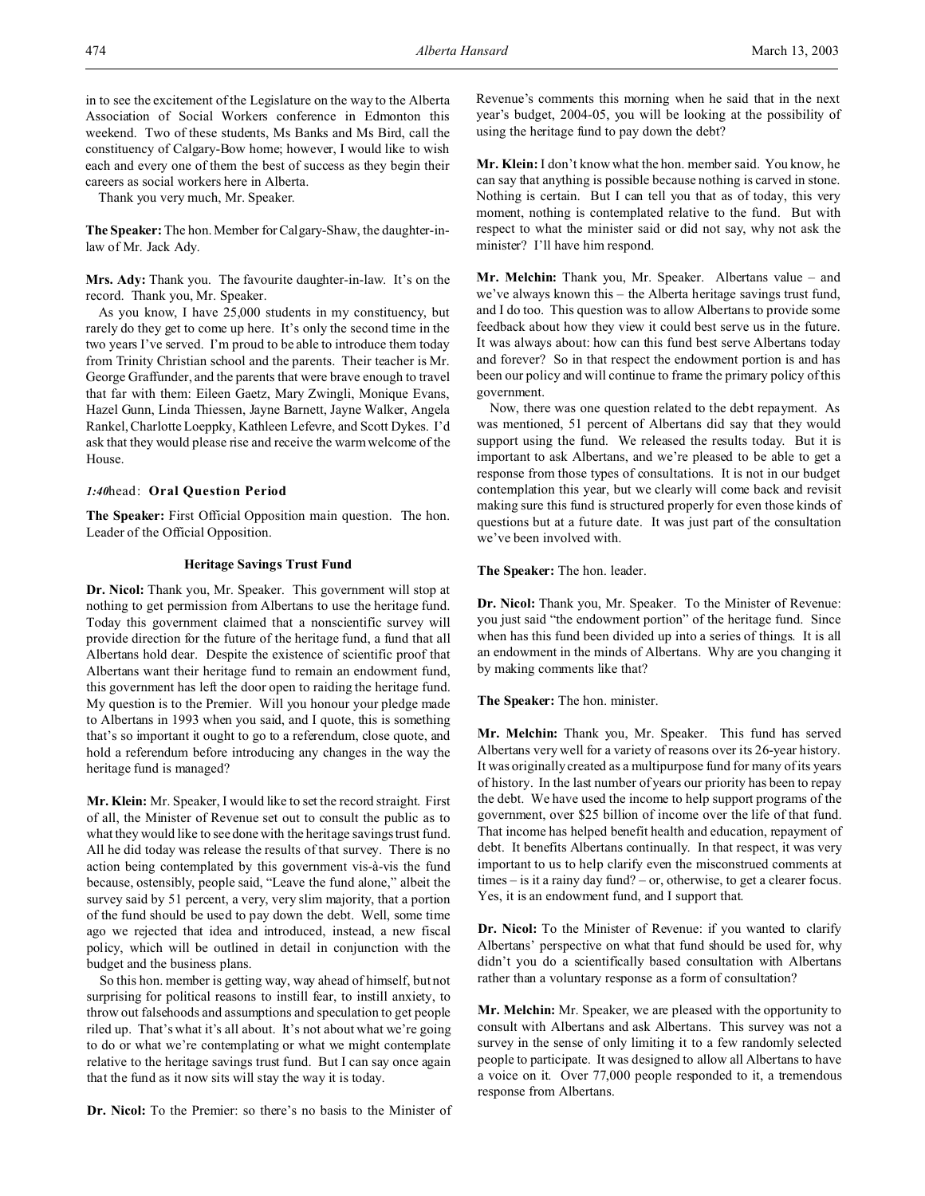Thank you very much, Mr. Speaker.

**The Speaker:** The hon. Member for Calgary-Shaw, the daughter-inlaw of Mr. Jack Ady.

**Mrs. Ady:** Thank you. The favourite daughter-in-law. It's on the record. Thank you, Mr. Speaker.

As you know, I have 25,000 students in my constituency, but rarely do they get to come up here. It's only the second time in the two years I've served. I'm proud to be able to introduce them today from Trinity Christian school and the parents. Their teacher is Mr. George Graffunder, and the parents that were brave enough to travel that far with them: Eileen Gaetz, Mary Zwingli, Monique Evans, Hazel Gunn, Linda Thiessen, Jayne Barnett, Jayne Walker, Angela Rankel, Charlotte Loeppky, Kathleen Lefevre, and Scott Dykes. I'd ask that they would please rise and receive the warm welcome of the House.

### *1:40*head: **Oral Question Period**

**The Speaker:** First Official Opposition main question. The hon. Leader of the Official Opposition.

## **Heritage Savings Trust Fund**

**Dr. Nicol:** Thank you, Mr. Speaker. This government will stop at nothing to get permission from Albertans to use the heritage fund. Today this government claimed that a nonscientific survey will provide direction for the future of the heritage fund, a fund that all Albertans hold dear. Despite the existence of scientific proof that Albertans want their heritage fund to remain an endowment fund, this government has left the door open to raiding the heritage fund. My question is to the Premier. Will you honour your pledge made to Albertans in 1993 when you said, and I quote, this is something that's so important it ought to go to a referendum, close quote, and hold a referendum before introducing any changes in the way the heritage fund is managed?

**Mr. Klein:** Mr. Speaker, I would like to set the record straight. First of all, the Minister of Revenue set out to consult the public as to what they would like to see done with the heritage savings trust fund. All he did today was release the results of that survey. There is no action being contemplated by this government vis-à-vis the fund because, ostensibly, people said, "Leave the fund alone," albeit the survey said by 51 percent, a very, very slim majority, that a portion of the fund should be used to pay down the debt. Well, some time ago we rejected that idea and introduced, instead, a new fiscal policy, which will be outlined in detail in conjunction with the budget and the business plans.

So this hon. member is getting way, way ahead of himself, but not surprising for political reasons to instill fear, to instill anxiety, to throw out falsehoods and assumptions and speculation to get people riled up. That's what it's all about. It's not about what we're going to do or what we're contemplating or what we might contemplate relative to the heritage savings trust fund. But I can say once again that the fund as it now sits will stay the way it is today.

**Dr. Nicol:** To the Premier: so there's no basis to the Minister of

Revenue's comments this morning when he said that in the next year's budget, 2004-05, you will be looking at the possibility of using the heritage fund to pay down the debt?

**Mr. Klein:** I don't know what the hon. member said. You know, he can say that anything is possible because nothing is carved in stone. Nothing is certain. But I can tell you that as of today, this very moment, nothing is contemplated relative to the fund. But with respect to what the minister said or did not say, why not ask the minister? I'll have him respond.

**Mr. Melchin:** Thank you, Mr. Speaker. Albertans value – and we've always known this – the Alberta heritage savings trust fund, and I do too. This question was to allow Albertans to provide some feedback about how they view it could best serve us in the future. It was always about: how can this fund best serve Albertans today and forever? So in that respect the endowment portion is and has been our policy and will continue to frame the primary policy of this government.

Now, there was one question related to the debt repayment. As was mentioned, 51 percent of Albertans did say that they would support using the fund. We released the results today. But it is important to ask Albertans, and we're pleased to be able to get a response from those types of consultations. It is not in our budget contemplation this year, but we clearly will come back and revisit making sure this fund is structured properly for even those kinds of questions but at a future date. It was just part of the consultation we've been involved with.

**The Speaker:** The hon. leader.

**Dr. Nicol:** Thank you, Mr. Speaker. To the Minister of Revenue: you just said "the endowment portion" of the heritage fund. Since when has this fund been divided up into a series of things. It is all an endowment in the minds of Albertans. Why are you changing it by making comments like that?

**The Speaker:** The hon. minister.

**Mr. Melchin:** Thank you, Mr. Speaker. This fund has served Albertans very well for a variety of reasons over its 26-year history. It was originally created as a multipurpose fund for many of its years of history. In the last number of years our priority has been to repay the debt. We have used the income to help support programs of the government, over \$25 billion of income over the life of that fund. That income has helped benefit health and education, repayment of debt. It benefits Albertans continually. In that respect, it was very important to us to help clarify even the misconstrued comments at times – is it a rainy day fund? – or, otherwise, to get a clearer focus. Yes, it is an endowment fund, and I support that.

**Dr. Nicol:** To the Minister of Revenue: if you wanted to clarify Albertans' perspective on what that fund should be used for, why didn't you do a scientifically based consultation with Albertans rather than a voluntary response as a form of consultation?

**Mr. Melchin:** Mr. Speaker, we are pleased with the opportunity to consult with Albertans and ask Albertans. This survey was not a survey in the sense of only limiting it to a few randomly selected people to participate. It was designed to allow all Albertans to have a voice on it. Over 77,000 people responded to it, a tremendous response from Albertans.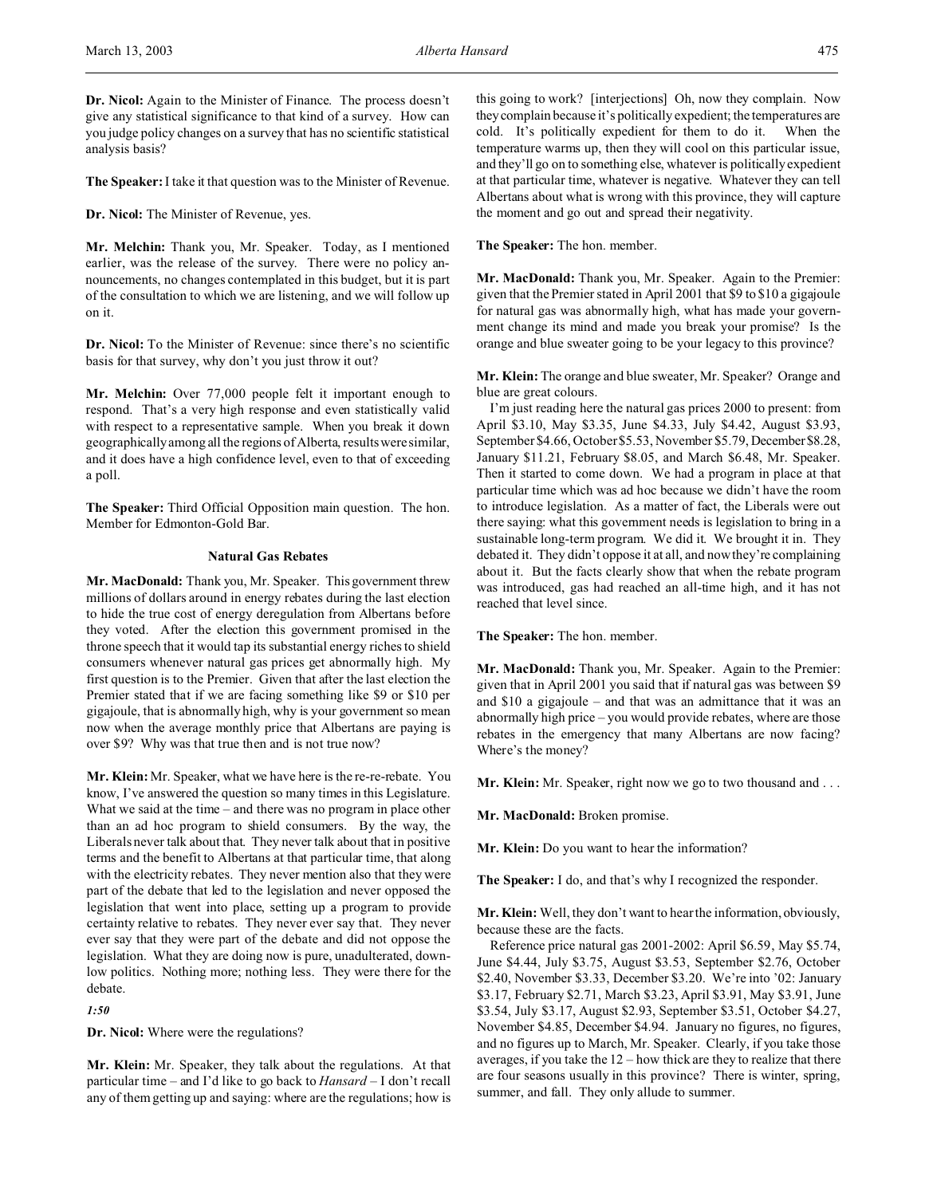**Dr. Nicol:** Again to the Minister of Finance. The process doesn't give any statistical significance to that kind of a survey. How can you judge policy changes on a survey that has no scientific statistical analysis basis?

**The Speaker:**I take it that question was to the Minister of Revenue.

**Dr. Nicol:** The Minister of Revenue, yes.

**Mr. Melchin:** Thank you, Mr. Speaker. Today, as I mentioned earlier, was the release of the survey. There were no policy announcements, no changes contemplated in this budget, but it is part of the consultation to which we are listening, and we will follow up on it.

**Dr. Nicol:** To the Minister of Revenue: since there's no scientific basis for that survey, why don't you just throw it out?

**Mr. Melchin:** Over 77,000 people felt it important enough to respond. That's a very high response and even statistically valid with respect to a representative sample. When you break it down geographically among all the regions of Alberta, results were similar, and it does have a high confidence level, even to that of exceeding a poll.

**The Speaker:** Third Official Opposition main question. The hon. Member for Edmonton-Gold Bar.

# **Natural Gas Rebates**

**Mr. MacDonald:** Thank you, Mr. Speaker. This government threw millions of dollars around in energy rebates during the last election to hide the true cost of energy deregulation from Albertans before they voted. After the election this government promised in the throne speech that it would tap its substantial energy riches to shield consumers whenever natural gas prices get abnormally high. My first question is to the Premier. Given that after the last election the Premier stated that if we are facing something like \$9 or \$10 per gigajoule, that is abnormally high, why is your government so mean now when the average monthly price that Albertans are paying is over \$9? Why was that true then and is not true now?

**Mr. Klein:** Mr. Speaker, what we have here is the re-re-rebate. You know, I've answered the question so many times in this Legislature. What we said at the time – and there was no program in place other than an ad hoc program to shield consumers. By the way, the Liberals never talk about that. They never talk about that in positive terms and the benefit to Albertans at that particular time, that along with the electricity rebates. They never mention also that they were part of the debate that led to the legislation and never opposed the legislation that went into place, setting up a program to provide certainty relative to rebates. They never ever say that. They never ever say that they were part of the debate and did not oppose the legislation. What they are doing now is pure, unadulterated, downlow politics. Nothing more; nothing less. They were there for the debate.

*1:50*

**Dr. Nicol:** Where were the regulations?

**Mr. Klein:** Mr. Speaker, they talk about the regulations. At that particular time – and I'd like to go back to *Hansard* – I don't recall any of them getting up and saying: where are the regulations; how is this going to work? [interjections] Oh, now they complain. Now theycomplain because it's politically expedient; the temperatures are cold. It's politically expedient for them to do it. When the temperature warms up, then they will cool on this particular issue, and they'll go on to something else, whatever is politically expedient at that particular time, whatever is negative. Whatever they can tell Albertans about what is wrong with this province, they will capture the moment and go out and spread their negativity.

**The Speaker:** The hon. member.

**Mr. MacDonald:** Thank you, Mr. Speaker. Again to the Premier: given that the Premier stated in April 2001 that \$9 to \$10 a gigajoule for natural gas was abnormally high, what has made your government change its mind and made you break your promise? Is the orange and blue sweater going to be your legacy to this province?

**Mr. Klein:** The orange and blue sweater, Mr. Speaker? Orange and blue are great colours.

I'm just reading here the natural gas prices 2000 to present: from April \$3.10, May \$3.35, June \$4.33, July \$4.42, August \$3.93, September \$4.66, October \$5.53, November \$5.79, December\$8.28, January \$11.21, February \$8.05, and March \$6.48, Mr. Speaker. Then it started to come down. We had a program in place at that particular time which was ad hoc because we didn't have the room to introduce legislation. As a matter of fact, the Liberals were out there saying: what this government needs is legislation to bring in a sustainable long-term program. We did it. We brought it in. They debated it. They didn't oppose it at all, and now they're complaining about it. But the facts clearly show that when the rebate program was introduced, gas had reached an all-time high, and it has not reached that level since.

**The Speaker:** The hon. member.

**Mr. MacDonald:** Thank you, Mr. Speaker. Again to the Premier: given that in April 2001 you said that if natural gas was between \$9 and \$10 a gigajoule – and that was an admittance that it was an abnormally high price – you would provide rebates, where are those rebates in the emergency that many Albertans are now facing? Where's the money?

**Mr. Klein:** Mr. Speaker, right now we go to two thousand and . . .

**Mr. MacDonald:** Broken promise.

**Mr. Klein:** Do you want to hear the information?

**The Speaker:** I do, and that's why I recognized the responder.

**Mr. Klein:** Well, they don't want to hear the information, obviously, because these are the facts.

Reference price natural gas 2001-2002: April \$6.59, May \$5.74, June \$4.44, July \$3.75, August \$3.53, September \$2.76, October \$2.40, November \$3.33, December \$3.20. We're into '02: January \$3.17, February \$2.71, March \$3.23, April \$3.91, May \$3.91, June \$3.54, July \$3.17, August \$2.93, September \$3.51, October \$4.27, November \$4.85, December \$4.94. January no figures, no figures, and no figures up to March, Mr. Speaker. Clearly, if you take those averages, if you take the 12 – how thick are they to realize that there are four seasons usually in this province? There is winter, spring, summer, and fall. They only allude to summer.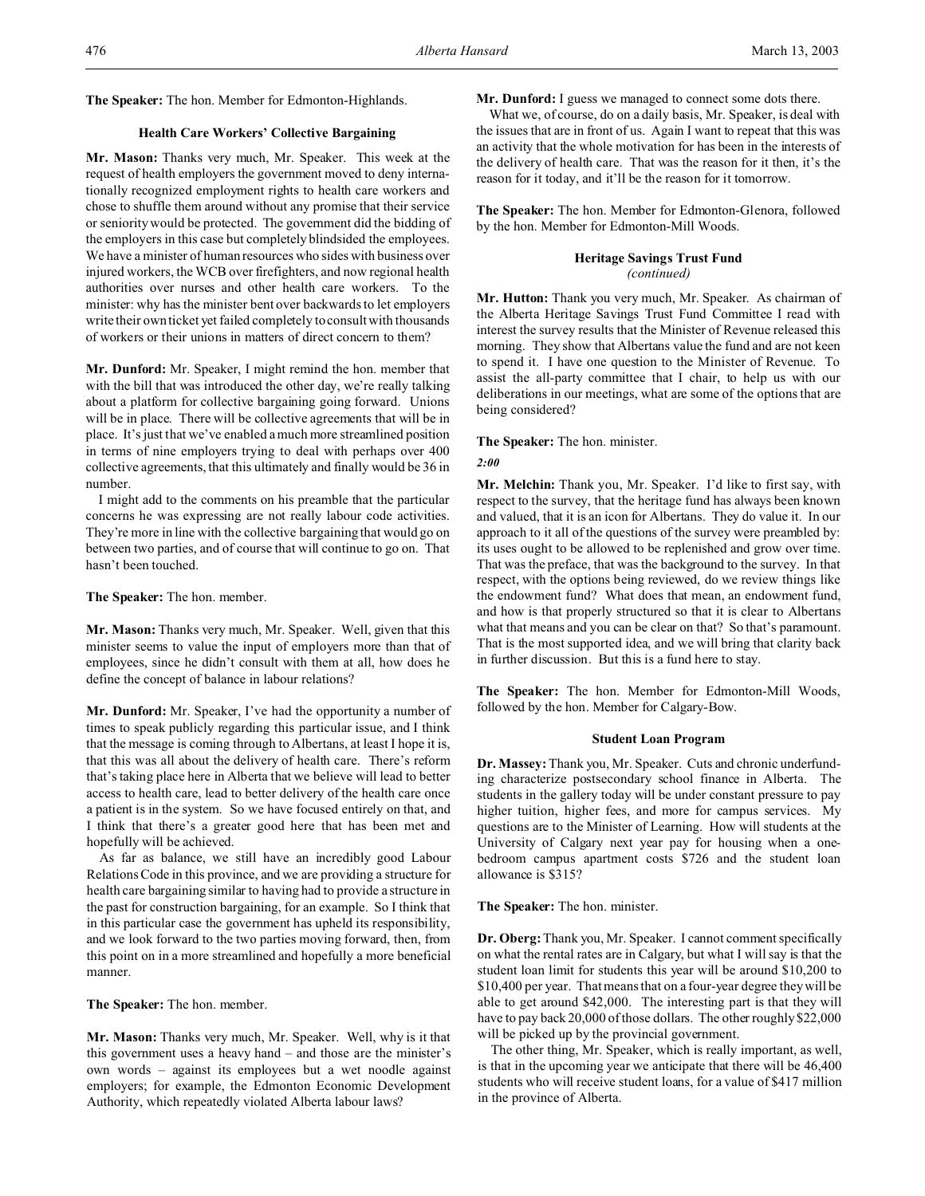**The Speaker:** The hon. Member for Edmonton-Highlands.

# **Health Care Workers' Collective Bargaining**

**Mr. Mason:** Thanks very much, Mr. Speaker. This week at the request of health employers the government moved to deny internationally recognized employment rights to health care workers and chose to shuffle them around without any promise that their service or seniority would be protected. The government did the bidding of the employers in this case but completely blindsided the employees. We have a minister of human resources who sides with business over injured workers, the WCB over firefighters, and now regional health authorities over nurses and other health care workers. To the minister: why has the minister bent over backwards to let employers write their own ticket yet failed completely to consult with thousands of workers or their unions in matters of direct concern to them?

**Mr. Dunford:** Mr. Speaker, I might remind the hon. member that with the bill that was introduced the other day, we're really talking about a platform for collective bargaining going forward. Unions will be in place. There will be collective agreements that will be in place. It's just that we've enabled a much more streamlined position in terms of nine employers trying to deal with perhaps over 400 collective agreements, that this ultimately and finally would be 36 in number.

I might add to the comments on his preamble that the particular concerns he was expressing are not really labour code activities. They're more in line with the collective bargaining that would go on between two parties, and of course that will continue to go on. That hasn't been touched.

### **The Speaker:** The hon. member.

**Mr. Mason:** Thanks very much, Mr. Speaker. Well, given that this minister seems to value the input of employers more than that of employees, since he didn't consult with them at all, how does he define the concept of balance in labour relations?

**Mr. Dunford:** Mr. Speaker, I've had the opportunity a number of times to speak publicly regarding this particular issue, and I think that the message is coming through to Albertans, at least I hope it is, that this was all about the delivery of health care. There's reform that's taking place here in Alberta that we believe will lead to better access to health care, lead to better delivery of the health care once a patient is in the system. So we have focused entirely on that, and I think that there's a greater good here that has been met and hopefully will be achieved.

As far as balance, we still have an incredibly good Labour Relations Code in this province, and we are providing a structure for health care bargaining similar to having had to provide a structure in the past for construction bargaining, for an example. So I think that in this particular case the government has upheld its responsibility, and we look forward to the two parties moving forward, then, from this point on in a more streamlined and hopefully a more beneficial manner.

**The Speaker:** The hon. member.

**Mr. Mason:** Thanks very much, Mr. Speaker. Well, why is it that this government uses a heavy hand – and those are the minister's own words – against its employees but a wet noodle against employers; for example, the Edmonton Economic Development Authority, which repeatedly violated Alberta labour laws?

**Mr. Dunford:** I guess we managed to connect some dots there.

What we, of course, do on a daily basis, Mr. Speaker, is deal with the issues that are in front of us. Again I want to repeat that this was an activity that the whole motivation for has been in the interests of the delivery of health care. That was the reason for it then, it's the reason for it today, and it'll be the reason for it tomorrow.

**The Speaker:** The hon. Member for Edmonton-Glenora, followed by the hon. Member for Edmonton-Mill Woods.

## **Heritage Savings Trust Fund**

*(continued)*

**Mr. Hutton:** Thank you very much, Mr. Speaker. As chairman of the Alberta Heritage Savings Trust Fund Committee I read with interest the survey results that the Minister of Revenue released this morning. They show that Albertans value the fund and are not keen to spend it. I have one question to the Minister of Revenue. To assist the all-party committee that I chair, to help us with our deliberations in our meetings, what are some of the options that are being considered?

**The Speaker:** The hon. minister.

### *2:00*

**Mr. Melchin:** Thank you, Mr. Speaker. I'd like to first say, with respect to the survey, that the heritage fund has always been known and valued, that it is an icon for Albertans. They do value it. In our approach to it all of the questions of the survey were preambled by: its uses ought to be allowed to be replenished and grow over time. That was the preface, that was the background to the survey. In that respect, with the options being reviewed, do we review things like the endowment fund? What does that mean, an endowment fund, and how is that properly structured so that it is clear to Albertans what that means and you can be clear on that? So that's paramount. That is the most supported idea, and we will bring that clarity back in further discussion. But this is a fund here to stay.

**The Speaker:** The hon. Member for Edmonton-Mill Woods, followed by the hon. Member for Calgary-Bow.

# **Student Loan Program**

**Dr. Massey:**Thank you, Mr. Speaker. Cuts and chronic underfunding characterize postsecondary school finance in Alberta. The students in the gallery today will be under constant pressure to pay higher tuition, higher fees, and more for campus services. My questions are to the Minister of Learning. How will students at the University of Calgary next year pay for housing when a onebedroom campus apartment costs \$726 and the student loan allowance is \$315?

**The Speaker:** The hon. minister.

**Dr. Oberg:**Thank you, Mr. Speaker. I cannot comment specifically on what the rental rates are in Calgary, but what I will say is that the student loan limit for students this year will be around \$10,200 to \$10,400 per year. That means that on a four-year degree they will be able to get around \$42,000. The interesting part is that they will have to pay back 20,000 of those dollars. The other roughly \$22,000 will be picked up by the provincial government.

The other thing, Mr. Speaker, which is really important, as well, is that in the upcoming year we anticipate that there will be 46,400 students who will receive student loans, for a value of \$417 million in the province of Alberta.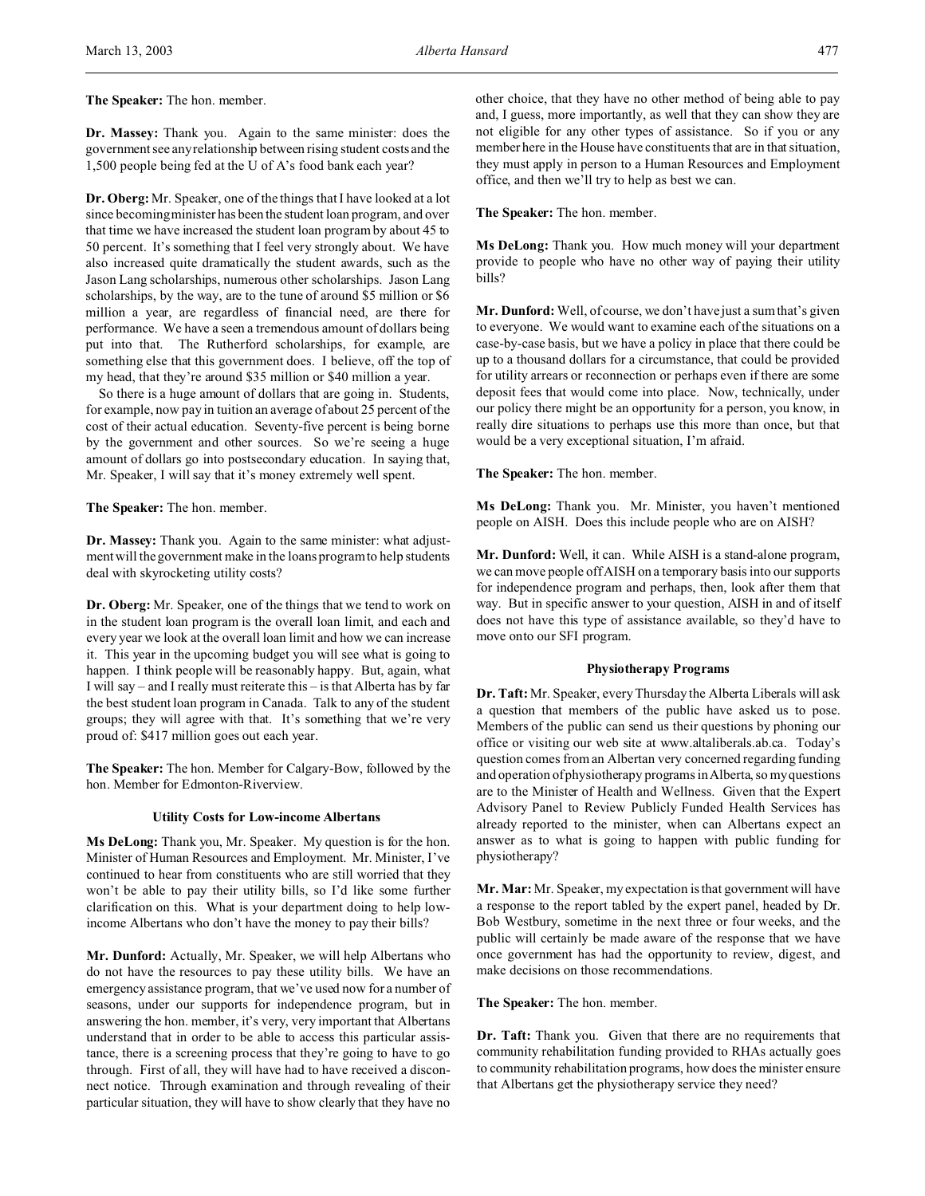**The Speaker:** The hon. member.

**Dr. Massey:** Thank you. Again to the same minister: does the government see any relationship between rising student costs and the 1,500 people being fed at the U of A's food bank each year?

**Dr. Oberg:** Mr. Speaker, one of the things that I have looked at a lot since becoming minister has been the student loan program, and over that time we have increased the student loan program by about 45 to 50 percent. It's something that I feel very strongly about. We have also increased quite dramatically the student awards, such as the Jason Lang scholarships, numerous other scholarships. Jason Lang scholarships, by the way, are to the tune of around \$5 million or \$6 million a year, are regardless of financial need, are there for performance. We have a seen a tremendous amount of dollars being put into that. The Rutherford scholarships, for example, are something else that this government does. I believe, off the top of my head, that they're around \$35 million or \$40 million a year.

So there is a huge amount of dollars that are going in. Students, for example, now pay in tuition an average of about 25 percent of the cost of their actual education. Seventy-five percent is being borne by the government and other sources. So we're seeing a huge amount of dollars go into postsecondary education. In saying that, Mr. Speaker, I will say that it's money extremely well spent.

**The Speaker:** The hon. member.

**Dr. Massey:** Thank you. Again to the same minister: what adjustment will the government make in the loans program to help students deal with skyrocketing utility costs?

**Dr. Oberg:** Mr. Speaker, one of the things that we tend to work on in the student loan program is the overall loan limit, and each and every year we look at the overall loan limit and how we can increase it. This year in the upcoming budget you will see what is going to happen. I think people will be reasonably happy. But, again, what I will say – and I really must reiterate this – is that Alberta has by far the best student loan program in Canada. Talk to any of the student groups; they will agree with that. It's something that we're very proud of: \$417 million goes out each year.

**The Speaker:** The hon. Member for Calgary-Bow, followed by the hon. Member for Edmonton-Riverview.

### **Utility Costs for Low-income Albertans**

**Ms DeLong:** Thank you, Mr. Speaker. My question is for the hon. Minister of Human Resources and Employment. Mr. Minister, I've continued to hear from constituents who are still worried that they won't be able to pay their utility bills, so I'd like some further clarification on this. What is your department doing to help lowincome Albertans who don't have the money to pay their bills?

**Mr. Dunford:** Actually, Mr. Speaker, we will help Albertans who do not have the resources to pay these utility bills. We have an emergency assistance program, that we've used now for a number of seasons, under our supports for independence program, but in answering the hon. member, it's very, very important that Albertans understand that in order to be able to access this particular assistance, there is a screening process that they're going to have to go through. First of all, they will have had to have received a disconnect notice. Through examination and through revealing of their particular situation, they will have to show clearly that they have no

other choice, that they have no other method of being able to pay and, I guess, more importantly, as well that they can show they are not eligible for any other types of assistance. So if you or any member here in the House have constituents that are in that situation, they must apply in person to a Human Resources and Employment office, and then we'll try to help as best we can.

**The Speaker:** The hon. member.

**Ms DeLong:** Thank you. How much money will your department provide to people who have no other way of paying their utility bills?

**Mr. Dunford:** Well, of course, we don't have just a sum that's given to everyone. We would want to examine each of the situations on a case-by-case basis, but we have a policy in place that there could be up to a thousand dollars for a circumstance, that could be provided for utility arrears or reconnection or perhaps even if there are some deposit fees that would come into place. Now, technically, under our policy there might be an opportunity for a person, you know, in really dire situations to perhaps use this more than once, but that would be a very exceptional situation, I'm afraid.

**The Speaker:** The hon. member.

**Ms DeLong:** Thank you. Mr. Minister, you haven't mentioned people on AISH. Does this include people who are on AISH?

**Mr. Dunford:** Well, it can. While AISH is a stand-alone program, we can move people off AISH on a temporary basis into our supports for independence program and perhaps, then, look after them that way. But in specific answer to your question, AISH in and of itself does not have this type of assistance available, so they'd have to move onto our SFI program.

## **Physiotherapy Programs**

**Dr. Taft:** Mr. Speaker, every Thursday the Alberta Liberals will ask a question that members of the public have asked us to pose. Members of the public can send us their questions by phoning our office or visiting our web site at www.altaliberals.ab.ca. Today's question comes from an Albertan very concerned regarding funding and operation of physiotherapy programs in Alberta, so my questions are to the Minister of Health and Wellness. Given that the Expert Advisory Panel to Review Publicly Funded Health Services has already reported to the minister, when can Albertans expect an answer as to what is going to happen with public funding for physiotherapy?

**Mr. Mar:** Mr. Speaker, my expectation is that government will have a response to the report tabled by the expert panel, headed by Dr. Bob Westbury, sometime in the next three or four weeks, and the public will certainly be made aware of the response that we have once government has had the opportunity to review, digest, and make decisions on those recommendations.

**The Speaker:** The hon. member.

**Dr. Taft:** Thank you. Given that there are no requirements that community rehabilitation funding provided to RHAs actually goes to community rehabilitation programs, how does the minister ensure that Albertans get the physiotherapy service they need?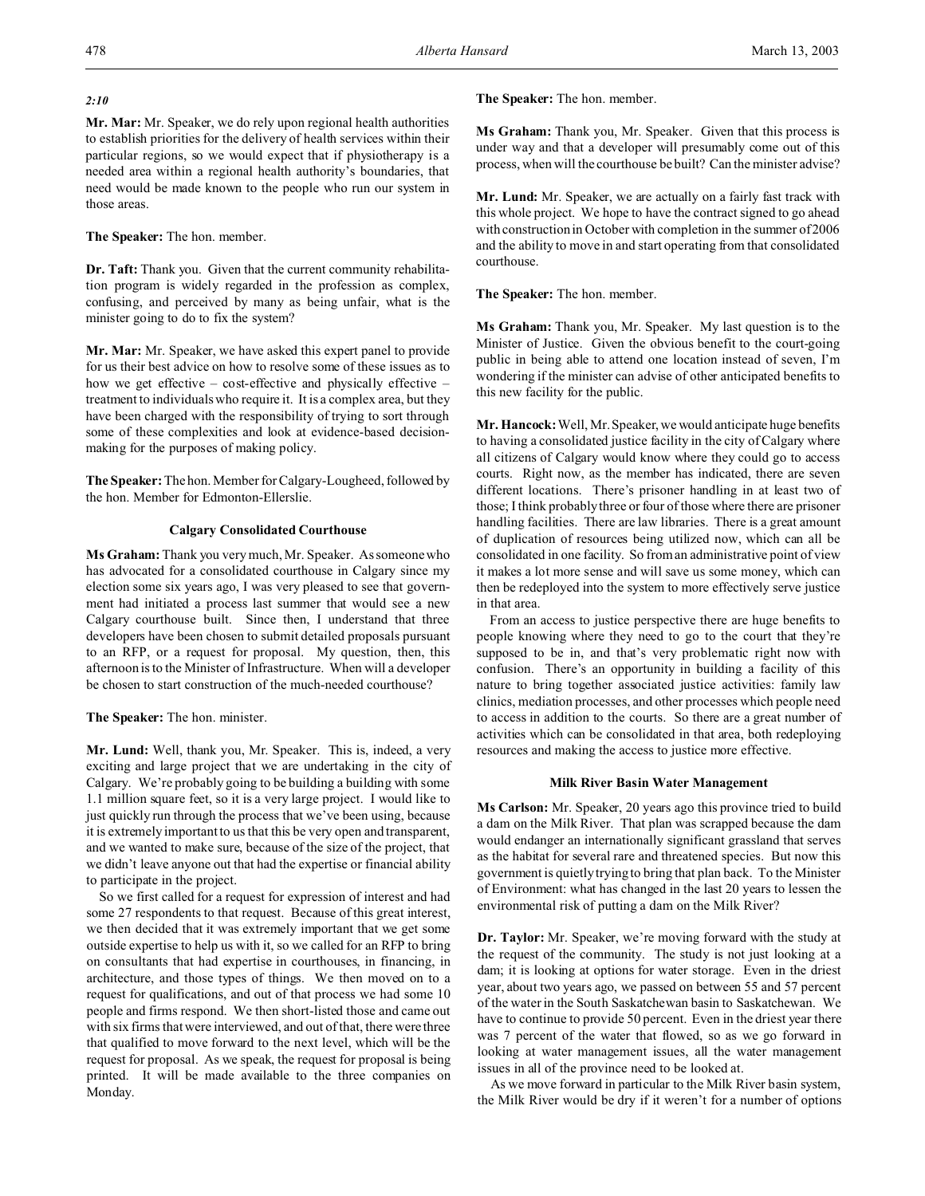# *2:10*

**Mr. Mar:** Mr. Speaker, we do rely upon regional health authorities to establish priorities for the delivery of health services within their particular regions, so we would expect that if physiotherapy is a needed area within a regional health authority's boundaries, that need would be made known to the people who run our system in those areas.

# **The Speaker:** The hon. member.

**Dr. Taft:** Thank you. Given that the current community rehabilitation program is widely regarded in the profession as complex, confusing, and perceived by many as being unfair, what is the minister going to do to fix the system?

**Mr. Mar:** Mr. Speaker, we have asked this expert panel to provide for us their best advice on how to resolve some of these issues as to how we get effective – cost-effective and physically effective – treatment to individuals who require it. It is a complex area, but they have been charged with the responsibility of trying to sort through some of these complexities and look at evidence-based decisionmaking for the purposes of making policy.

**The Speaker:** The hon. Member for Calgary-Lougheed, followed by the hon. Member for Edmonton-Ellerslie.

# **Calgary Consolidated Courthouse**

**Ms Graham:** Thank you very much, Mr. Speaker. As someone who has advocated for a consolidated courthouse in Calgary since my election some six years ago, I was very pleased to see that government had initiated a process last summer that would see a new Calgary courthouse built. Since then, I understand that three developers have been chosen to submit detailed proposals pursuant to an RFP, or a request for proposal. My question, then, this afternoon is to the Minister of Infrastructure. When will a developer be chosen to start construction of the much-needed courthouse?

# **The Speaker:** The hon. minister.

**Mr. Lund:** Well, thank you, Mr. Speaker. This is, indeed, a very exciting and large project that we are undertaking in the city of Calgary. We're probably going to be building a building with some 1.1 million square feet, so it is a very large project. I would like to just quickly run through the process that we've been using, because it is extremely important to us that this be very open and transparent, and we wanted to make sure, because of the size of the project, that we didn't leave anyone out that had the expertise or financial ability to participate in the project.

So we first called for a request for expression of interest and had some 27 respondents to that request. Because of this great interest, we then decided that it was extremely important that we get some outside expertise to help us with it, so we called for an RFP to bring on consultants that had expertise in courthouses, in financing, in architecture, and those types of things. We then moved on to a request for qualifications, and out of that process we had some 10 people and firms respond. We then short-listed those and came out with six firms that were interviewed, and out of that, there were three that qualified to move forward to the next level, which will be the request for proposal. As we speak, the request for proposal is being printed. It will be made available to the three companies on Monday.

**The Speaker:** The hon. member.

**Ms Graham:** Thank you, Mr. Speaker. Given that this process is under way and that a developer will presumably come out of this process, when will the courthouse be built? Can the minister advise?

**Mr. Lund:** Mr. Speaker, we are actually on a fairly fast track with this whole project. We hope to have the contract signed to go ahead with construction in October with completion in the summer of 2006 and the ability to move in and start operating from that consolidated courthouse.

**The Speaker:** The hon. member.

**Ms Graham:** Thank you, Mr. Speaker. My last question is to the Minister of Justice. Given the obvious benefit to the court-going public in being able to attend one location instead of seven, I'm wondering if the minister can advise of other anticipated benefits to this new facility for the public.

**Mr. Hancock:** Well, Mr. Speaker, we would anticipate huge benefits to having a consolidated justice facility in the city of Calgary where all citizens of Calgary would know where they could go to access courts. Right now, as the member has indicated, there are seven different locations. There's prisoner handling in at least two of those; I think probably three or four of those where there are prisoner handling facilities. There are law libraries. There is a great amount of duplication of resources being utilized now, which can all be consolidated in one facility. So from an administrative point of view it makes a lot more sense and will save us some money, which can then be redeployed into the system to more effectively serve justice in that area.

From an access to justice perspective there are huge benefits to people knowing where they need to go to the court that they're supposed to be in, and that's very problematic right now with confusion. There's an opportunity in building a facility of this nature to bring together associated justice activities: family law clinics, mediation processes, and other processes which people need to access in addition to the courts. So there are a great number of activities which can be consolidated in that area, both redeploying resources and making the access to justice more effective.

### **Milk River Basin Water Management**

**Ms Carlson:** Mr. Speaker, 20 years ago this province tried to build a dam on the Milk River. That plan was scrapped because the dam would endanger an internationally significant grassland that serves as the habitat for several rare and threatened species. But now this government is quietly trying to bring that plan back. To the Minister of Environment: what has changed in the last 20 years to lessen the environmental risk of putting a dam on the Milk River?

**Dr. Taylor:** Mr. Speaker, we're moving forward with the study at the request of the community. The study is not just looking at a dam; it is looking at options for water storage. Even in the driest year, about two years ago, we passed on between 55 and 57 percent of the water in the South Saskatchewan basin to Saskatchewan. We have to continue to provide 50 percent. Even in the driest year there was 7 percent of the water that flowed, so as we go forward in looking at water management issues, all the water management issues in all of the province need to be looked at.

As we move forward in particular to the Milk River basin system, the Milk River would be dry if it weren't for a number of options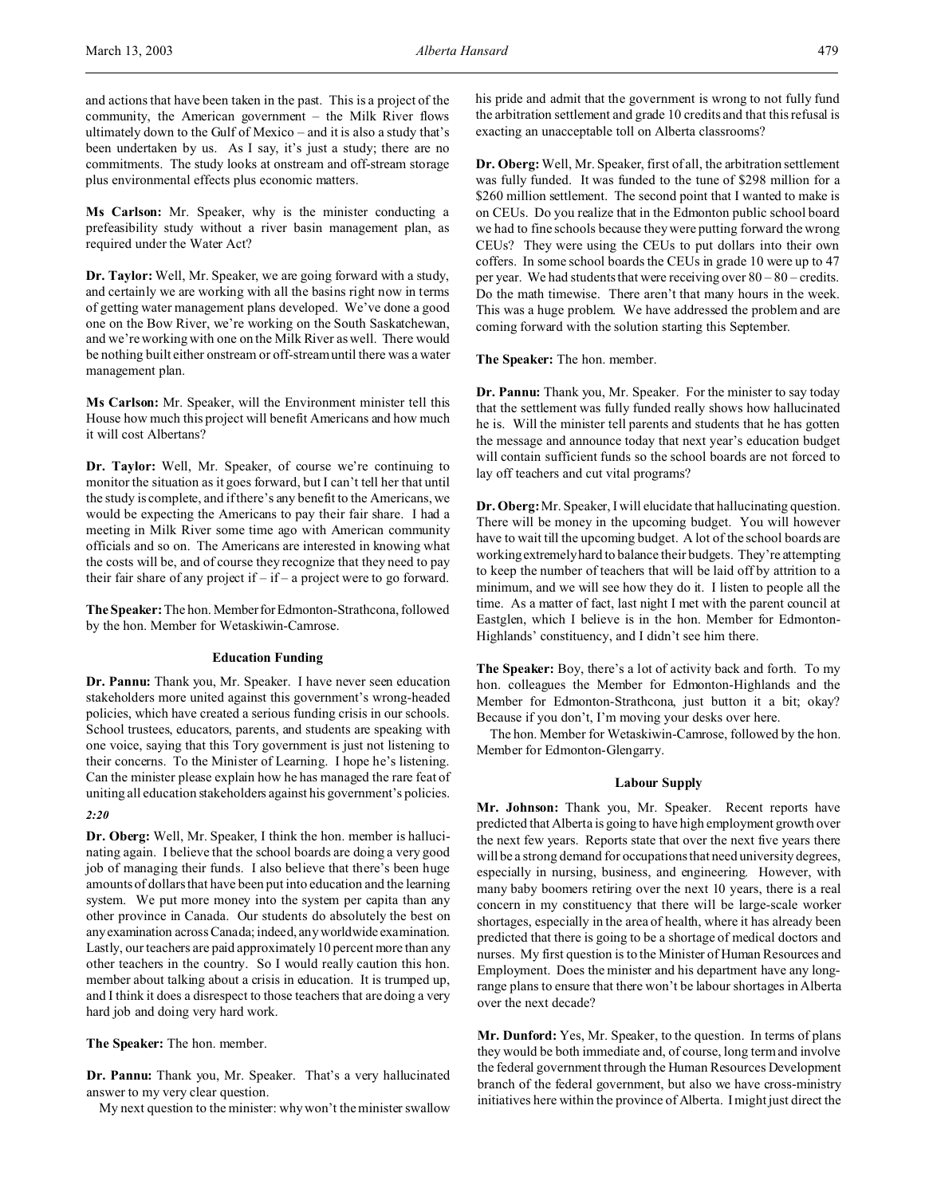and actions that have been taken in the past. This is a project of the community, the American government – the Milk River flows ultimately down to the Gulf of Mexico – and it is also a study that's been undertaken by us. As I say, it's just a study; there are no commitments. The study looks at onstream and off-stream storage plus environmental effects plus economic matters.

**Ms Carlson:** Mr. Speaker, why is the minister conducting a prefeasibility study without a river basin management plan, as required under the Water Act?

**Dr. Taylor:** Well, Mr. Speaker, we are going forward with a study, and certainly we are working with all the basins right now in terms of getting water management plans developed. We've done a good one on the Bow River, we're working on the South Saskatchewan, and we're working with one on the Milk River as well. There would be nothing built either onstream or off-stream until there was a water management plan.

**Ms Carlson:** Mr. Speaker, will the Environment minister tell this House how much this project will benefit Americans and how much it will cost Albertans?

**Dr. Taylor:** Well, Mr. Speaker, of course we're continuing to monitor the situation as it goes forward, but I can't tell her that until the study is complete, and if there's any benefit to the Americans, we would be expecting the Americans to pay their fair share. I had a meeting in Milk River some time ago with American community officials and so on. The Americans are interested in knowing what the costs will be, and of course they recognize that they need to pay their fair share of any project if  $-$  if  $-$  a project were to go forward.

**The Speaker:** The hon. MemberforEdmonton-Strathcona, followed by the hon. Member for Wetaskiwin-Camrose.

## **Education Funding**

**Dr. Pannu:** Thank you, Mr. Speaker. I have never seen education stakeholders more united against this government's wrong-headed policies, which have created a serious funding crisis in our schools. School trustees, educators, parents, and students are speaking with one voice, saying that this Tory government is just not listening to their concerns. To the Minister of Learning. I hope he's listening. Can the minister please explain how he has managed the rare feat of uniting all education stakeholders against his government's policies.

*2:20*

**Dr. Oberg:** Well, Mr. Speaker, I think the hon. member is hallucinating again. I believe that the school boards are doing a very good job of managing their funds. I also believe that there's been huge amounts of dollars that have been put into education and the learning system. We put more money into the system per capita than any other province in Canada. Our students do absolutely the best on anyexamination across Canada; indeed, any worldwide examination. Lastly, our teachers are paid approximately 10 percent more than any other teachers in the country. So I would really caution this hon. member about talking about a crisis in education. It is trumped up, and I think it does a disrespect to those teachers that are doing a very hard job and doing very hard work.

**The Speaker:** The hon. member.

**Dr. Pannu:** Thank you, Mr. Speaker. That's a very hallucinated answer to my very clear question.

My next question to the minister: why won't the minister swallow

his pride and admit that the government is wrong to not fully fund the arbitration settlement and grade 10 credits and that this refusal is exacting an unacceptable toll on Alberta classrooms?

**Dr. Oberg:**Well, Mr. Speaker, first of all, the arbitration settlement was fully funded. It was funded to the tune of \$298 million for a \$260 million settlement. The second point that I wanted to make is on CEUs. Do you realize that in the Edmonton public school board we had to fine schools because they were putting forward the wrong CEUs? They were using the CEUs to put dollars into their own coffers. In some school boards the CEUs in grade 10 were up to 47 per year. We had students that were receiving over 80 – 80 – credits. Do the math timewise. There aren't that many hours in the week. This was a huge problem. We have addressed the problem and are coming forward with the solution starting this September.

**The Speaker:** The hon. member.

**Dr. Pannu:** Thank you, Mr. Speaker. For the minister to say today that the settlement was fully funded really shows how hallucinated he is. Will the minister tell parents and students that he has gotten the message and announce today that next year's education budget will contain sufficient funds so the school boards are not forced to lay off teachers and cut vital programs?

**Dr. Oberg:**Mr. Speaker, I will elucidate that hallucinating question. There will be money in the upcoming budget. You will however have to wait till the upcoming budget. A lot of the school boards are workingextremely hard to balance their budgets. They're attempting to keep the number of teachers that will be laid off by attrition to a minimum, and we will see how they do it. I listen to people all the time. As a matter of fact, last night I met with the parent council at Eastglen, which I believe is in the hon. Member for Edmonton-Highlands' constituency, and I didn't see him there.

**The Speaker:** Boy, there's a lot of activity back and forth. To my hon. colleagues the Member for Edmonton-Highlands and the Member for Edmonton-Strathcona, just button it a bit; okay? Because if you don't, I'm moving your desks over here.

The hon. Member for Wetaskiwin-Camrose, followed by the hon. Member for Edmonton-Glengarry.

## **Labour Supply**

**Mr. Johnson:** Thank you, Mr. Speaker. Recent reports have predicted that Alberta is going to have high employment growth over the next few years. Reports state that over the next five years there will be a strong demand for occupations that need university degrees, especially in nursing, business, and engineering. However, with many baby boomers retiring over the next 10 years, there is a real concern in my constituency that there will be large-scale worker shortages, especially in the area of health, where it has already been predicted that there is going to be a shortage of medical doctors and nurses. My first question is to the Minister of Human Resources and Employment. Does the minister and his department have any longrange plans to ensure that there won't be labour shortages in Alberta over the next decade?

**Mr. Dunford:** Yes, Mr. Speaker, to the question. In terms of plans they would be both immediate and, of course, long term and involve the federal government through the Human Resources Development branch of the federal government, but also we have cross-ministry initiatives here within the province of Alberta. I might just direct the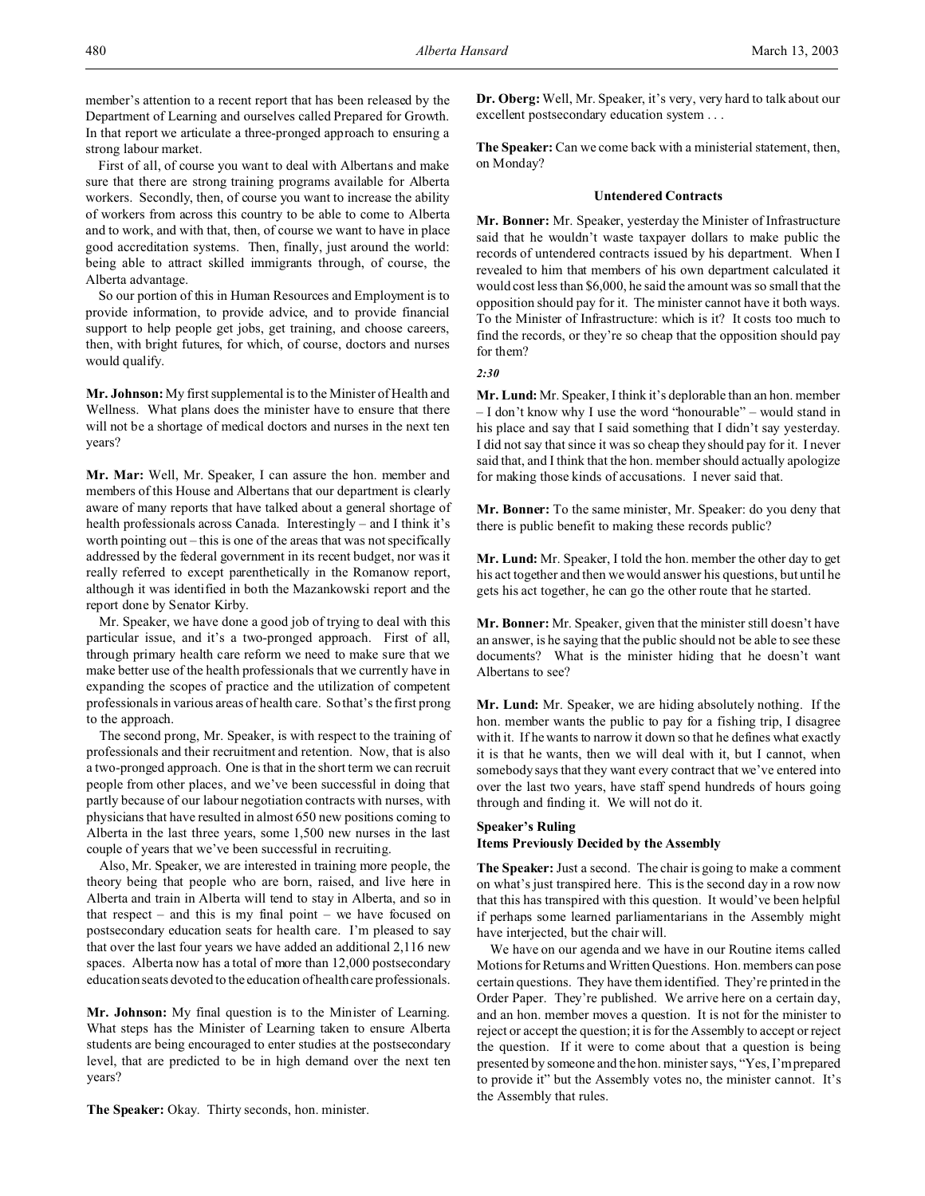member's attention to a recent report that has been released by the Department of Learning and ourselves called Prepared for Growth. In that report we articulate a three-pronged approach to ensuring a strong labour market.

First of all, of course you want to deal with Albertans and make sure that there are strong training programs available for Alberta workers. Secondly, then, of course you want to increase the ability of workers from across this country to be able to come to Alberta and to work, and with that, then, of course we want to have in place good accreditation systems. Then, finally, just around the world: being able to attract skilled immigrants through, of course, the Alberta advantage.

So our portion of this in Human Resources and Employment is to provide information, to provide advice, and to provide financial support to help people get jobs, get training, and choose careers, then, with bright futures, for which, of course, doctors and nurses would qualify.

**Mr. Johnson:** My first supplemental is to the Minister of Health and Wellness. What plans does the minister have to ensure that there will not be a shortage of medical doctors and nurses in the next ten years?

**Mr. Mar:** Well, Mr. Speaker, I can assure the hon. member and members of this House and Albertans that our department is clearly aware of many reports that have talked about a general shortage of health professionals across Canada. Interestingly – and I think it's worth pointing out – this is one of the areas that was not specifically addressed by the federal government in its recent budget, nor was it really referred to except parenthetically in the Romanow report, although it was identified in both the Mazankowski report and the report done by Senator Kirby.

Mr. Speaker, we have done a good job of trying to deal with this particular issue, and it's a two-pronged approach. First of all, through primary health care reform we need to make sure that we make better use of the health professionals that we currently have in expanding the scopes of practice and the utilization of competent professionals in various areas of health care. So that's the first prong to the approach.

The second prong, Mr. Speaker, is with respect to the training of professionals and their recruitment and retention. Now, that is also a two-pronged approach. One is that in the short term we can recruit people from other places, and we've been successful in doing that partly because of our labour negotiation contracts with nurses, with physicians that have resulted in almost 650 new positions coming to Alberta in the last three years, some 1,500 new nurses in the last couple of years that we've been successful in recruiting.

Also, Mr. Speaker, we are interested in training more people, the theory being that people who are born, raised, and live here in Alberta and train in Alberta will tend to stay in Alberta, and so in that respect – and this is my final point – we have focused on postsecondary education seats for health care. I'm pleased to say that over the last four years we have added an additional 2,116 new spaces. Alberta now has a total of more than 12,000 postsecondary education seats devoted to the education of health care professionals.

**Mr. Johnson:** My final question is to the Minister of Learning. What steps has the Minister of Learning taken to ensure Alberta students are being encouraged to enter studies at the postsecondary level, that are predicted to be in high demand over the next ten years?

**The Speaker:** Okay. Thirty seconds, hon. minister.

**Dr. Oberg:** Well, Mr. Speaker, it's very, very hard to talk about our excellent postsecondary education system . . .

**The Speaker:** Can we come back with a ministerial statement, then, on Monday?

## **Untendered Contracts**

**Mr. Bonner:** Mr. Speaker, yesterday the Minister of Infrastructure said that he wouldn't waste taxpayer dollars to make public the records of untendered contracts issued by his department. When I revealed to him that members of his own department calculated it would cost less than \$6,000, he said the amount was so small that the opposition should pay for it. The minister cannot have it both ways. To the Minister of Infrastructure: which is it? It costs too much to find the records, or they're so cheap that the opposition should pay for them?

*2:30*

**Mr. Lund:** Mr. Speaker, I think it's deplorable than an hon. member – I don't know why I use the word "honourable" – would stand in his place and say that I said something that I didn't say yesterday. I did not say that since it was so cheap they should pay for it. I never said that, and I think that the hon. member should actually apologize for making those kinds of accusations. I never said that.

**Mr. Bonner:** To the same minister, Mr. Speaker: do you deny that there is public benefit to making these records public?

**Mr. Lund:** Mr. Speaker, I told the hon. member the other day to get his act together and then we would answer his questions, but until he gets his act together, he can go the other route that he started.

**Mr. Bonner:** Mr. Speaker, given that the minister still doesn't have an answer, is he saying that the public should not be able to see these documents? What is the minister hiding that he doesn't want Albertans to see?

**Mr. Lund:** Mr. Speaker, we are hiding absolutely nothing. If the hon. member wants the public to pay for a fishing trip, I disagree with it. If he wants to narrow it down so that he defines what exactly it is that he wants, then we will deal with it, but I cannot, when somebody says that they want every contract that we've entered into over the last two years, have staff spend hundreds of hours going through and finding it. We will not do it.

## **Speaker's Ruling Items Previously Decided by the Assembly**

**The Speaker:** Just a second. The chair is going to make a comment on what's just transpired here. This is the second day in a row now that this has transpired with this question. It would've been helpful if perhaps some learned parliamentarians in the Assembly might have interjected, but the chair will.

We have on our agenda and we have in our Routine items called Motions for Returns and Written Questions. Hon. members can pose certain questions. They have them identified. They're printed in the Order Paper. They're published. We arrive here on a certain day, and an hon. member moves a question. It is not for the minister to reject or accept the question; it is for the Assembly to accept or reject the question. If it were to come about that a question is being presented by someone and the hon. minister says, "Yes, I'm prepared to provide it" but the Assembly votes no, the minister cannot. It's the Assembly that rules.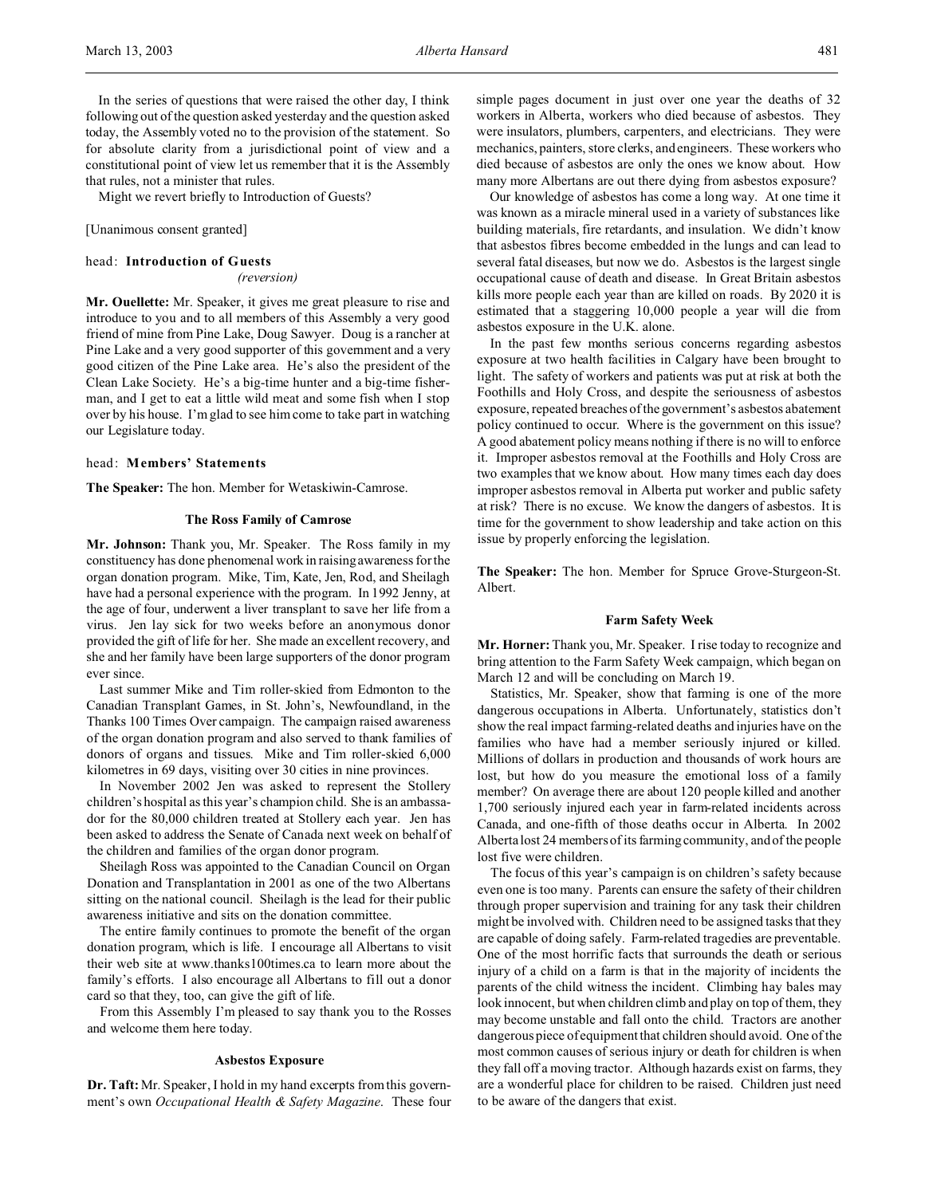In the series of questions that were raised the other day, I think following out of the question asked yesterday and the question asked today, the Assembly voted no to the provision of the statement. So for absolute clarity from a jurisdictional point of view and a constitutional point of view let us remember that it is the Assembly that rules, not a minister that rules.

Might we revert briefly to Introduction of Guests?

[Unanimous consent granted]

#### head: **Introduction of Guests**

*(reversion)*

**Mr. Ouellette:** Mr. Speaker, it gives me great pleasure to rise and introduce to you and to all members of this Assembly a very good friend of mine from Pine Lake, Doug Sawyer. Doug is a rancher at Pine Lake and a very good supporter of this government and a very good citizen of the Pine Lake area. He's also the president of the Clean Lake Society. He's a big-time hunter and a big-time fisherman, and I get to eat a little wild meat and some fish when I stop over by his house. I'm glad to see him come to take part in watching our Legislature today.

# head: **Members' Statements**

**The Speaker:** The hon. Member for Wetaskiwin-Camrose.

### **The Ross Family of Camrose**

**Mr. Johnson:** Thank you, Mr. Speaker. The Ross family in my constituency has done phenomenal work in raising awareness for the organ donation program. Mike, Tim, Kate, Jen, Rod, and Sheilagh have had a personal experience with the program. In 1992 Jenny, at the age of four, underwent a liver transplant to save her life from a virus. Jen lay sick for two weeks before an anonymous donor provided the gift of life for her. She made an excellent recovery, and she and her family have been large supporters of the donor program ever since.

Last summer Mike and Tim roller-skied from Edmonton to the Canadian Transplant Games, in St. John's, Newfoundland, in the Thanks 100 Times Over campaign. The campaign raised awareness of the organ donation program and also served to thank families of donors of organs and tissues. Mike and Tim roller-skied 6,000 kilometres in 69 days, visiting over 30 cities in nine provinces.

In November 2002 Jen was asked to represent the Stollery children's hospital as this year's champion child. She is an ambassador for the 80,000 children treated at Stollery each year. Jen has been asked to address the Senate of Canada next week on behalf of the children and families of the organ donor program.

Sheilagh Ross was appointed to the Canadian Council on Organ Donation and Transplantation in 2001 as one of the two Albertans sitting on the national council. Sheilagh is the lead for their public awareness initiative and sits on the donation committee.

The entire family continues to promote the benefit of the organ donation program, which is life. I encourage all Albertans to visit their web site at www.thanks100times.ca to learn more about the family's efforts. I also encourage all Albertans to fill out a donor card so that they, too, can give the gift of life.

From this Assembly I'm pleased to say thank you to the Rosses and welcome them here today.

## **Asbestos Exposure**

**Dr. Taft:** Mr. Speaker, I hold in my hand excerpts from this government's own *Occupational Health & Safety Magazine*. These four

simple pages document in just over one year the deaths of 32 workers in Alberta, workers who died because of asbestos. They were insulators, plumbers, carpenters, and electricians. They were mechanics, painters, store clerks, and engineers. These workers who died because of asbestos are only the ones we know about. How many more Albertans are out there dying from asbestos exposure?

Our knowledge of asbestos has come a long way. At one time it was known as a miracle mineral used in a variety of substances like building materials, fire retardants, and insulation. We didn't know that asbestos fibres become embedded in the lungs and can lead to several fatal diseases, but now we do. Asbestos is the largest single occupational cause of death and disease. In Great Britain asbestos kills more people each year than are killed on roads. By 2020 it is estimated that a staggering 10,000 people a year will die from asbestos exposure in the U.K. alone.

In the past few months serious concerns regarding asbestos exposure at two health facilities in Calgary have been brought to light. The safety of workers and patients was put at risk at both the Foothills and Holy Cross, and despite the seriousness of asbestos exposure, repeated breaches of the government's asbestos abatement policy continued to occur. Where is the government on this issue? A good abatement policy means nothing if there is no will to enforce it. Improper asbestos removal at the Foothills and Holy Cross are two examples that we know about. How many times each day does improper asbestos removal in Alberta put worker and public safety at risk? There is no excuse. We know the dangers of asbestos. It is time for the government to show leadership and take action on this issue by properly enforcing the legislation.

**The Speaker:** The hon. Member for Spruce Grove-Sturgeon-St. Albert.

### **Farm Safety Week**

**Mr. Horner:**Thank you, Mr. Speaker. I rise today to recognize and bring attention to the Farm Safety Week campaign, which began on March 12 and will be concluding on March 19.

Statistics, Mr. Speaker, show that farming is one of the more dangerous occupations in Alberta. Unfortunately, statistics don't show the real impact farming-related deaths and injuries have on the families who have had a member seriously injured or killed. Millions of dollars in production and thousands of work hours are lost, but how do you measure the emotional loss of a family member? On average there are about 120 people killed and another 1,700 seriously injured each year in farm-related incidents across Canada, and one-fifth of those deaths occur in Alberta. In 2002 Alberta lost 24 members of its farming community, and of the people lost five were children.

The focus of this year's campaign is on children's safety because even one is too many. Parents can ensure the safety of their children through proper supervision and training for any task their children might be involved with. Children need to be assigned tasks that they are capable of doing safely. Farm-related tragedies are preventable. One of the most horrific facts that surrounds the death or serious injury of a child on a farm is that in the majority of incidents the parents of the child witness the incident. Climbing hay bales may look innocent, but when children climb and play on top of them, they may become unstable and fall onto the child. Tractors are another dangerous piece of equipment that children should avoid. One of the most common causes of serious injury or death for children is when they fall off a moving tractor. Although hazards exist on farms, they are a wonderful place for children to be raised. Children just need to be aware of the dangers that exist.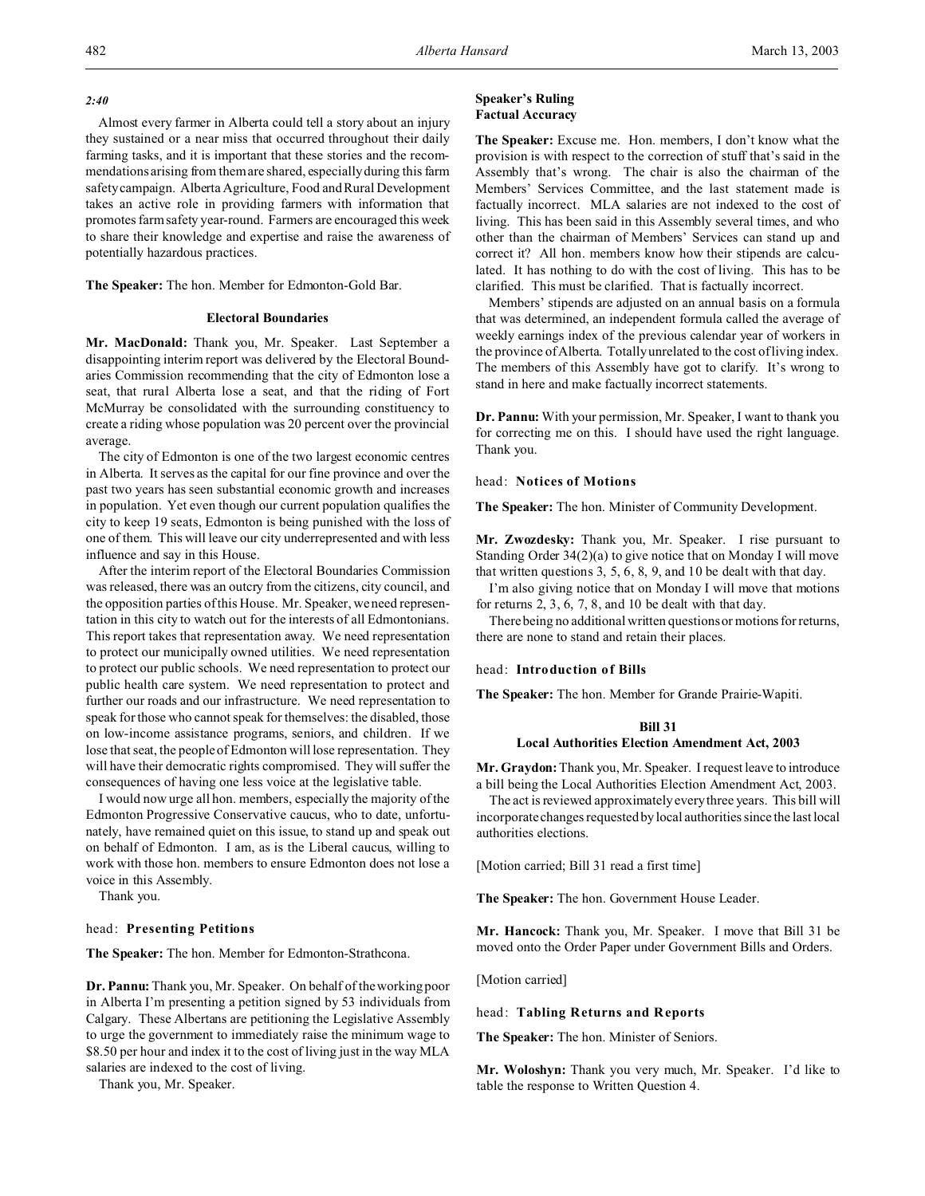## *2:40*

Almost every farmer in Alberta could tell a story about an injury they sustained or a near miss that occurred throughout their daily farming tasks, and it is important that these stories and the recommendations arising from them are shared, especially during this farm safety campaign. Alberta Agriculture, Food and Rural Development takes an active role in providing farmers with information that promotes farm safety year-round. Farmers are encouraged this week to share their knowledge and expertise and raise the awareness of potentially hazardous practices.

**The Speaker:** The hon. Member for Edmonton-Gold Bar.

### **Electoral Boundaries**

**Mr. MacDonald:** Thank you, Mr. Speaker. Last September a disappointing interim report was delivered by the Electoral Boundaries Commission recommending that the city of Edmonton lose a seat, that rural Alberta lose a seat, and that the riding of Fort McMurray be consolidated with the surrounding constituency to create a riding whose population was 20 percent over the provincial average.

The city of Edmonton is one of the two largest economic centres in Alberta. It serves as the capital for our fine province and over the past two years has seen substantial economic growth and increases in population. Yet even though our current population qualifies the city to keep 19 seats, Edmonton is being punished with the loss of one of them. This will leave our city underrepresented and with less influence and say in this House.

After the interim report of the Electoral Boundaries Commission was released, there was an outcry from the citizens, city council, and the opposition parties of this House. Mr. Speaker, we need representation in this city to watch out for the interests of all Edmontonians. This report takes that representation away. We need representation to protect our municipally owned utilities. We need representation to protect our public schools. We need representation to protect our public health care system. We need representation to protect and further our roads and our infrastructure. We need representation to speak for those who cannot speak for themselves: the disabled, those on low-income assistance programs, seniors, and children. If we lose that seat, the people of Edmonton will lose representation. They will have their democratic rights compromised. They will suffer the consequences of having one less voice at the legislative table.

I would now urge all hon. members, especially the majority of the Edmonton Progressive Conservative caucus, who to date, unfortunately, have remained quiet on this issue, to stand up and speak out on behalf of Edmonton. I am, as is the Liberal caucus, willing to work with those hon. members to ensure Edmonton does not lose a voice in this Assembly.

Thank you.

# head: **Presenting Petitions**

**The Speaker:** The hon. Member for Edmonton-Strathcona.

**Dr. Pannu:** Thank you, Mr. Speaker. On behalf of the working poor in Alberta I'm presenting a petition signed by 53 individuals from Calgary. These Albertans are petitioning the Legislative Assembly to urge the government to immediately raise the minimum wage to \$8.50 per hour and index it to the cost of living just in the way MLA salaries are indexed to the cost of living.

Thank you, Mr. Speaker.

# **Speaker's Ruling Factual Accuracy**

**The Speaker:** Excuse me. Hon. members, I don't know what the provision is with respect to the correction of stuff that's said in the Assembly that's wrong. The chair is also the chairman of the Members' Services Committee, and the last statement made is factually incorrect. MLA salaries are not indexed to the cost of living. This has been said in this Assembly several times, and who other than the chairman of Members' Services can stand up and correct it? All hon. members know how their stipends are calculated. It has nothing to do with the cost of living. This has to be clarified. This must be clarified. That is factually incorrect.

Members' stipends are adjusted on an annual basis on a formula that was determined, an independent formula called the average of weekly earnings index of the previous calendar year of workers in the province of Alberta. Totally unrelated to the cost of living index. The members of this Assembly have got to clarify. It's wrong to stand in here and make factually incorrect statements.

**Dr. Pannu:** With your permission, Mr. Speaker, I want to thank you for correcting me on this. I should have used the right language. Thank you.

head: **Notices of Motions**

**The Speaker:** The hon. Minister of Community Development.

**Mr. Zwozdesky:** Thank you, Mr. Speaker. I rise pursuant to Standing Order 34(2)(a) to give notice that on Monday I will move that written questions 3, 5, 6, 8, 9, and 10 be dealt with that day.

I'm also giving notice that on Monday I will move that motions for returns 2, 3, 6, 7, 8, and 10 be dealt with that day.

There being no additional written questions or motions for returns, there are none to stand and retain their places.

## head: **Introduction of Bills**

**The Speaker:** The hon. Member for Grande Prairie-Wapiti.

# **Bill 31**

# **Local Authorities Election Amendment Act, 2003**

**Mr. Graydon:** Thank you, Mr. Speaker. I request leave to introduce a bill being the Local Authorities Election Amendment Act, 2003.

The act is reviewed approximately every three years. This bill will incorporate changes requested by local authorities since the last local authorities elections.

[Motion carried; Bill 31 read a first time]

**The Speaker:** The hon. Government House Leader.

**Mr. Hancock:** Thank you, Mr. Speaker. I move that Bill 31 be moved onto the Order Paper under Government Bills and Orders.

[Motion carried]

head: **Tabling Returns and Reports**

**The Speaker:** The hon. Minister of Seniors.

**Mr. Woloshyn:** Thank you very much, Mr. Speaker. I'd like to table the response to Written Question 4.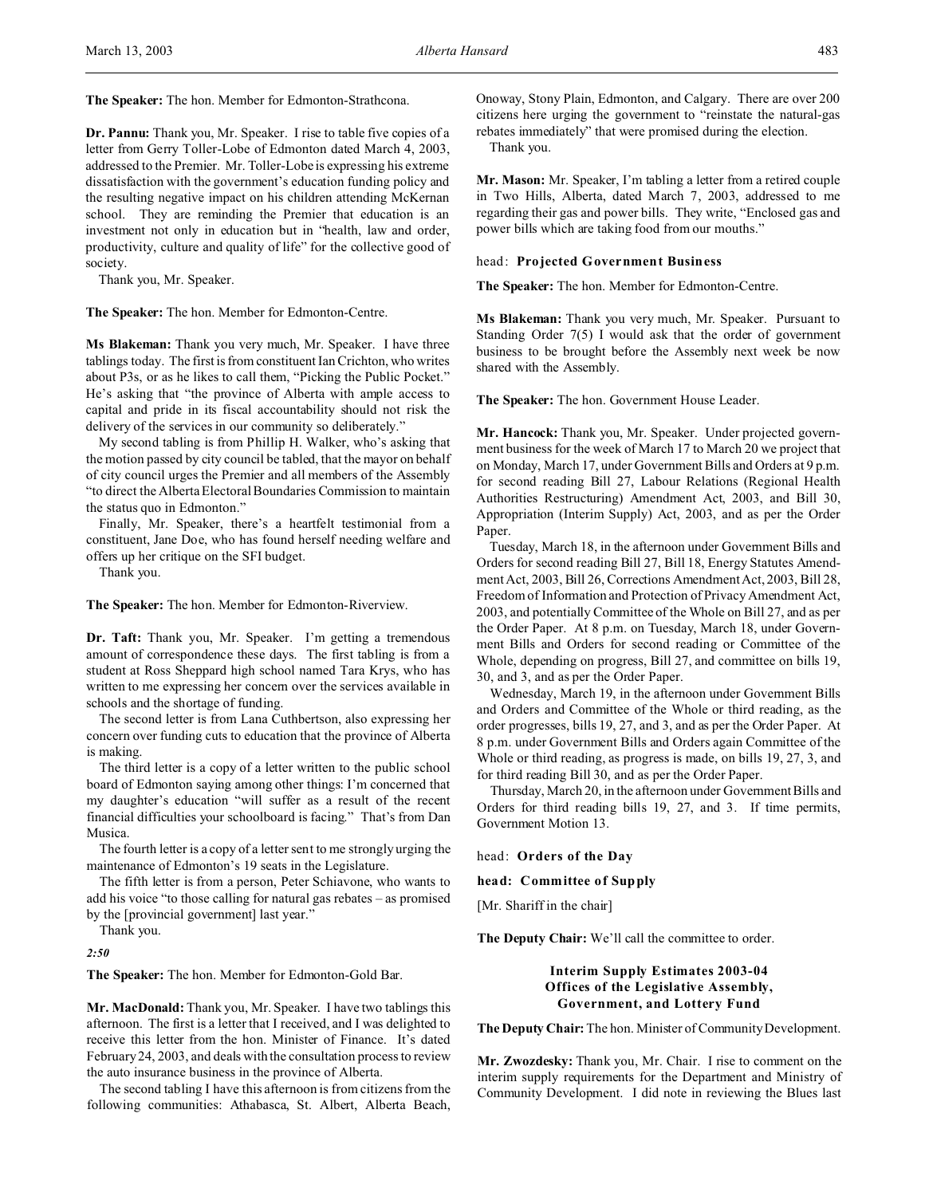**The Speaker:** The hon. Member for Edmonton-Strathcona.

**Dr. Pannu:** Thank you, Mr. Speaker. I rise to table five copies of a letter from Gerry Toller-Lobe of Edmonton dated March 4, 2003, addressed to the Premier. Mr. Toller-Lobe is expressing his extreme dissatisfaction with the government's education funding policy and the resulting negative impact on his children attending McKernan school. They are reminding the Premier that education is an investment not only in education but in "health, law and order, productivity, culture and quality of life" for the collective good of society.

Thank you, Mr. Speaker.

**The Speaker:** The hon. Member for Edmonton-Centre.

**Ms Blakeman:** Thank you very much, Mr. Speaker. I have three tablings today. The first is from constituent Ian Crichton, who writes about P3s, or as he likes to call them, "Picking the Public Pocket." He's asking that "the province of Alberta with ample access to capital and pride in its fiscal accountability should not risk the delivery of the services in our community so deliberately."

My second tabling is from Phillip H. Walker, who's asking that the motion passed by city council be tabled, that the mayor on behalf of city council urges the Premier and all members of the Assembly "to direct the Alberta Electoral Boundaries Commission to maintain the status quo in Edmonton."

Finally, Mr. Speaker, there's a heartfelt testimonial from a constituent, Jane Doe, who has found herself needing welfare and offers up her critique on the SFI budget.

Thank you.

**The Speaker:** The hon. Member for Edmonton-Riverview.

**Dr. Taft:** Thank you, Mr. Speaker. I'm getting a tremendous amount of correspondence these days. The first tabling is from a student at Ross Sheppard high school named Tara Krys, who has written to me expressing her concern over the services available in schools and the shortage of funding.

The second letter is from Lana Cuthbertson, also expressing her concern over funding cuts to education that the province of Alberta is making.

The third letter is a copy of a letter written to the public school board of Edmonton saying among other things: I'm concerned that my daughter's education "will suffer as a result of the recent financial difficulties your schoolboard is facing." That's from Dan Musica.

The fourth letter is a copy of a letter sent to me strongly urging the maintenance of Edmonton's 19 seats in the Legislature.

The fifth letter is from a person, Peter Schiavone, who wants to add his voice "to those calling for natural gas rebates – as promised by the [provincial government] last year."

Thank you.

*2:50*

**The Speaker:** The hon. Member for Edmonton-Gold Bar.

**Mr. MacDonald:** Thank you, Mr. Speaker. I have two tablings this afternoon. The first is a letter that I received, and I was delighted to receive this letter from the hon. Minister of Finance. It's dated February 24, 2003, and deals with the consultation process to review the auto insurance business in the province of Alberta.

The second tabling I have this afternoon is from citizens from the following communities: Athabasca, St. Albert, Alberta Beach, Onoway, Stony Plain, Edmonton, and Calgary. There are over 200 citizens here urging the government to "reinstate the natural-gas rebates immediately" that were promised during the election.

Thank you.

**Mr. Mason:** Mr. Speaker, I'm tabling a letter from a retired couple in Two Hills, Alberta, dated March 7, 2003, addressed to me regarding their gas and power bills. They write, "Enclosed gas and power bills which are taking food from our mouths."

#### head: **Projected Government Business**

**The Speaker:** The hon. Member for Edmonton-Centre.

**Ms Blakeman:** Thank you very much, Mr. Speaker. Pursuant to Standing Order 7(5) I would ask that the order of government business to be brought before the Assembly next week be now shared with the Assembly.

**The Speaker:** The hon. Government House Leader.

**Mr. Hancock:** Thank you, Mr. Speaker. Under projected government business for the week of March 17 to March 20 we project that on Monday, March 17, under Government Bills and Orders at 9 p.m. for second reading Bill 27, Labour Relations (Regional Health Authorities Restructuring) Amendment Act, 2003, and Bill 30, Appropriation (Interim Supply) Act, 2003, and as per the Order Paper.

Tuesday, March 18, in the afternoon under Government Bills and Orders for second reading Bill 27, Bill 18, Energy Statutes Amendment Act, 2003, Bill 26, Corrections Amendment Act, 2003, Bill 28, Freedom of Information and Protection of Privacy Amendment Act, 2003, and potentially Committee of the Whole on Bill 27, and as per the Order Paper. At 8 p.m. on Tuesday, March 18, under Government Bills and Orders for second reading or Committee of the Whole, depending on progress, Bill 27, and committee on bills 19, 30, and 3, and as per the Order Paper.

Wednesday, March 19, in the afternoon under Government Bills and Orders and Committee of the Whole or third reading, as the order progresses, bills 19, 27, and 3, and as per the Order Paper. At 8 p.m. under Government Bills and Orders again Committee of the Whole or third reading, as progress is made, on bills 19, 27, 3, and for third reading Bill 30, and as per the Order Paper.

Thursday, March 20, in the afternoon under Government Bills and Orders for third reading bills 19, 27, and 3. If time permits, Government Motion 13.

head: **Orders of the Day**

**head: Committee of Supply**

[Mr. Shariff in the chair]

**The Deputy Chair:** We'll call the committee to order.

# **Interim Supply Estimates 2003-04 Offices of the Legislative Assembly, Government, and Lottery Fund**

**The Deputy Chair:** The hon. Minister of Community Development.

**Mr. Zwozdesky:** Thank you, Mr. Chair. I rise to comment on the interim supply requirements for the Department and Ministry of Community Development. I did note in reviewing the Blues last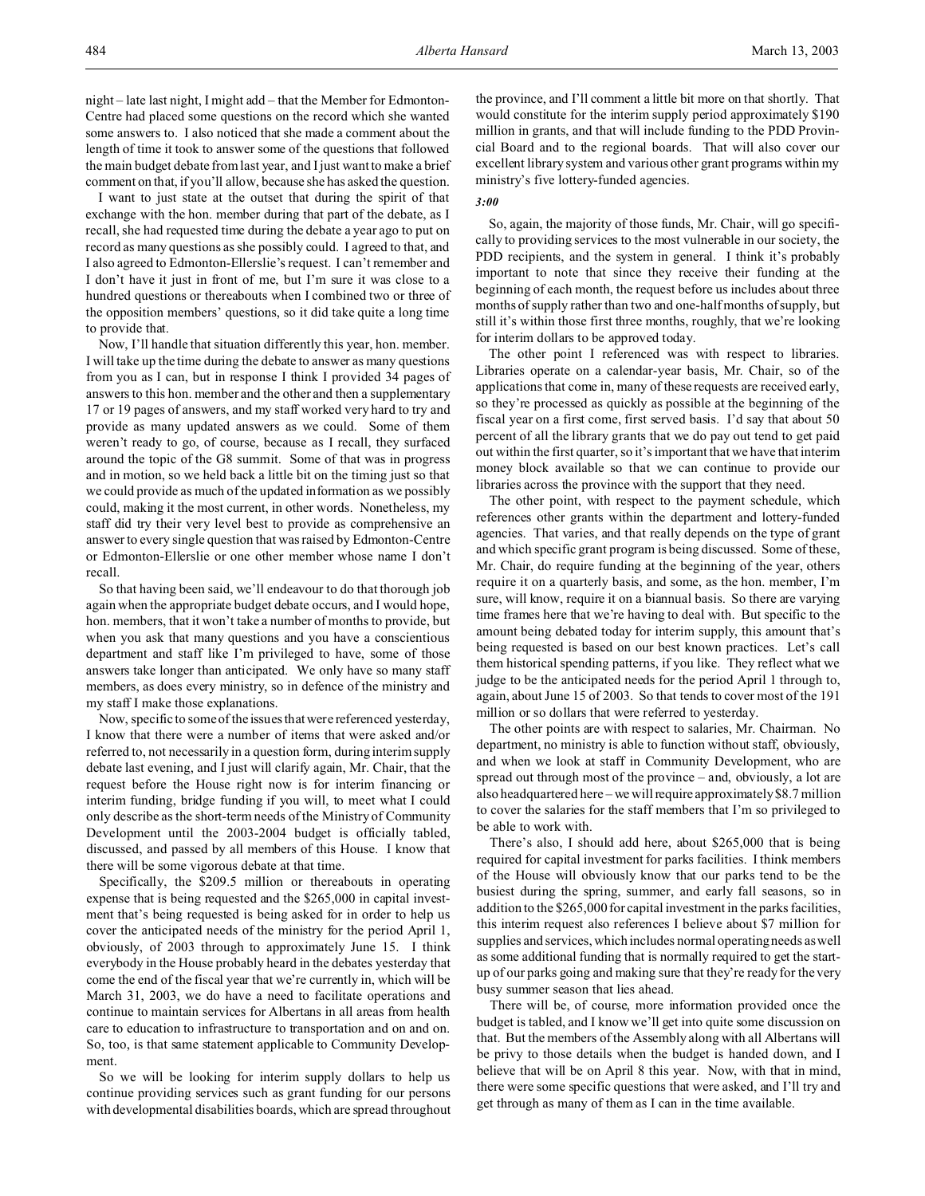night – late last night, I might add – that the Member for Edmonton-Centre had placed some questions on the record which she wanted some answers to. I also noticed that she made a comment about the length of time it took to answer some of the questions that followed the main budget debate from last year, and I just want to make a brief comment on that, if you'll allow, because she has asked the question.

I want to just state at the outset that during the spirit of that exchange with the hon. member during that part of the debate, as I recall, she had requested time during the debate a year ago to put on record as many questions as she possibly could. I agreed to that, and I also agreed to Edmonton-Ellerslie's request. I can't remember and I don't have it just in front of me, but I'm sure it was close to a hundred questions or thereabouts when I combined two or three of the opposition members' questions, so it did take quite a long time to provide that.

Now, I'll handle that situation differently this year, hon. member. I will take up the time during the debate to answer as many questions from you as I can, but in response I think I provided 34 pages of answers to this hon. member and the other and then a supplementary 17 or 19 pages of answers, and my staff worked very hard to try and provide as many updated answers as we could. Some of them weren't ready to go, of course, because as I recall, they surfaced around the topic of the G8 summit. Some of that was in progress and in motion, so we held back a little bit on the timing just so that we could provide as much of the updated information as we possibly could, making it the most current, in other words. Nonetheless, my staff did try their very level best to provide as comprehensive an answer to every single question that was raised by Edmonton-Centre or Edmonton-Ellerslie or one other member whose name I don't recall.

So that having been said, we'll endeavour to do that thorough job again when the appropriate budget debate occurs, and I would hope, hon. members, that it won't take a number of months to provide, but when you ask that many questions and you have a conscientious department and staff like I'm privileged to have, some of those answers take longer than anticipated. We only have so many staff members, as does every ministry, so in defence of the ministry and my staff I make those explanations.

Now, specific to some of the issues that were referenced yesterday, I know that there were a number of items that were asked and/or referred to, not necessarily in a question form, during interim supply debate last evening, and I just will clarify again, Mr. Chair, that the request before the House right now is for interim financing or interim funding, bridge funding if you will, to meet what I could only describe as the short-term needs of the Ministry of Community Development until the 2003-2004 budget is officially tabled, discussed, and passed by all members of this House. I know that there will be some vigorous debate at that time.

Specifically, the \$209.5 million or thereabouts in operating expense that is being requested and the \$265,000 in capital investment that's being requested is being asked for in order to help us cover the anticipated needs of the ministry for the period April 1, obviously, of 2003 through to approximately June 15. I think everybody in the House probably heard in the debates yesterday that come the end of the fiscal year that we're currently in, which will be March 31, 2003, we do have a need to facilitate operations and continue to maintain services for Albertans in all areas from health care to education to infrastructure to transportation and on and on. So, too, is that same statement applicable to Community Development.

So we will be looking for interim supply dollars to help us continue providing services such as grant funding for our persons with developmental disabilities boards, which are spread throughout the province, and I'll comment a little bit more on that shortly. That would constitute for the interim supply period approximately \$190 million in grants, and that will include funding to the PDD Provincial Board and to the regional boards. That will also cover our excellent library system and various other grant programs within my ministry's five lottery-funded agencies.

## *3:00*

So, again, the majority of those funds, Mr. Chair, will go specifically to providing services to the most vulnerable in our society, the PDD recipients, and the system in general. I think it's probably important to note that since they receive their funding at the beginning of each month, the request before us includes about three months of supply rather than two and one-half months of supply, but still it's within those first three months, roughly, that we're looking for interim dollars to be approved today.

The other point I referenced was with respect to libraries. Libraries operate on a calendar-year basis, Mr. Chair, so of the applications that come in, many of these requests are received early, so they're processed as quickly as possible at the beginning of the fiscal year on a first come, first served basis. I'd say that about 50 percent of all the library grants that we do pay out tend to get paid out within the first quarter, so it's important that we have that interim money block available so that we can continue to provide our libraries across the province with the support that they need.

The other point, with respect to the payment schedule, which references other grants within the department and lottery-funded agencies. That varies, and that really depends on the type of grant and which specific grant program is being discussed. Some of these, Mr. Chair, do require funding at the beginning of the year, others require it on a quarterly basis, and some, as the hon. member, I'm sure, will know, require it on a biannual basis. So there are varying time frames here that we're having to deal with. But specific to the amount being debated today for interim supply, this amount that's being requested is based on our best known practices. Let's call them historical spending patterns, if you like. They reflect what we judge to be the anticipated needs for the period April 1 through to, again, about June 15 of 2003. So that tends to cover most of the 191 million or so dollars that were referred to yesterday.

The other points are with respect to salaries, Mr. Chairman. No department, no ministry is able to function without staff, obviously, and when we look at staff in Community Development, who are spread out through most of the province – and, obviously, a lot are also headquartered here – we will require approximately \$8.7 million to cover the salaries for the staff members that I'm so privileged to be able to work with.

There's also, I should add here, about \$265,000 that is being required for capital investment for parks facilities. I think members of the House will obviously know that our parks tend to be the busiest during the spring, summer, and early fall seasons, so in addition to the \$265,000 for capital investment in the parks facilities, this interim request also references I believe about \$7 million for supplies and services, which includes normal operating needs as well as some additional funding that is normally required to get the startup of our parks going and making sure that they're ready for the very busy summer season that lies ahead.

There will be, of course, more information provided once the budget is tabled, and I know we'll get into quite some discussion on that. But the members of the Assembly along with all Albertans will be privy to those details when the budget is handed down, and I believe that will be on April 8 this year. Now, with that in mind, there were some specific questions that were asked, and I'll try and get through as many of them as I can in the time available.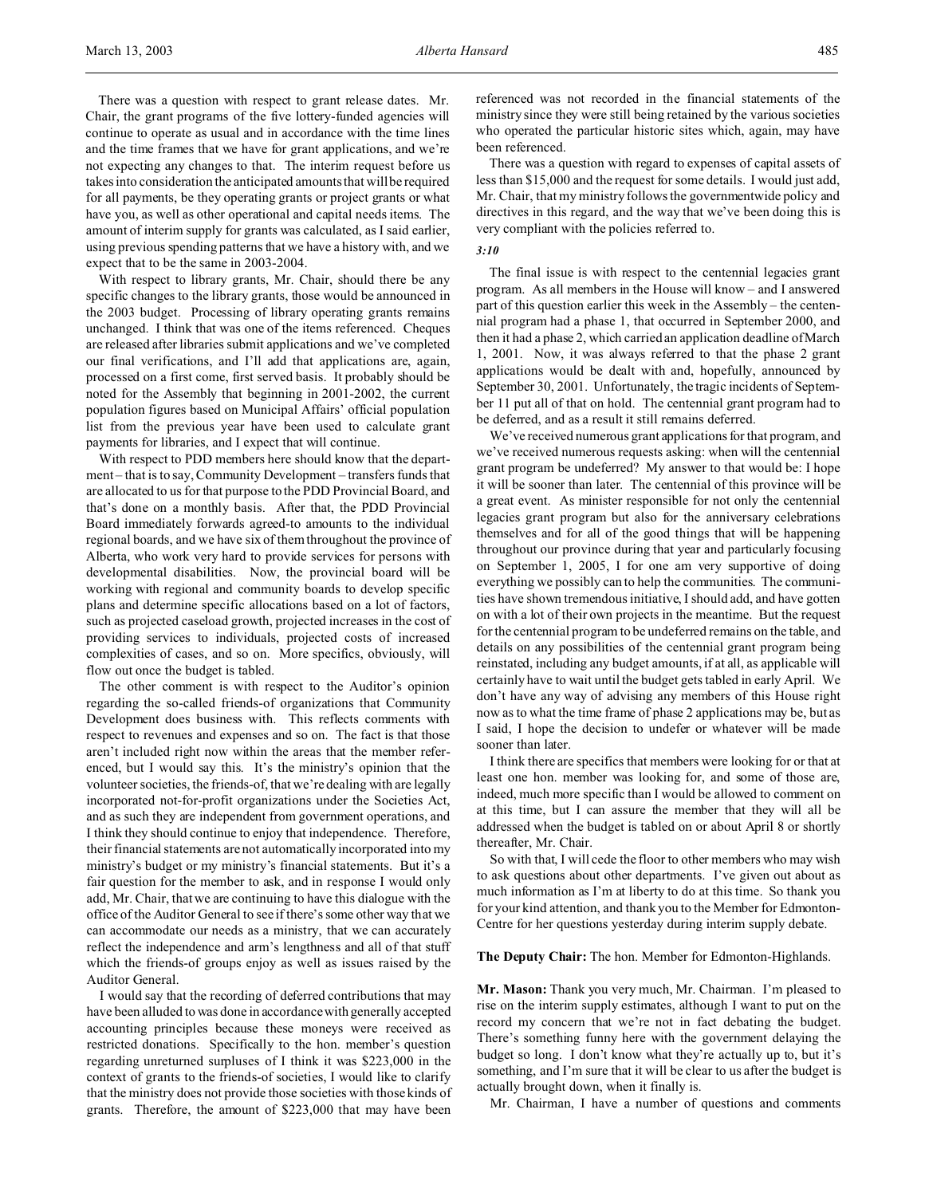There was a question with respect to grant release dates. Mr. Chair, the grant programs of the five lottery-funded agencies will continue to operate as usual and in accordance with the time lines and the time frames that we have for grant applications, and we're not expecting any changes to that. The interim request before us takes into consideration the anticipated amounts that will be required for all payments, be they operating grants or project grants or what have you, as well as other operational and capital needs items. The amount of interim supply for grants was calculated, as I said earlier, using previous spending patterns that we have a history with, and we expect that to be the same in 2003-2004.

With respect to library grants, Mr. Chair, should there be any specific changes to the library grants, those would be announced in the 2003 budget. Processing of library operating grants remains unchanged. I think that was one of the items referenced. Cheques are released after libraries submit applications and we've completed our final verifications, and I'll add that applications are, again, processed on a first come, first served basis. It probably should be noted for the Assembly that beginning in 2001-2002, the current population figures based on Municipal Affairs' official population list from the previous year have been used to calculate grant payments for libraries, and I expect that will continue.

With respect to PDD members here should know that the department – that is to say, Community Development – transfers funds that are allocated to us for that purpose to the PDD Provincial Board, and that's done on a monthly basis. After that, the PDD Provincial Board immediately forwards agreed-to amounts to the individual regional boards, and we have six of them throughout the province of Alberta, who work very hard to provide services for persons with developmental disabilities. Now, the provincial board will be working with regional and community boards to develop specific plans and determine specific allocations based on a lot of factors, such as projected caseload growth, projected increases in the cost of providing services to individuals, projected costs of increased complexities of cases, and so on. More specifics, obviously, will flow out once the budget is tabled.

The other comment is with respect to the Auditor's opinion regarding the so-called friends-of organizations that Community Development does business with. This reflects comments with respect to revenues and expenses and so on. The fact is that those aren't included right now within the areas that the member referenced, but I would say this. It's the ministry's opinion that the volunteer societies, the friends-of, that we're dealing with are legally incorporated not-for-profit organizations under the Societies Act, and as such they are independent from government operations, and I think they should continue to enjoy that independence. Therefore, their financial statements are not automatically incorporated into my ministry's budget or my ministry's financial statements. But it's a fair question for the member to ask, and in response I would only add, Mr. Chair, that we are continuing to have this dialogue with the office of the Auditor General to see if there's some other way that we can accommodate our needs as a ministry, that we can accurately reflect the independence and arm's lengthness and all of that stuff which the friends-of groups enjoy as well as issues raised by the Auditor General.

I would say that the recording of deferred contributions that may have been alluded to was done in accordance with generally accepted accounting principles because these moneys were received as restricted donations. Specifically to the hon. member's question regarding unreturned surpluses of I think it was \$223,000 in the context of grants to the friends-of societies, I would like to clarify that the ministry does not provide those societies with those kinds of grants. Therefore, the amount of \$223,000 that may have been

referenced was not recorded in the financial statements of the ministry since they were still being retained by the various societies who operated the particular historic sites which, again, may have been referenced.

There was a question with regard to expenses of capital assets of less than \$15,000 and the request for some details. I would just add, Mr. Chair, that my ministry follows the governmentwide policy and directives in this regard, and the way that we've been doing this is very compliant with the policies referred to.

# *3:10*

The final issue is with respect to the centennial legacies grant program. As all members in the House will know – and I answered part of this question earlier this week in the Assembly – the centennial program had a phase 1, that occurred in September 2000, and then it had a phase 2, which carried an application deadline of March 1, 2001. Now, it was always referred to that the phase 2 grant applications would be dealt with and, hopefully, announced by September 30, 2001. Unfortunately, the tragic incidents of September 11 put all of that on hold. The centennial grant program had to be deferred, and as a result it still remains deferred.

We've received numerous grant applications for that program, and we've received numerous requests asking: when will the centennial grant program be undeferred? My answer to that would be: I hope it will be sooner than later. The centennial of this province will be a great event. As minister responsible for not only the centennial legacies grant program but also for the anniversary celebrations themselves and for all of the good things that will be happening throughout our province during that year and particularly focusing on September 1, 2005, I for one am very supportive of doing everything we possibly can to help the communities. The communities have shown tremendous initiative, I should add, and have gotten on with a lot of their own projects in the meantime. But the request for the centennial program to be undeferred remains on the table, and details on any possibilities of the centennial grant program being reinstated, including any budget amounts, if at all, as applicable will certainly have to wait until the budget gets tabled in early April. We don't have any way of advising any members of this House right now as to what the time frame of phase 2 applications may be, but as I said, I hope the decision to undefer or whatever will be made sooner than later.

I think there are specifics that members were looking for or that at least one hon. member was looking for, and some of those are, indeed, much more specific than I would be allowed to comment on at this time, but I can assure the member that they will all be addressed when the budget is tabled on or about April 8 or shortly thereafter, Mr. Chair.

So with that, I will cede the floor to other members who may wish to ask questions about other departments. I've given out about as much information as I'm at liberty to do at this time. So thank you for your kind attention, and thank you to the Member for Edmonton-Centre for her questions yesterday during interim supply debate.

**The Deputy Chair:** The hon. Member for Edmonton-Highlands.

**Mr. Mason:** Thank you very much, Mr. Chairman. I'm pleased to rise on the interim supply estimates, although I want to put on the record my concern that we're not in fact debating the budget. There's something funny here with the government delaying the budget so long. I don't know what they're actually up to, but it's something, and I'm sure that it will be clear to us after the budget is actually brought down, when it finally is.

Mr. Chairman, I have a number of questions and comments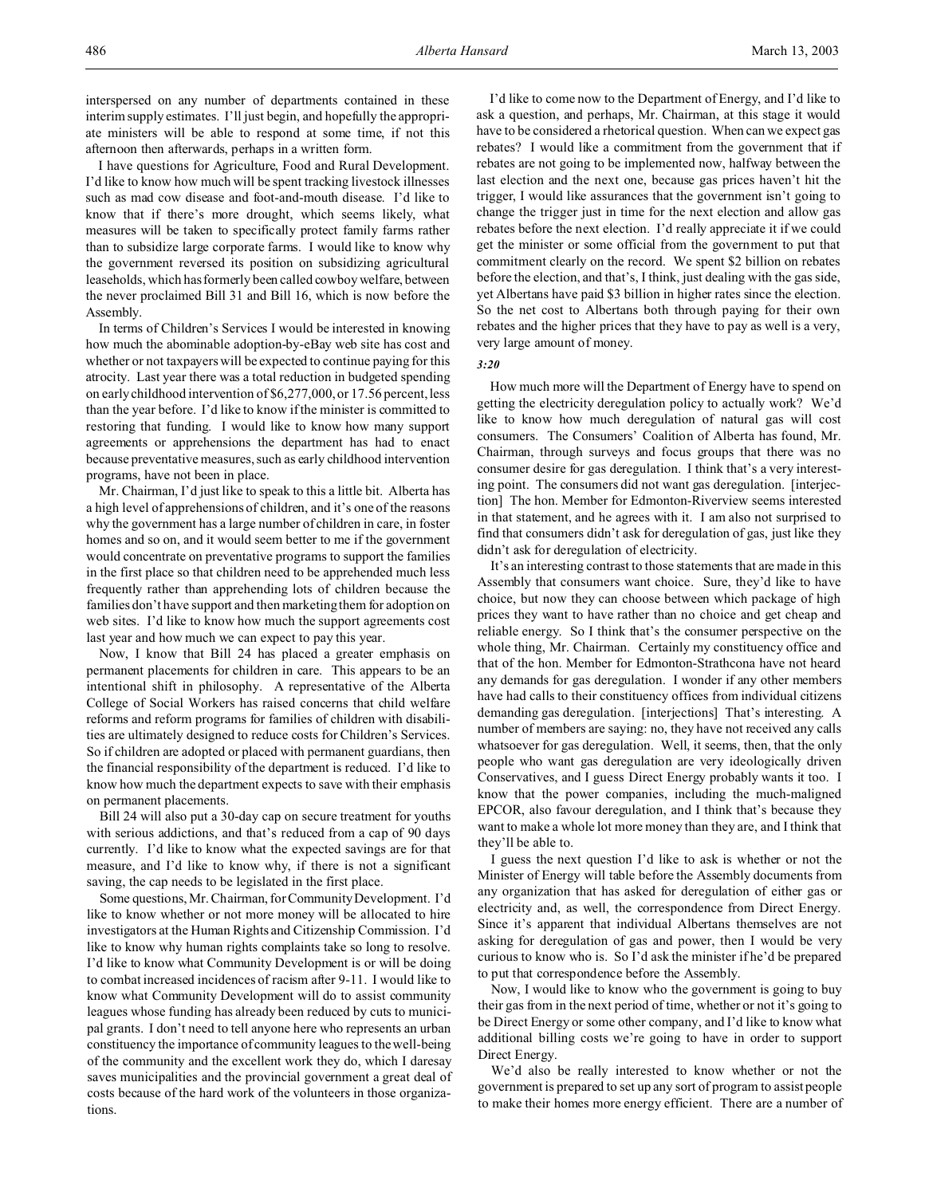I have questions for Agriculture, Food and Rural Development. I'd like to know how much will be spent tracking livestock illnesses such as mad cow disease and foot-and-mouth disease. I'd like to know that if there's more drought, which seems likely, what measures will be taken to specifically protect family farms rather than to subsidize large corporate farms. I would like to know why the government reversed its position on subsidizing agricultural leaseholds, which has formerly been called cowboy welfare, between the never proclaimed Bill 31 and Bill 16, which is now before the Assembly.

In terms of Children's Services I would be interested in knowing how much the abominable adoption-by-eBay web site has cost and whether or not taxpayers will be expected to continue paying for this atrocity. Last year there was a total reduction in budgeted spending on early childhood intervention of \$6,277,000, or 17.56 percent, less than the year before. I'd like to know if the minister is committed to restoring that funding. I would like to know how many support agreements or apprehensions the department has had to enact because preventative measures, such as early childhood intervention programs, have not been in place.

Mr. Chairman, I'd just like to speak to this a little bit. Alberta has a high level of apprehensions of children, and it's one of the reasons why the government has a large number of children in care, in foster homes and so on, and it would seem better to me if the government would concentrate on preventative programs to support the families in the first place so that children need to be apprehended much less frequently rather than apprehending lots of children because the families don't have support and then marketing them for adoption on web sites. I'd like to know how much the support agreements cost last year and how much we can expect to pay this year.

Now, I know that Bill 24 has placed a greater emphasis on permanent placements for children in care. This appears to be an intentional shift in philosophy. A representative of the Alberta College of Social Workers has raised concerns that child welfare reforms and reform programs for families of children with disabilities are ultimately designed to reduce costs for Children's Services. So if children are adopted or placed with permanent guardians, then the financial responsibility of the department is reduced. I'd like to know how much the department expects to save with their emphasis on permanent placements.

Bill 24 will also put a 30-day cap on secure treatment for youths with serious addictions, and that's reduced from a cap of 90 days currently. I'd like to know what the expected savings are for that measure, and I'd like to know why, if there is not a significant saving, the cap needs to be legislated in the first place.

Some questions, Mr. Chairman, forCommunity Development. I'd like to know whether or not more money will be allocated to hire investigators at the Human Rights and Citizenship Commission. I'd like to know why human rights complaints take so long to resolve. I'd like to know what Community Development is or will be doing to combat increased incidences of racism after 9-11. I would like to know what Community Development will do to assist community leagues whose funding has already been reduced by cuts to municipal grants. I don't need to tell anyone here who represents an urban constituency the importance of community leagues to the well-being of the community and the excellent work they do, which I daresay saves municipalities and the provincial government a great deal of costs because of the hard work of the volunteers in those organizations.

I'd like to come now to the Department of Energy, and I'd like to ask a question, and perhaps, Mr. Chairman, at this stage it would have to be considered a rhetorical question. When can we expect gas rebates? I would like a commitment from the government that if rebates are not going to be implemented now, halfway between the last election and the next one, because gas prices haven't hit the trigger, I would like assurances that the government isn't going to change the trigger just in time for the next election and allow gas rebates before the next election. I'd really appreciate it if we could get the minister or some official from the government to put that commitment clearly on the record. We spent \$2 billion on rebates before the election, and that's, I think, just dealing with the gas side, yet Albertans have paid \$3 billion in higher rates since the election. So the net cost to Albertans both through paying for their own rebates and the higher prices that they have to pay as well is a very, very large amount of money.

### *3:20*

How much more will the Department of Energy have to spend on getting the electricity deregulation policy to actually work? We'd like to know how much deregulation of natural gas will cost consumers. The Consumers' Coalition of Alberta has found, Mr. Chairman, through surveys and focus groups that there was no consumer desire for gas deregulation. I think that's a very interesting point. The consumers did not want gas deregulation. [interjection] The hon. Member for Edmonton-Riverview seems interested in that statement, and he agrees with it. I am also not surprised to find that consumers didn't ask for deregulation of gas, just like they didn't ask for deregulation of electricity.

It's an interesting contrast to those statements that are made in this Assembly that consumers want choice. Sure, they'd like to have choice, but now they can choose between which package of high prices they want to have rather than no choice and get cheap and reliable energy. So I think that's the consumer perspective on the whole thing, Mr. Chairman. Certainly my constituency office and that of the hon. Member for Edmonton-Strathcona have not heard any demands for gas deregulation. I wonder if any other members have had calls to their constituency offices from individual citizens demanding gas deregulation. [interjections] That's interesting. A number of members are saying: no, they have not received any calls whatsoever for gas deregulation. Well, it seems, then, that the only people who want gas deregulation are very ideologically driven Conservatives, and I guess Direct Energy probably wants it too. I know that the power companies, including the much-maligned EPCOR, also favour deregulation, and I think that's because they want to make a whole lot more money than they are, and I think that they'll be able to.

I guess the next question I'd like to ask is whether or not the Minister of Energy will table before the Assembly documents from any organization that has asked for deregulation of either gas or electricity and, as well, the correspondence from Direct Energy. Since it's apparent that individual Albertans themselves are not asking for deregulation of gas and power, then I would be very curious to know who is. So I'd ask the minister if he'd be prepared to put that correspondence before the Assembly.

Now, I would like to know who the government is going to buy their gas from in the next period of time, whether or not it's going to be Direct Energy or some other company, and I'd like to know what additional billing costs we're going to have in order to support Direct Energy.

We'd also be really interested to know whether or not the government is prepared to set up any sort of program to assist people to make their homes more energy efficient. There are a number of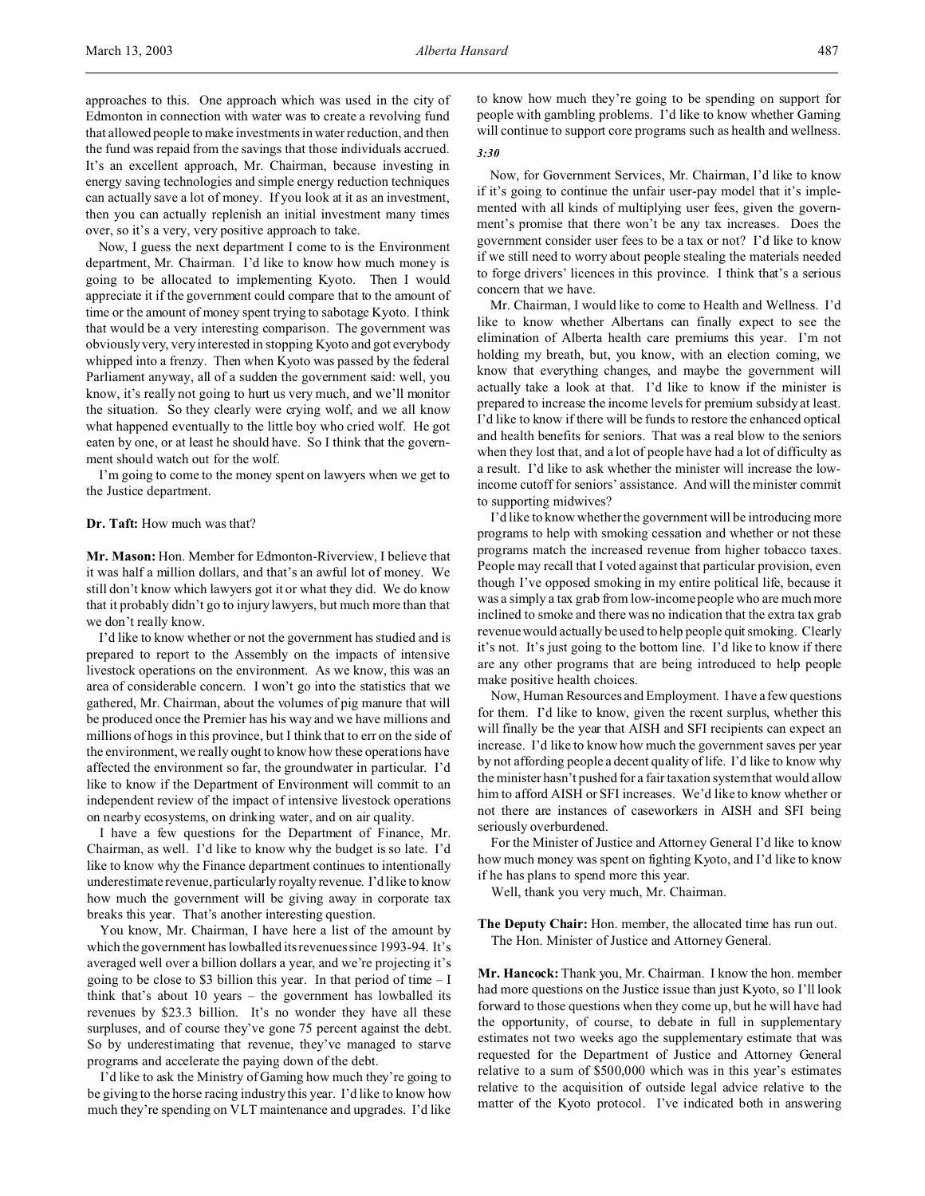approaches to this. One approach which was used in the city of Edmonton in connection with water was to create a revolving fund that allowed people to make investments in water reduction, and then the fund was repaid from the savings that those individuals accrued. It's an excellent approach, Mr. Chairman, because investing in energy saving technologies and simple energy reduction techniques can actually save a lot of money. If you look at it as an investment, then you can actually replenish an initial investment many times over, so it's a very, very positive approach to take.

Now, I guess the next department I come to is the Environment department, Mr. Chairman. I'd like to know how much money is going to be allocated to implementing Kyoto. Then I would appreciate it if the government could compare that to the amount of time or the amount of money spent trying to sabotage Kyoto. I think that would be a very interesting comparison. The government was obviously very, very interested in stopping Kyoto and got everybody whipped into a frenzy. Then when Kyoto was passed by the federal Parliament anyway, all of a sudden the government said: well, you know, it's really not going to hurt us very much, and we'll monitor the situation. So they clearly were crying wolf, and we all know what happened eventually to the little boy who cried wolf. He got eaten by one, or at least he should have. So I think that the government should watch out for the wolf.

I'm going to come to the money spent on lawyers when we get to the Justice department.

# **Dr. Taft:** How much was that?

**Mr. Mason:** Hon. Member for Edmonton-Riverview, I believe that it was half a million dollars, and that's an awful lot of money. We still don't know which lawyers got it or what they did. We do know that it probably didn't go to injury lawyers, but much more than that we don't really know.

I'd like to know whether or not the government has studied and is prepared to report to the Assembly on the impacts of intensive livestock operations on the environment. As we know, this was an area of considerable concern. I won't go into the statistics that we gathered, Mr. Chairman, about the volumes of pig manure that will be produced once the Premier has his way and we have millions and millions of hogs in this province, but I think that to err on the side of the environment, we really ought to know how these operations have affected the environment so far, the groundwater in particular. I'd like to know if the Department of Environment will commit to an independent review of the impact of intensive livestock operations on nearby ecosystems, on drinking water, and on air quality.

I have a few questions for the Department of Finance, Mr. Chairman, as well. I'd like to know why the budget is so late. I'd like to know why the Finance department continues to intentionally underestimate revenue, particularly royalty revenue. I'd like to know how much the government will be giving away in corporate tax breaks this year. That's another interesting question.

You know, Mr. Chairman, I have here a list of the amount by which the government has lowballed its revenues since 1993-94. It's averaged well over a billion dollars a year, and we're projecting it's going to be close to \$3 billion this year. In that period of time  $-1$ think that's about 10 years – the government has lowballed its revenues by \$23.3 billion. It's no wonder they have all these surpluses, and of course they've gone 75 percent against the debt. So by underestimating that revenue, they've managed to starve programs and accelerate the paying down of the debt.

I'd like to ask the Ministry of Gaming how much they're going to be giving to the horse racing industry this year. I'd like to know how much they're spending on VLT maintenance and upgrades. I'd like

to know how much they're going to be spending on support for people with gambling problems. I'd like to know whether Gaming will continue to support core programs such as health and wellness. *3:30*

Now, for Government Services, Mr. Chairman, I'd like to know if it's going to continue the unfair user-pay model that it's implemented with all kinds of multiplying user fees, given the government's promise that there won't be any tax increases. Does the government consider user fees to be a tax or not? I'd like to know if we still need to worry about people stealing the materials needed to forge drivers' licences in this province. I think that's a serious concern that we have.

Mr. Chairman, I would like to come to Health and Wellness. I'd like to know whether Albertans can finally expect to see the elimination of Alberta health care premiums this year. I'm not holding my breath, but, you know, with an election coming, we know that everything changes, and maybe the government will actually take a look at that. I'd like to know if the minister is prepared to increase the income levels for premium subsidy at least. I'd like to know if there will be funds to restore the enhanced optical and health benefits for seniors. That was a real blow to the seniors when they lost that, and a lot of people have had a lot of difficulty as a result. I'd like to ask whether the minister will increase the lowincome cutoff for seniors' assistance. And will the minister commit to supporting midwives?

I'd like to know whether the government will be introducing more programs to help with smoking cessation and whether or not these programs match the increased revenue from higher tobacco taxes. People may recall that I voted against that particular provision, even though I've opposed smoking in my entire political life, because it was a simply a tax grab from low-income people who are much more inclined to smoke and there was no indication that the extra tax grab revenue would actually be used to help people quit smoking. Clearly it's not. It's just going to the bottom line. I'd like to know if there are any other programs that are being introduced to help people make positive health choices.

Now, Human Resources and Employment. I have a few questions for them. I'd like to know, given the recent surplus, whether this will finally be the year that AISH and SFI recipients can expect an increase. I'd like to know how much the government saves per year by not affording people a decent quality of life. I'd like to know why the minister hasn't pushed for a fair taxation system that would allow him to afford AISH or SFI increases. We'd like to know whether or not there are instances of caseworkers in AISH and SFI being seriously overburdened.

For the Minister of Justice and Attorney General I'd like to know how much money was spent on fighting Kyoto, and I'd like to know if he has plans to spend more this year.

Well, thank you very much, Mr. Chairman.

**The Deputy Chair:** Hon. member, the allocated time has run out. The Hon. Minister of Justice and Attorney General.

**Mr. Hancock:** Thank you, Mr. Chairman. I know the hon. member had more questions on the Justice issue than just Kyoto, so I'll look forward to those questions when they come up, but he will have had the opportunity, of course, to debate in full in supplementary estimates not two weeks ago the supplementary estimate that was requested for the Department of Justice and Attorney General relative to a sum of \$500,000 which was in this year's estimates relative to the acquisition of outside legal advice relative to the matter of the Kyoto protocol. I've indicated both in answering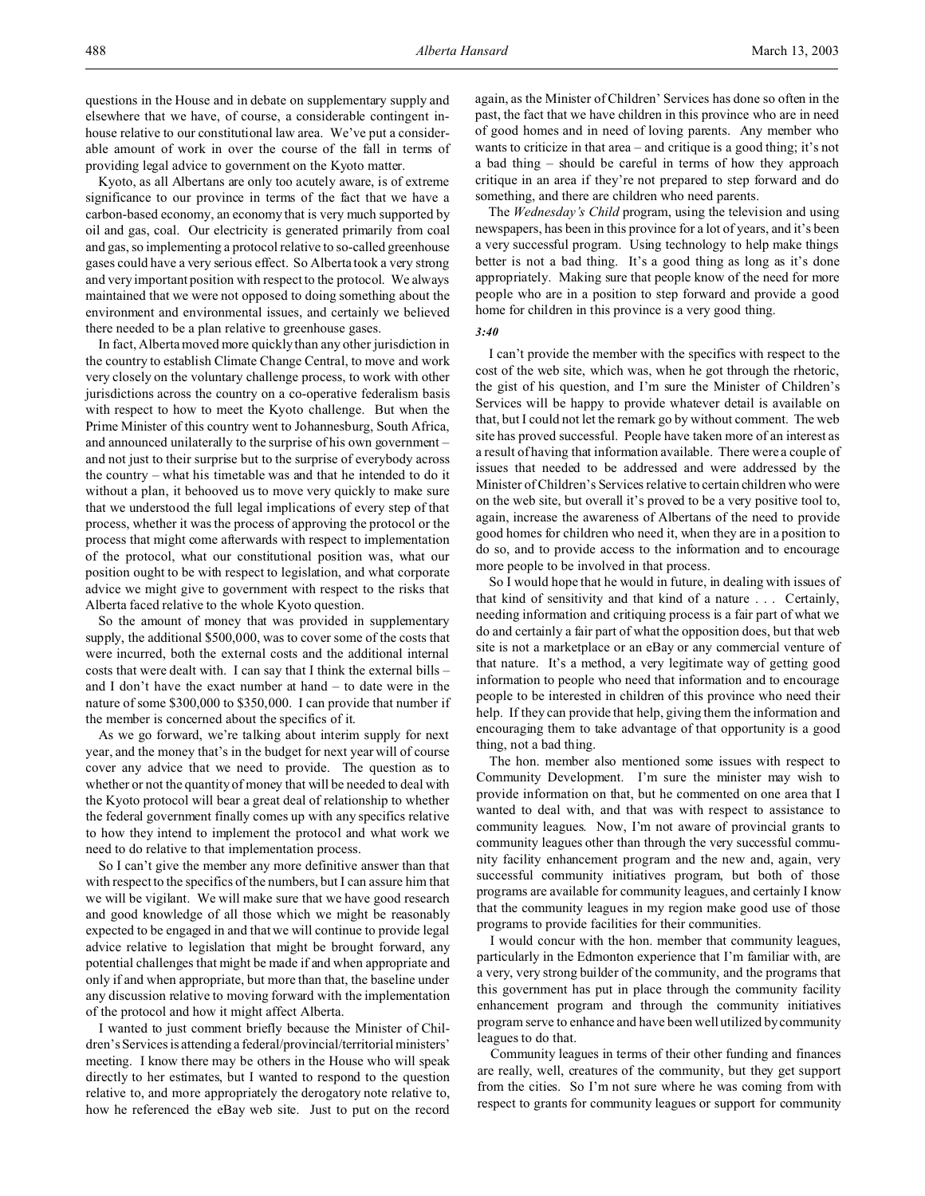Kyoto, as all Albertans are only too acutely aware, is of extreme significance to our province in terms of the fact that we have a carbon-based economy, an economy that is very much supported by oil and gas, coal. Our electricity is generated primarily from coal and gas, so implementing a protocol relative to so-called greenhouse gases could have a very serious effect. So Alberta took a very strong and very important position with respect to the protocol. We always maintained that we were not opposed to doing something about the environment and environmental issues, and certainly we believed there needed to be a plan relative to greenhouse gases.

In fact, Alberta moved more quickly than any other jurisdiction in the country to establish Climate Change Central, to move and work very closely on the voluntary challenge process, to work with other jurisdictions across the country on a co-operative federalism basis with respect to how to meet the Kyoto challenge. But when the Prime Minister of this country went to Johannesburg, South Africa, and announced unilaterally to the surprise of his own government – and not just to their surprise but to the surprise of everybody across the country – what his timetable was and that he intended to do it without a plan, it behooved us to move very quickly to make sure that we understood the full legal implications of every step of that process, whether it was the process of approving the protocol or the process that might come afterwards with respect to implementation of the protocol, what our constitutional position was, what our position ought to be with respect to legislation, and what corporate advice we might give to government with respect to the risks that Alberta faced relative to the whole Kyoto question.

So the amount of money that was provided in supplementary supply, the additional \$500,000, was to cover some of the costs that were incurred, both the external costs and the additional internal costs that were dealt with. I can say that I think the external bills – and I don't have the exact number at hand – to date were in the nature of some \$300,000 to \$350,000. I can provide that number if the member is concerned about the specifics of it.

As we go forward, we're talking about interim supply for next year, and the money that's in the budget for next year will of course cover any advice that we need to provide. The question as to whether or not the quantity of money that will be needed to deal with the Kyoto protocol will bear a great deal of relationship to whether the federal government finally comes up with any specifics relative to how they intend to implement the protocol and what work we need to do relative to that implementation process.

So I can't give the member any more definitive answer than that with respect to the specifics of the numbers, but I can assure him that we will be vigilant. We will make sure that we have good research and good knowledge of all those which we might be reasonably expected to be engaged in and that we will continue to provide legal advice relative to legislation that might be brought forward, any potential challenges that might be made if and when appropriate and only if and when appropriate, but more than that, the baseline under any discussion relative to moving forward with the implementation of the protocol and how it might affect Alberta.

I wanted to just comment briefly because the Minister of Children's Services is attending a federal/provincial/territorial ministers' meeting. I know there may be others in the House who will speak directly to her estimates, but I wanted to respond to the question relative to, and more appropriately the derogatory note relative to, how he referenced the eBay web site. Just to put on the record

again, as the Minister of Children' Services has done so often in the past, the fact that we have children in this province who are in need of good homes and in need of loving parents. Any member who wants to criticize in that area – and critique is a good thing; it's not a bad thing – should be careful in terms of how they approach critique in an area if they're not prepared to step forward and do something, and there are children who need parents.

The *Wednesday's Child* program, using the television and using newspapers, has been in this province for a lot of years, and it's been a very successful program. Using technology to help make things better is not a bad thing. It's a good thing as long as it's done appropriately. Making sure that people know of the need for more people who are in a position to step forward and provide a good home for children in this province is a very good thing.

*3:40*

I can't provide the member with the specifics with respect to the cost of the web site, which was, when he got through the rhetoric, the gist of his question, and I'm sure the Minister of Children's Services will be happy to provide whatever detail is available on that, but I could not let the remark go by without comment. The web site has proved successful. People have taken more of an interest as a result of having that information available. There were a couple of issues that needed to be addressed and were addressed by the Minister of Children's Services relative to certain children who were on the web site, but overall it's proved to be a very positive tool to, again, increase the awareness of Albertans of the need to provide good homes for children who need it, when they are in a position to do so, and to provide access to the information and to encourage more people to be involved in that process.

So I would hope that he would in future, in dealing with issues of that kind of sensitivity and that kind of a nature . . . Certainly, needing information and critiquing process is a fair part of what we do and certainly a fair part of what the opposition does, but that web site is not a marketplace or an eBay or any commercial venture of that nature. It's a method, a very legitimate way of getting good information to people who need that information and to encourage people to be interested in children of this province who need their help. If they can provide that help, giving them the information and encouraging them to take advantage of that opportunity is a good thing, not a bad thing.

The hon. member also mentioned some issues with respect to Community Development. I'm sure the minister may wish to provide information on that, but he commented on one area that I wanted to deal with, and that was with respect to assistance to community leagues. Now, I'm not aware of provincial grants to community leagues other than through the very successful community facility enhancement program and the new and, again, very successful community initiatives program, but both of those programs are available for community leagues, and certainly I know that the community leagues in my region make good use of those programs to provide facilities for their communities.

I would concur with the hon. member that community leagues, particularly in the Edmonton experience that I'm familiar with, are a very, very strong builder of the community, and the programs that this government has put in place through the community facility enhancement program and through the community initiatives program serve to enhance and have been well utilized by community leagues to do that.

Community leagues in terms of their other funding and finances are really, well, creatures of the community, but they get support from the cities. So I'm not sure where he was coming from with respect to grants for community leagues or support for community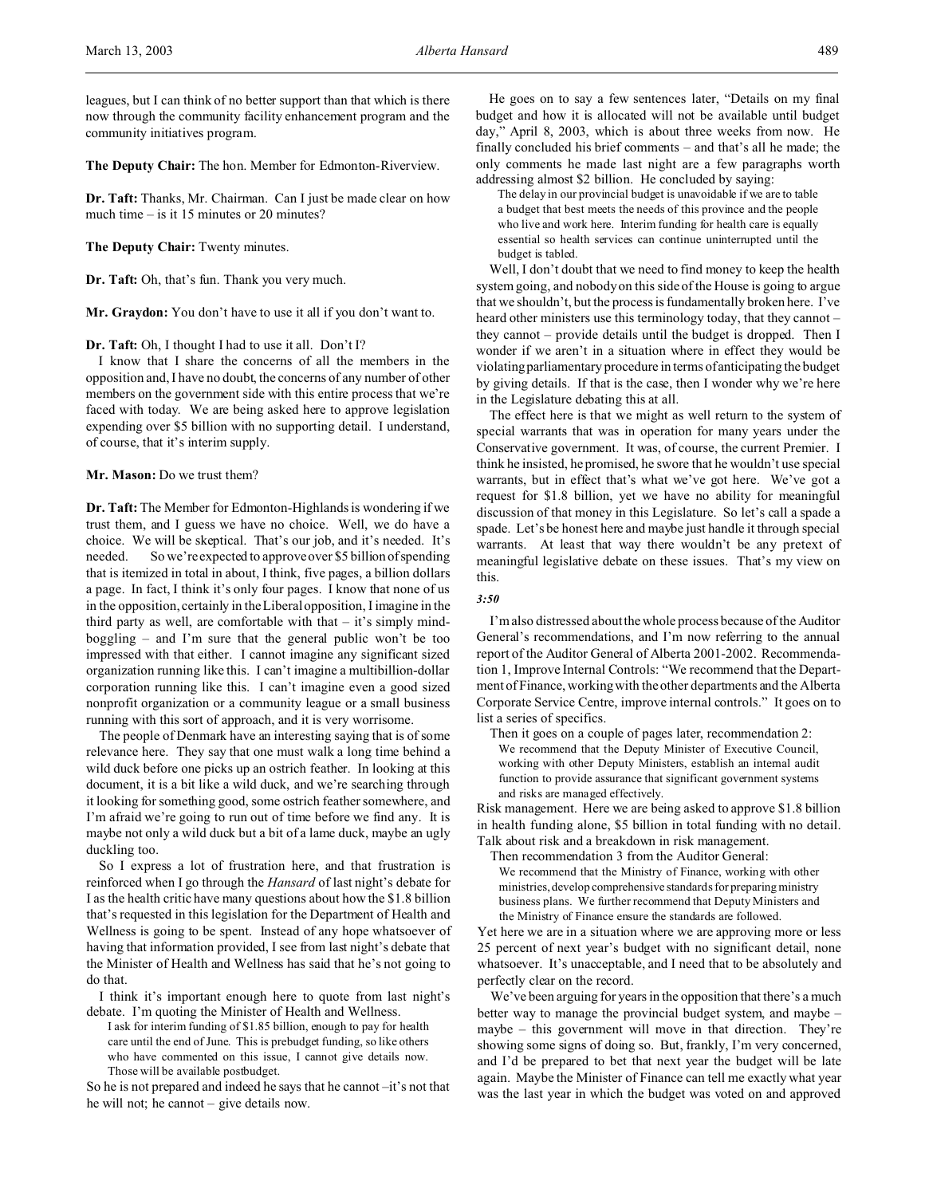leagues, but I can think of no better support than that which is there now through the community facility enhancement program and the community initiatives program.

**The Deputy Chair:** The hon. Member for Edmonton-Riverview.

**Dr. Taft:** Thanks, Mr. Chairman. Can I just be made clear on how much time – is it 15 minutes or 20 minutes?

### **The Deputy Chair:** Twenty minutes.

**Dr. Taft:** Oh, that's fun. Thank you very much.

**Mr. Graydon:** You don't have to use it all if you don't want to.

### **Dr. Taft:** Oh, I thought I had to use it all. Don't I?

I know that I share the concerns of all the members in the opposition and, I have no doubt, the concerns of any number of other members on the government side with this entire process that we're faced with today. We are being asked here to approve legislation expending over \$5 billion with no supporting detail. I understand, of course, that it's interim supply.

## **Mr. Mason:** Do we trust them?

**Dr. Taft:** The Member for Edmonton-Highlands is wondering if we trust them, and I guess we have no choice. Well, we do have a choice. We will be skeptical. That's our job, and it's needed. It's needed. So we're expected to approve over \$5 billion of spending that is itemized in total in about, I think, five pages, a billion dollars a page. In fact, I think it's only four pages. I know that none of us in the opposition, certainly in the Liberal opposition, I imagine in the third party as well, are comfortable with that  $-$  it's simply mindboggling – and I'm sure that the general public won't be too impressed with that either. I cannot imagine any significant sized organization running like this. I can't imagine a multibillion-dollar corporation running like this. I can't imagine even a good sized nonprofit organization or a community league or a small business running with this sort of approach, and it is very worrisome.

The people of Denmark have an interesting saying that is of some relevance here. They say that one must walk a long time behind a wild duck before one picks up an ostrich feather. In looking at this document, it is a bit like a wild duck, and we're searching through it looking for something good, some ostrich feather somewhere, and I'm afraid we're going to run out of time before we find any. It is maybe not only a wild duck but a bit of a lame duck, maybe an ugly duckling too.

So I express a lot of frustration here, and that frustration is reinforced when I go through the *Hansard* of last night's debate for I as the health critic have many questions about how the \$1.8 billion that's requested in this legislation for the Department of Health and Wellness is going to be spent. Instead of any hope whatsoever of having that information provided, I see from last night's debate that the Minister of Health and Wellness has said that he's not going to do that.

I think it's important enough here to quote from last night's debate. I'm quoting the Minister of Health and Wellness.

I ask for interim funding of \$1.85 billion, enough to pay for health care until the end of June. This is prebudget funding, so like others who have commented on this issue, I cannot give details now. Those will be available postbudget.

So he is not prepared and indeed he says that he cannot –it's not that he will not; he cannot – give details now.

He goes on to say a few sentences later, "Details on my final budget and how it is allocated will not be available until budget day," April 8, 2003, which is about three weeks from now. He finally concluded his brief comments – and that's all he made; the only comments he made last night are a few paragraphs worth addressing almost \$2 billion. He concluded by saying:

The delay in our provincial budget is unavoidable if we are to table a budget that best meets the needs of this province and the people who live and work here. Interim funding for health care is equally essential so health services can continue uninterrupted until the budget is tabled.

Well, I don't doubt that we need to find money to keep the health system going, and nobody on this side of the House is going to argue that we shouldn't, but the process is fundamentally broken here. I've heard other ministers use this terminology today, that they cannot – they cannot – provide details until the budget is dropped. Then I wonder if we aren't in a situation where in effect they would be violating parliamentary procedure in terms of anticipating the budget by giving details. If that is the case, then I wonder why we're here in the Legislature debating this at all.

The effect here is that we might as well return to the system of special warrants that was in operation for many years under the Conservative government. It was, of course, the current Premier. I think he insisted, he promised, he swore that he wouldn't use special warrants, but in effect that's what we've got here. We've got a request for \$1.8 billion, yet we have no ability for meaningful discussion of that money in this Legislature. So let's call a spade a spade. Let's be honest here and maybe just handle it through special warrants. At least that way there wouldn't be any pretext of meaningful legislative debate on these issues. That's my view on this.

### *3:50*

I'm also distressed about the whole process because of the Auditor General's recommendations, and I'm now referring to the annual report of the Auditor General of Alberta 2001-2002. Recommendation 1, Improve Internal Controls: "We recommend that the Department of Finance, working with the other departments and the Alberta Corporate Service Centre, improve internal controls." It goes on to list a series of specifics.

Then it goes on a couple of pages later, recommendation 2: We recommend that the Deputy Minister of Executive Council, working with other Deputy Ministers, establish an internal audit function to provide assurance that significant government systems and risks are managed effectively.

Risk management. Here we are being asked to approve \$1.8 billion in health funding alone, \$5 billion in total funding with no detail. Talk about risk and a breakdown in risk management.

Then recommendation 3 from the Auditor General:

We recommend that the Ministry of Finance, working with other ministries, develop comprehensive standards for preparing ministry business plans. We further recommend that Deputy Ministers and the Ministry of Finance ensure the standards are followed.

Yet here we are in a situation where we are approving more or less 25 percent of next year's budget with no significant detail, none whatsoever. It's unacceptable, and I need that to be absolutely and perfectly clear on the record.

We've been arguing for years in the opposition that there's a much better way to manage the provincial budget system, and maybe – maybe – this government will move in that direction. They're showing some signs of doing so. But, frankly, I'm very concerned, and I'd be prepared to bet that next year the budget will be late again. Maybe the Minister of Finance can tell me exactly what year was the last year in which the budget was voted on and approved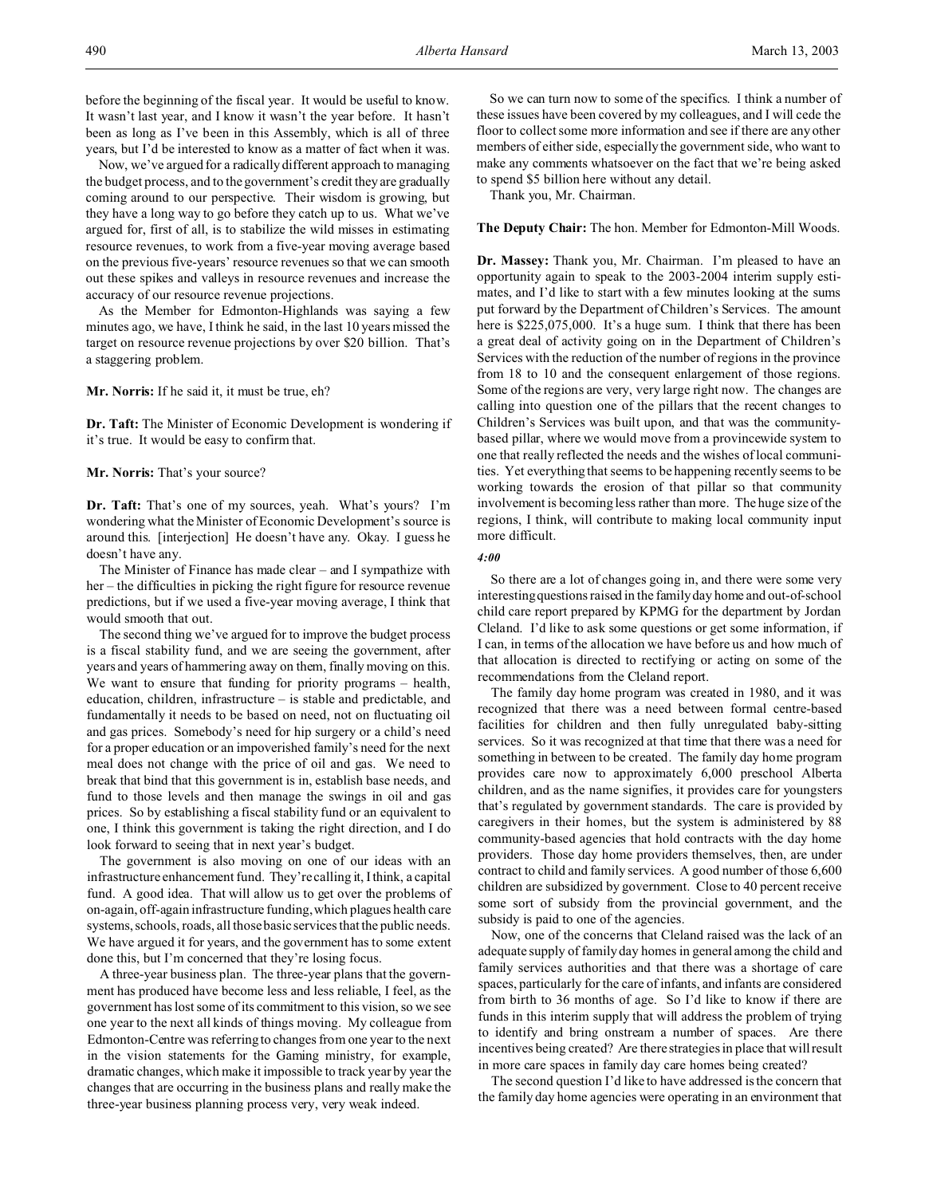Now, we've argued for a radically different approach to managing the budget process, and to the government's credit they are gradually coming around to our perspective. Their wisdom is growing, but they have a long way to go before they catch up to us. What we've argued for, first of all, is to stabilize the wild misses in estimating resource revenues, to work from a five-year moving average based on the previous five-years' resource revenues so that we can smooth out these spikes and valleys in resource revenues and increase the accuracy of our resource revenue projections.

As the Member for Edmonton-Highlands was saying a few minutes ago, we have, I think he said, in the last 10 years missed the target on resource revenue projections by over \$20 billion. That's a staggering problem.

**Mr. Norris:** If he said it, it must be true, eh?

**Dr. Taft:** The Minister of Economic Development is wondering if it's true. It would be easy to confirm that.

**Mr. Norris:** That's your source?

**Dr. Taft:** That's one of my sources, yeah. What's yours? I'm wondering what the Minister of Economic Development's source is around this. [interjection] He doesn't have any. Okay. I guess he doesn't have any.

The Minister of Finance has made clear – and I sympathize with her – the difficulties in picking the right figure for resource revenue predictions, but if we used a five-year moving average, I think that would smooth that out.

The second thing we've argued for to improve the budget process is a fiscal stability fund, and we are seeing the government, after years and years of hammering away on them, finally moving on this. We want to ensure that funding for priority programs – health, education, children, infrastructure – is stable and predictable, and fundamentally it needs to be based on need, not on fluctuating oil and gas prices. Somebody's need for hip surgery or a child's need for a proper education or an impoverished family's need for the next meal does not change with the price of oil and gas. We need to break that bind that this government is in, establish base needs, and fund to those levels and then manage the swings in oil and gas prices. So by establishing a fiscal stability fund or an equivalent to one, I think this government is taking the right direction, and I do look forward to seeing that in next year's budget.

The government is also moving on one of our ideas with an infrastructure enhancement fund. They're calling it, I think, a capital fund. A good idea. That will allow us to get over the problems of on-again, off-again infrastructure funding, which plagues health care systems, schools, roads, all those basic services that the public needs. We have argued it for years, and the government has to some extent done this, but I'm concerned that they're losing focus.

A three-year business plan. The three-year plans that the government has produced have become less and less reliable, I feel, as the government has lost some of its commitment to this vision, so we see one year to the next all kinds of things moving. My colleague from Edmonton-Centre was referring to changes from one year to the next in the vision statements for the Gaming ministry, for example, dramatic changes, which make it impossible to track year by year the changes that are occurring in the business plans and really make the three-year business planning process very, very weak indeed.

So we can turn now to some of the specifics. I think a number of these issues have been covered by my colleagues, and I will cede the floor to collect some more information and see if there are any other members of either side, especially the government side, who want to make any comments whatsoever on the fact that we're being asked to spend \$5 billion here without any detail.

Thank you, Mr. Chairman.

**The Deputy Chair:** The hon. Member for Edmonton-Mill Woods.

**Dr. Massey:** Thank you, Mr. Chairman. I'm pleased to have an opportunity again to speak to the 2003-2004 interim supply estimates, and I'd like to start with a few minutes looking at the sums put forward by the Department of Children's Services. The amount here is \$225,075,000. It's a huge sum. I think that there has been a great deal of activity going on in the Department of Children's Services with the reduction of the number of regions in the province from 18 to 10 and the consequent enlargement of those regions. Some of the regions are very, very large right now. The changes are calling into question one of the pillars that the recent changes to Children's Services was built upon, and that was the communitybased pillar, where we would move from a provincewide system to one that really reflected the needs and the wishes of local communities. Yet everything that seems to be happening recently seems to be working towards the erosion of that pillar so that community involvement is becoming less rather than more. The huge size of the regions, I think, will contribute to making local community input more difficult.

*4:00*

So there are a lot of changes going in, and there were some very interesting questions raised in the family day home and out-of-school child care report prepared by KPMG for the department by Jordan Cleland. I'd like to ask some questions or get some information, if I can, in terms of the allocation we have before us and how much of that allocation is directed to rectifying or acting on some of the recommendations from the Cleland report.

The family day home program was created in 1980, and it was recognized that there was a need between formal centre-based facilities for children and then fully unregulated baby-sitting services. So it was recognized at that time that there was a need for something in between to be created. The family day home program provides care now to approximately 6,000 preschool Alberta children, and as the name signifies, it provides care for youngsters that's regulated by government standards. The care is provided by caregivers in their homes, but the system is administered by 88 community-based agencies that hold contracts with the day home providers. Those day home providers themselves, then, are under contract to child and family services. A good number of those 6,600 children are subsidized by government. Close to 40 percent receive some sort of subsidy from the provincial government, and the subsidy is paid to one of the agencies.

Now, one of the concerns that Cleland raised was the lack of an adequate supply of family day homes in general among the child and family services authorities and that there was a shortage of care spaces, particularly for the care of infants, and infants are considered from birth to 36 months of age. So I'd like to know if there are funds in this interim supply that will address the problem of trying to identify and bring onstream a number of spaces. Are there incentives being created? Are there strategies in place that will result in more care spaces in family day care homes being created?

The second question I'd like to have addressed is the concern that the family day home agencies were operating in an environment that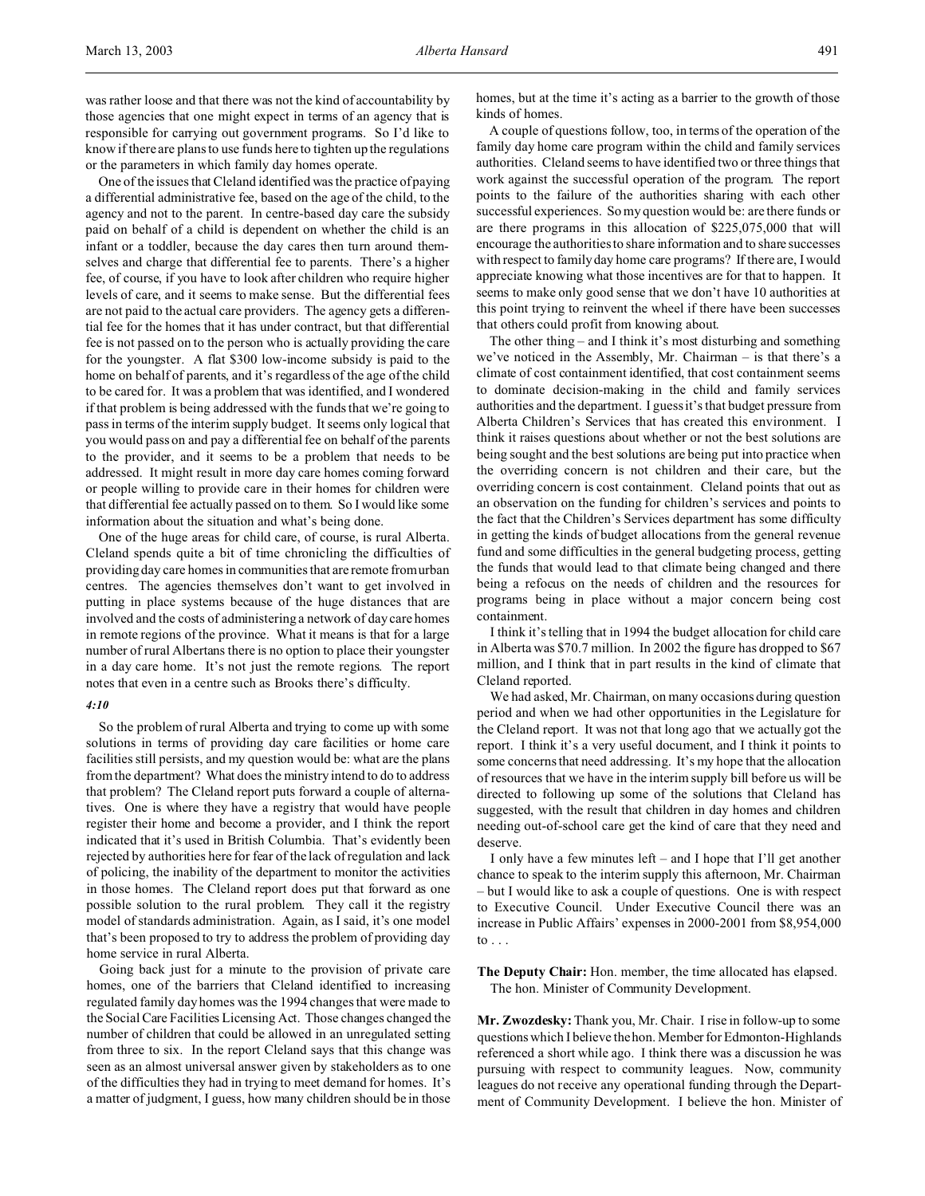One of the issues that Cleland identified was the practice of paying a differential administrative fee, based on the age of the child, to the agency and not to the parent. In centre-based day care the subsidy paid on behalf of a child is dependent on whether the child is an infant or a toddler, because the day cares then turn around themselves and charge that differential fee to parents. There's a higher fee, of course, if you have to look after children who require higher levels of care, and it seems to make sense. But the differential fees are not paid to the actual care providers. The agency gets a differential fee for the homes that it has under contract, but that differential fee is not passed on to the person who is actually providing the care for the youngster. A flat \$300 low-income subsidy is paid to the home on behalf of parents, and it's regardless of the age of the child to be cared for. It was a problem that was identified, and I wondered if that problem is being addressed with the funds that we're going to pass in terms of the interim supply budget. It seems only logical that you would pass on and pay a differential fee on behalf of the parents to the provider, and it seems to be a problem that needs to be addressed. It might result in more day care homes coming forward or people willing to provide care in their homes for children were that differential fee actually passed on to them. So I would like some information about the situation and what's being done.

One of the huge areas for child care, of course, is rural Alberta. Cleland spends quite a bit of time chronicling the difficulties of providing day care homes in communities that are remote from urban centres. The agencies themselves don't want to get involved in putting in place systems because of the huge distances that are involved and the costs of administering a network of day care homes in remote regions of the province. What it means is that for a large number of rural Albertans there is no option to place their youngster in a day care home. It's not just the remote regions. The report notes that even in a centre such as Brooks there's difficulty.

### *4:10*

So the problem of rural Alberta and trying to come up with some solutions in terms of providing day care facilities or home care facilities still persists, and my question would be: what are the plans from the department? What does the ministry intend to do to address that problem? The Cleland report puts forward a couple of alternatives. One is where they have a registry that would have people register their home and become a provider, and I think the report indicated that it's used in British Columbia. That's evidently been rejected by authorities here for fear of the lack of regulation and lack of policing, the inability of the department to monitor the activities in those homes. The Cleland report does put that forward as one possible solution to the rural problem. They call it the registry model of standards administration. Again, as I said, it's one model that's been proposed to try to address the problem of providing day home service in rural Alberta.

Going back just for a minute to the provision of private care homes, one of the barriers that Cleland identified to increasing regulated family day homes was the 1994 changes that were made to the Social Care Facilities Licensing Act. Those changes changed the number of children that could be allowed in an unregulated setting from three to six. In the report Cleland says that this change was seen as an almost universal answer given by stakeholders as to one of the difficulties they had in trying to meet demand for homes. It's a matter of judgment, I guess, how many children should be in those

homes, but at the time it's acting as a barrier to the growth of those kinds of homes.

A couple of questions follow, too, in terms of the operation of the family day home care program within the child and family services authorities. Cleland seems to have identified two or three things that work against the successful operation of the program. The report points to the failure of the authorities sharing with each other successful experiences. So my question would be: are there funds or are there programs in this allocation of \$225,075,000 that will encourage the authorities to share information and to share successes with respect to family day home care programs? If there are, I would appreciate knowing what those incentives are for that to happen. It seems to make only good sense that we don't have 10 authorities at this point trying to reinvent the wheel if there have been successes that others could profit from knowing about.

The other thing – and I think it's most disturbing and something we've noticed in the Assembly, Mr. Chairman – is that there's a climate of cost containment identified, that cost containment seems to dominate decision-making in the child and family services authorities and the department. I guess it's that budget pressure from Alberta Children's Services that has created this environment. I think it raises questions about whether or not the best solutions are being sought and the best solutions are being put into practice when the overriding concern is not children and their care, but the overriding concern is cost containment. Cleland points that out as an observation on the funding for children's services and points to the fact that the Children's Services department has some difficulty in getting the kinds of budget allocations from the general revenue fund and some difficulties in the general budgeting process, getting the funds that would lead to that climate being changed and there being a refocus on the needs of children and the resources for programs being in place without a major concern being cost containment.

I think it's telling that in 1994 the budget allocation for child care in Alberta was \$70.7 million. In 2002 the figure has dropped to \$67 million, and I think that in part results in the kind of climate that Cleland reported.

We had asked, Mr. Chairman, on many occasions during question period and when we had other opportunities in the Legislature for the Cleland report. It was not that long ago that we actually got the report. I think it's a very useful document, and I think it points to some concerns that need addressing. It's my hope that the allocation of resources that we have in the interim supply bill before us will be directed to following up some of the solutions that Cleland has suggested, with the result that children in day homes and children needing out-of-school care get the kind of care that they need and deserve.

I only have a few minutes left – and I hope that I'll get another chance to speak to the interim supply this afternoon, Mr. Chairman – but I would like to ask a couple of questions. One is with respect to Executive Council. Under Executive Council there was an increase in Public Affairs' expenses in 2000-2001 from \$8,954,000 to  $\ldots$ 

**The Deputy Chair:** Hon. member, the time allocated has elapsed. The hon. Minister of Community Development.

**Mr. Zwozdesky:** Thank you, Mr. Chair. I rise in follow-up to some questions which I believe the hon. Member for Edmonton-Highlands referenced a short while ago. I think there was a discussion he was pursuing with respect to community leagues. Now, community leagues do not receive any operational funding through the Department of Community Development. I believe the hon. Minister of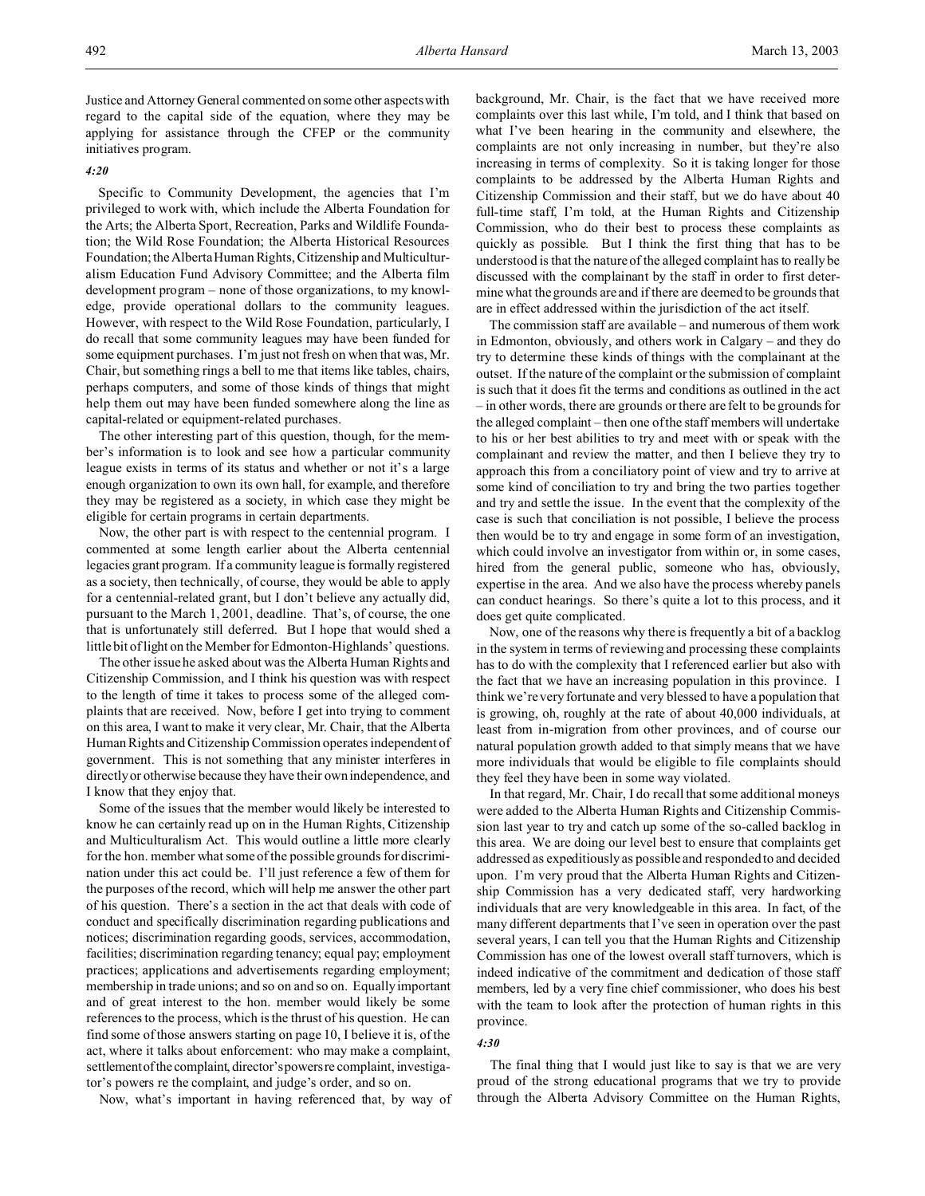Justice and Attorney General commented on some other aspects with regard to the capital side of the equation, where they may be applying for assistance through the CFEP or the community initiatives program.

# *4:20*

Specific to Community Development, the agencies that I'm privileged to work with, which include the Alberta Foundation for the Arts; the Alberta Sport, Recreation, Parks and Wildlife Foundation; the Wild Rose Foundation; the Alberta Historical Resources Foundation; the Alberta Human Rights, Citizenship and Multiculturalism Education Fund Advisory Committee; and the Alberta film development program – none of those organizations, to my knowledge, provide operational dollars to the community leagues. However, with respect to the Wild Rose Foundation, particularly, I do recall that some community leagues may have been funded for some equipment purchases. I'm just not fresh on when that was, Mr. Chair, but something rings a bell to me that items like tables, chairs, perhaps computers, and some of those kinds of things that might help them out may have been funded somewhere along the line as capital-related or equipment-related purchases.

The other interesting part of this question, though, for the member's information is to look and see how a particular community league exists in terms of its status and whether or not it's a large enough organization to own its own hall, for example, and therefore they may be registered as a society, in which case they might be eligible for certain programs in certain departments.

Now, the other part is with respect to the centennial program. I commented at some length earlier about the Alberta centennial legacies grant program. If a community league is formally registered as a society, then technically, of course, they would be able to apply for a centennial-related grant, but I don't believe any actually did, pursuant to the March 1, 2001, deadline. That's, of course, the one that is unfortunately still deferred. But I hope that would shed a little bit of light on the Member for Edmonton-Highlands' questions.

The other issue he asked about was the Alberta Human Rights and Citizenship Commission, and I think his question was with respect to the length of time it takes to process some of the alleged complaints that are received. Now, before I get into trying to comment on this area, I want to make it very clear, Mr. Chair, that the Alberta Human Rights and Citizenship Commission operates independent of government. This is not something that any minister interferes in directly or otherwise because they have their own independence, and I know that they enjoy that.

Some of the issues that the member would likely be interested to know he can certainly read up on in the Human Rights, Citizenship and Multiculturalism Act. This would outline a little more clearly for the hon. member what some of the possible grounds for discrimination under this act could be. I'll just reference a few of them for the purposes of the record, which will help me answer the other part of his question. There's a section in the act that deals with code of conduct and specifically discrimination regarding publications and notices; discrimination regarding goods, services, accommodation, facilities; discrimination regarding tenancy; equal pay; employment practices; applications and advertisements regarding employment; membership in trade unions; and so on and so on. Equally important and of great interest to the hon. member would likely be some references to the process, which is the thrust of his question. He can find some of those answers starting on page 10, I believe it is, of the act, where it talks about enforcement: who may make a complaint, settlement of the complaint, director's powers recomplaint, investigator's powers re the complaint, and judge's order, and so on.

Now, what's important in having referenced that, by way of

background, Mr. Chair, is the fact that we have received more complaints over this last while, I'm told, and I think that based on what I've been hearing in the community and elsewhere, the complaints are not only increasing in number, but they're also increasing in terms of complexity. So it is taking longer for those complaints to be addressed by the Alberta Human Rights and Citizenship Commission and their staff, but we do have about 40 full-time staff, I'm told, at the Human Rights and Citizenship Commission, who do their best to process these complaints as quickly as possible. But I think the first thing that has to be understood is that the nature of the alleged complaint has to really be discussed with the complainant by the staff in order to first determine what the grounds are and if there are deemed to be grounds that are in effect addressed within the jurisdiction of the act itself.

The commission staff are available – and numerous of them work in Edmonton, obviously, and others work in Calgary – and they do try to determine these kinds of things with the complainant at the outset. If the nature of the complaint or the submission of complaint is such that it does fit the terms and conditions as outlined in the act – in other words, there are grounds or there are felt to be grounds for the alleged complaint – then one of the staff members will undertake to his or her best abilities to try and meet with or speak with the complainant and review the matter, and then I believe they try to approach this from a conciliatory point of view and try to arrive at some kind of conciliation to try and bring the two parties together and try and settle the issue. In the event that the complexity of the case is such that conciliation is not possible, I believe the process then would be to try and engage in some form of an investigation, which could involve an investigator from within or, in some cases, hired from the general public, someone who has, obviously, expertise in the area. And we also have the process whereby panels can conduct hearings. So there's quite a lot to this process, and it does get quite complicated.

Now, one of the reasons why there is frequently a bit of a backlog in the system in terms of reviewing and processing these complaints has to do with the complexity that I referenced earlier but also with the fact that we have an increasing population in this province. I think we're very fortunate and very blessed to have a population that is growing, oh, roughly at the rate of about 40,000 individuals, at least from in-migration from other provinces, and of course our natural population growth added to that simply means that we have more individuals that would be eligible to file complaints should they feel they have been in some way violated.

In that regard, Mr. Chair, I do recall that some additional moneys were added to the Alberta Human Rights and Citizenship Commission last year to try and catch up some of the so-called backlog in this area. We are doing our level best to ensure that complaints get addressed as expeditiously as possible and responded to and decided upon. I'm very proud that the Alberta Human Rights and Citizenship Commission has a very dedicated staff, very hardworking individuals that are very knowledgeable in this area. In fact, of the many different departments that I've seen in operation over the past several years, I can tell you that the Human Rights and Citizenship Commission has one of the lowest overall staff turnovers, which is indeed indicative of the commitment and dedication of those staff members, led by a very fine chief commissioner, who does his best with the team to look after the protection of human rights in this province.

# *4:30*

The final thing that I would just like to say is that we are very proud of the strong educational programs that we try to provide through the Alberta Advisory Committee on the Human Rights,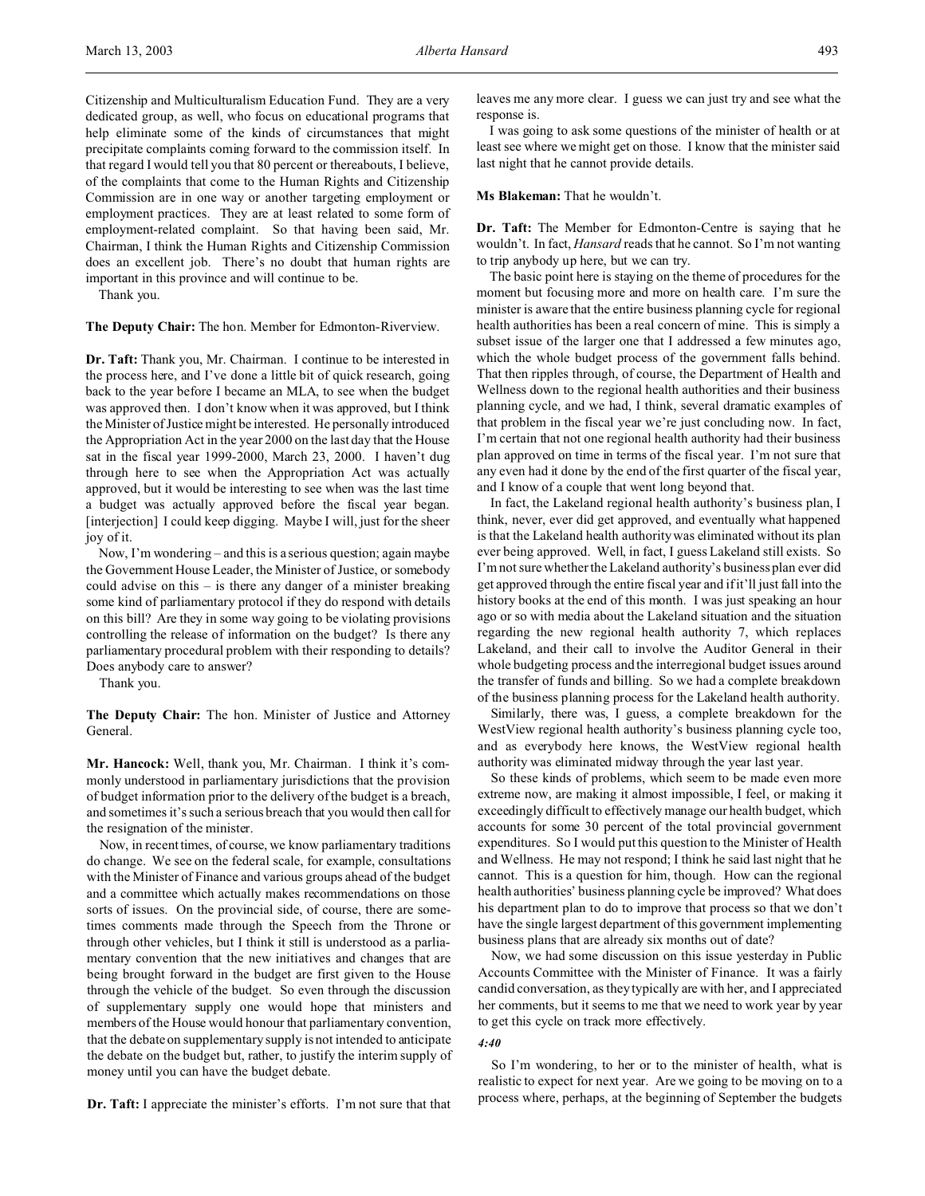Citizenship and Multiculturalism Education Fund. They are a very dedicated group, as well, who focus on educational programs that help eliminate some of the kinds of circumstances that might precipitate complaints coming forward to the commission itself. In that regard I would tell you that 80 percent or thereabouts, I believe, of the complaints that come to the Human Rights and Citizenship Commission are in one way or another targeting employment or employment practices. They are at least related to some form of employment-related complaint. So that having been said, Mr. Chairman, I think the Human Rights and Citizenship Commission does an excellent job. There's no doubt that human rights are important in this province and will continue to be.

Thank you.

**The Deputy Chair:** The hon. Member for Edmonton-Riverview.

**Dr. Taft:** Thank you, Mr. Chairman. I continue to be interested in the process here, and I've done a little bit of quick research, going back to the year before I became an MLA, to see when the budget was approved then. I don't know when it was approved, but I think the Minister of Justice might be interested. He personally introduced the Appropriation Act in the year 2000 on the last day that the House sat in the fiscal year 1999-2000, March 23, 2000. I haven't dug through here to see when the Appropriation Act was actually approved, but it would be interesting to see when was the last time a budget was actually approved before the fiscal year began. [interjection] I could keep digging. Maybe I will, just for the sheer joy of it.

Now, I'm wondering – and this is a serious question; again maybe the Government House Leader, the Minister of Justice, or somebody could advise on this – is there any danger of a minister breaking some kind of parliamentary protocol if they do respond with details on this bill? Are they in some way going to be violating provisions controlling the release of information on the budget? Is there any parliamentary procedural problem with their responding to details? Does anybody care to answer?

Thank you.

**The Deputy Chair:** The hon. Minister of Justice and Attorney General.

**Mr. Hancock:** Well, thank you, Mr. Chairman. I think it's commonly understood in parliamentary jurisdictions that the provision of budget information prior to the delivery of the budget is a breach, and sometimes it's such a serious breach that you would then call for the resignation of the minister.

Now, in recent times, of course, we know parliamentary traditions do change. We see on the federal scale, for example, consultations with the Minister of Finance and various groups ahead of the budget and a committee which actually makes recommendations on those sorts of issues. On the provincial side, of course, there are sometimes comments made through the Speech from the Throne or through other vehicles, but I think it still is understood as a parliamentary convention that the new initiatives and changes that are being brought forward in the budget are first given to the House through the vehicle of the budget. So even through the discussion of supplementary supply one would hope that ministers and members of the House would honour that parliamentary convention, that the debate on supplementary supply is not intended to anticipate the debate on the budget but, rather, to justify the interim supply of money until you can have the budget debate.

**Dr. Taft:** I appreciate the minister's efforts. I'm not sure that that

leaves me any more clear. I guess we can just try and see what the response is.

I was going to ask some questions of the minister of health or at least see where we might get on those. I know that the minister said last night that he cannot provide details.

## **Ms Blakeman:** That he wouldn't.

**Dr. Taft:** The Member for Edmonton-Centre is saying that he wouldn't. In fact, *Hansard* reads that he cannot. So I'm not wanting to trip anybody up here, but we can try.

The basic point here is staying on the theme of procedures for the moment but focusing more and more on health care. I'm sure the minister is aware that the entire business planning cycle for regional health authorities has been a real concern of mine. This is simply a subset issue of the larger one that I addressed a few minutes ago, which the whole budget process of the government falls behind. That then ripples through, of course, the Department of Health and Wellness down to the regional health authorities and their business planning cycle, and we had, I think, several dramatic examples of that problem in the fiscal year we're just concluding now. In fact, I'm certain that not one regional health authority had their business plan approved on time in terms of the fiscal year. I'm not sure that any even had it done by the end of the first quarter of the fiscal year, and I know of a couple that went long beyond that.

In fact, the Lakeland regional health authority's business plan, I think, never, ever did get approved, and eventually what happened is that the Lakeland health authority was eliminated without its plan ever being approved. Well, in fact, I guess Lakeland still exists. So I'm not sure whether the Lakeland authority's business plan ever did get approved through the entire fiscal year and if it'll just fall into the history books at the end of this month. I was just speaking an hour ago or so with media about the Lakeland situation and the situation regarding the new regional health authority 7, which replaces Lakeland, and their call to involve the Auditor General in their whole budgeting process and the interregional budget issues around the transfer of funds and billing. So we had a complete breakdown of the business planning process for the Lakeland health authority.

Similarly, there was, I guess, a complete breakdown for the WestView regional health authority's business planning cycle too, and as everybody here knows, the WestView regional health authority was eliminated midway through the year last year.

So these kinds of problems, which seem to be made even more extreme now, are making it almost impossible, I feel, or making it exceedingly difficult to effectively manage our health budget, which accounts for some 30 percent of the total provincial government expenditures. So I would put this question to the Minister of Health and Wellness. He may not respond; I think he said last night that he cannot. This is a question for him, though. How can the regional health authorities' business planning cycle be improved? What does his department plan to do to improve that process so that we don't have the single largest department of this government implementing business plans that are already six months out of date?

Now, we had some discussion on this issue yesterday in Public Accounts Committee with the Minister of Finance. It was a fairly candid conversation, as they typically are with her, and I appreciated her comments, but it seems to me that we need to work year by year to get this cycle on track more effectively.

# *4:40*

So I'm wondering, to her or to the minister of health, what is realistic to expect for next year. Are we going to be moving on to a process where, perhaps, at the beginning of September the budgets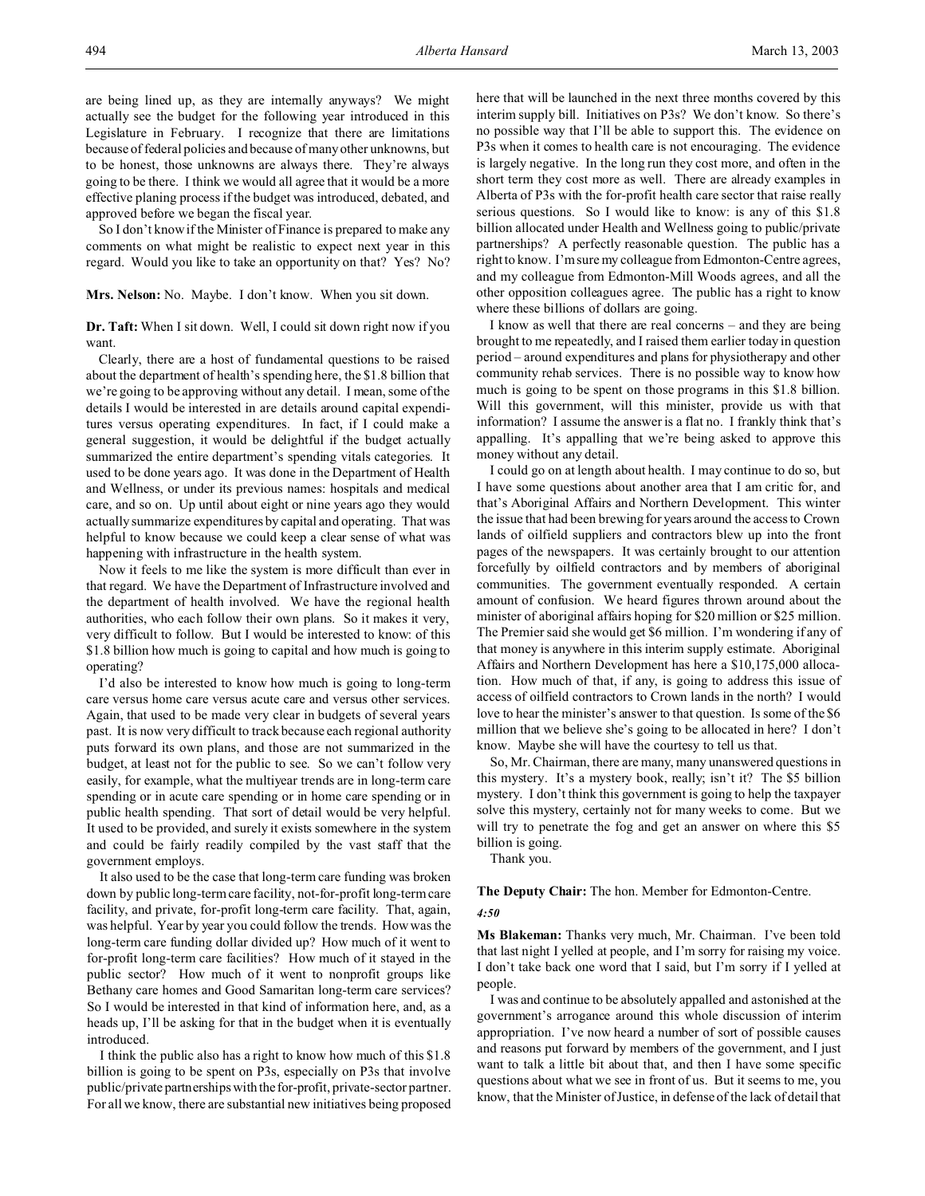So I don't know if the Minister of Finance is prepared to make any comments on what might be realistic to expect next year in this regard. Would you like to take an opportunity on that? Yes? No?

**Mrs. Nelson:** No. Maybe. I don't know. When you sit down.

**Dr. Taft:** When I sit down. Well, I could sit down right now if you want.

Clearly, there are a host of fundamental questions to be raised about the department of health's spending here, the \$1.8 billion that we're going to be approving without any detail. I mean, some of the details I would be interested in are details around capital expenditures versus operating expenditures. In fact, if I could make a general suggestion, it would be delightful if the budget actually summarized the entire department's spending vitals categories. It used to be done years ago. It was done in the Department of Health and Wellness, or under its previous names: hospitals and medical care, and so on. Up until about eight or nine years ago they would actually summarize expenditures by capital and operating. That was helpful to know because we could keep a clear sense of what was happening with infrastructure in the health system.

Now it feels to me like the system is more difficult than ever in that regard. We have the Department of Infrastructure involved and the department of health involved. We have the regional health authorities, who each follow their own plans. So it makes it very, very difficult to follow. But I would be interested to know: of this \$1.8 billion how much is going to capital and how much is going to operating?

I'd also be interested to know how much is going to long-term care versus home care versus acute care and versus other services. Again, that used to be made very clear in budgets of several years past. It is now very difficult to track because each regional authority puts forward its own plans, and those are not summarized in the budget, at least not for the public to see. So we can't follow very easily, for example, what the multiyear trends are in long-term care spending or in acute care spending or in home care spending or in public health spending. That sort of detail would be very helpful. It used to be provided, and surely it exists somewhere in the system and could be fairly readily compiled by the vast staff that the government employs.

It also used to be the case that long-term care funding was broken down by public long-term care facility, not-for-profit long-term care facility, and private, for-profit long-term care facility. That, again, was helpful. Year by year you could follow the trends. How was the long-term care funding dollar divided up? How much of it went to for-profit long-term care facilities? How much of it stayed in the public sector? How much of it went to nonprofit groups like Bethany care homes and Good Samaritan long-term care services? So I would be interested in that kind of information here, and, as a heads up, I'll be asking for that in the budget when it is eventually introduced.

I think the public also has a right to know how much of this \$1.8 billion is going to be spent on P3s, especially on P3s that involve public/private partnerships with the for-profit, private-sector partner. For all we know, there are substantial new initiatives being proposed here that will be launched in the next three months covered by this interim supply bill. Initiatives on P3s? We don't know. So there's no possible way that I'll be able to support this. The evidence on P3s when it comes to health care is not encouraging. The evidence is largely negative. In the long run they cost more, and often in the short term they cost more as well. There are already examples in Alberta of P3s with the for-profit health care sector that raise really serious questions. So I would like to know: is any of this \$1.8 billion allocated under Health and Wellness going to public/private partnerships? A perfectly reasonable question. The public has a right to know. I'm sure my colleague from Edmonton-Centre agrees, and my colleague from Edmonton-Mill Woods agrees, and all the other opposition colleagues agree. The public has a right to know where these billions of dollars are going.

I know as well that there are real concerns – and they are being brought to me repeatedly, and I raised them earlier today in question period – around expenditures and plans for physiotherapy and other community rehab services. There is no possible way to know how much is going to be spent on those programs in this \$1.8 billion. Will this government, will this minister, provide us with that information? I assume the answer is a flat no. I frankly think that's appalling. It's appalling that we're being asked to approve this money without any detail.

I could go on at length about health. I may continue to do so, but I have some questions about another area that I am critic for, and that's Aboriginal Affairs and Northern Development. This winter the issue that had been brewing for years around the access to Crown lands of oilfield suppliers and contractors blew up into the front pages of the newspapers. It was certainly brought to our attention forcefully by oilfield contractors and by members of aboriginal communities. The government eventually responded. A certain amount of confusion. We heard figures thrown around about the minister of aboriginal affairs hoping for \$20 million or \$25 million. The Premier said she would get \$6 million. I'm wondering if any of that money is anywhere in this interim supply estimate. Aboriginal Affairs and Northern Development has here a \$10,175,000 allocation. How much of that, if any, is going to address this issue of access of oilfield contractors to Crown lands in the north? I would love to hear the minister's answer to that question. Is some of the \$6 million that we believe she's going to be allocated in here? I don't know. Maybe she will have the courtesy to tell us that.

So, Mr. Chairman, there are many, many unanswered questions in this mystery. It's a mystery book, really; isn't it? The \$5 billion mystery. I don't think this government is going to help the taxpayer solve this mystery, certainly not for many weeks to come. But we will try to penetrate the fog and get an answer on where this \$5 billion is going.

Thank you.

### **The Deputy Chair:** The hon. Member for Edmonton-Centre.

### *4:50*

**Ms Blakeman:** Thanks very much, Mr. Chairman. I've been told that last night I yelled at people, and I'm sorry for raising my voice. I don't take back one word that I said, but I'm sorry if I yelled at people.

I was and continue to be absolutely appalled and astonished at the government's arrogance around this whole discussion of interim appropriation. I've now heard a number of sort of possible causes and reasons put forward by members of the government, and I just want to talk a little bit about that, and then I have some specific questions about what we see in front of us. But it seems to me, you know, that the Minister of Justice, in defense of the lack of detail that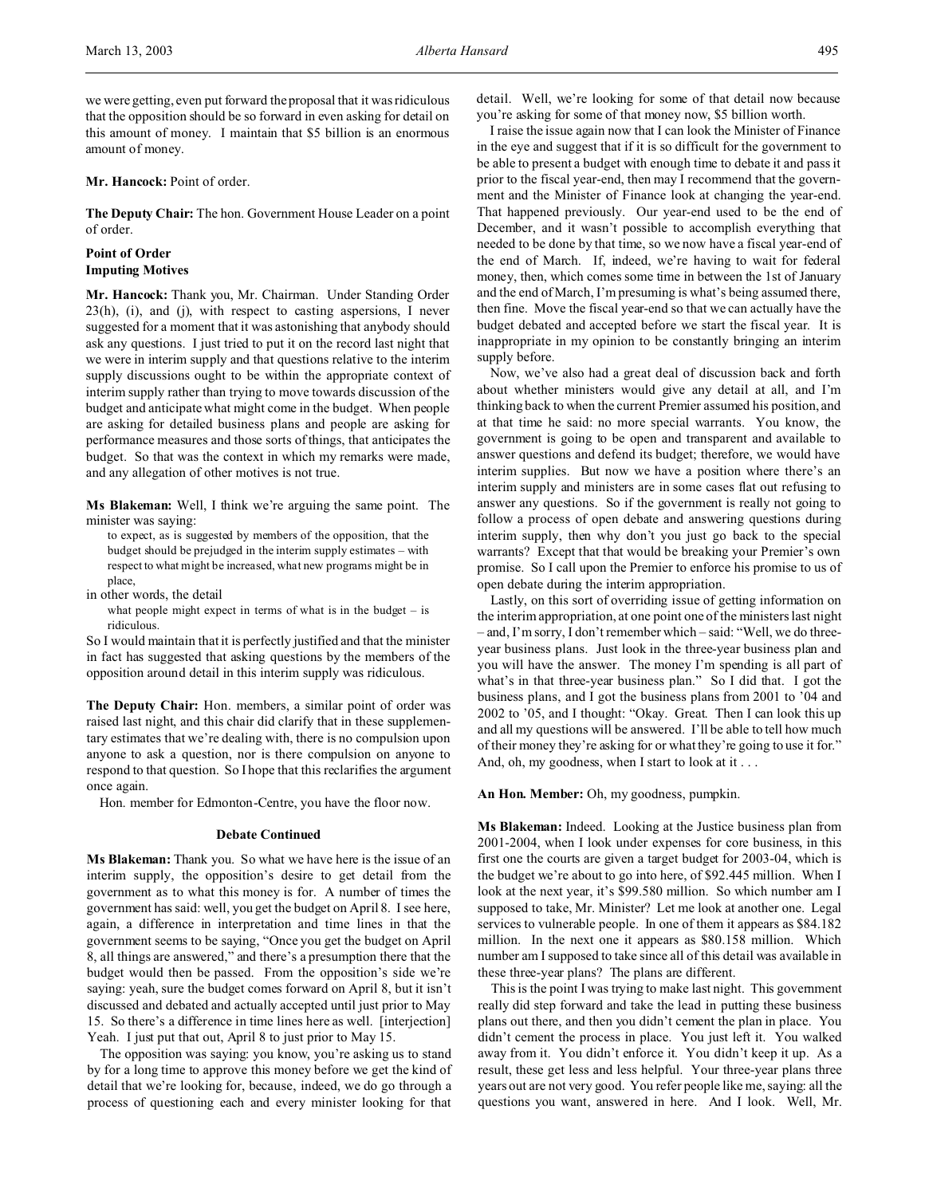we were getting, even put forward the proposal that it was ridiculous that the opposition should be so forward in even asking for detail on this amount of money. I maintain that \$5 billion is an enormous amount of money.

### **Mr. Hancock:** Point of order.

**The Deputy Chair:** The hon. Government House Leader on a point of order.

## **Point of Order Imputing Motives**

**Mr. Hancock:** Thank you, Mr. Chairman. Under Standing Order 23(h), (i), and (j), with respect to casting aspersions, I never suggested for a moment that it was astonishing that anybody should ask any questions. I just tried to put it on the record last night that we were in interim supply and that questions relative to the interim supply discussions ought to be within the appropriate context of interim supply rather than trying to move towards discussion of the budget and anticipate what might come in the budget. When people are asking for detailed business plans and people are asking for performance measures and those sorts of things, that anticipates the budget. So that was the context in which my remarks were made, and any allegation of other motives is not true.

**Ms Blakeman:** Well, I think we're arguing the same point. The minister was saying:

to expect, as is suggested by members of the opposition, that the budget should be prejudged in the interim supply estimates – with respect to what might be increased, what new programs might be in place,

in other words, the detail

what people might expect in terms of what is in the budget  $-$  is ridiculous.

So I would maintain that it is perfectly justified and that the minister in fact has suggested that asking questions by the members of the opposition around detail in this interim supply was ridiculous.

**The Deputy Chair:** Hon. members, a similar point of order was raised last night, and this chair did clarify that in these supplementary estimates that we're dealing with, there is no compulsion upon anyone to ask a question, nor is there compulsion on anyone to respond to that question. So I hope that this reclarifies the argument once again.

Hon. member for Edmonton-Centre, you have the floor now.

### **Debate Continued**

**Ms Blakeman:** Thank you. So what we have here is the issue of an interim supply, the opposition's desire to get detail from the government as to what this money is for. A number of times the government has said: well, you get the budget on April 8. I see here, again, a difference in interpretation and time lines in that the government seems to be saying, "Once you get the budget on April 8, all things are answered," and there's a presumption there that the budget would then be passed. From the opposition's side we're saying: yeah, sure the budget comes forward on April 8, but it isn't discussed and debated and actually accepted until just prior to May 15. So there's a difference in time lines here as well. [interjection] Yeah. I just put that out, April 8 to just prior to May 15.

The opposition was saying: you know, you're asking us to stand by for a long time to approve this money before we get the kind of detail that we're looking for, because, indeed, we do go through a process of questioning each and every minister looking for that

detail. Well, we're looking for some of that detail now because you're asking for some of that money now, \$5 billion worth.

I raise the issue again now that I can look the Minister of Finance in the eye and suggest that if it is so difficult for the government to be able to present a budget with enough time to debate it and pass it prior to the fiscal year-end, then may I recommend that the government and the Minister of Finance look at changing the year-end. That happened previously. Our year-end used to be the end of December, and it wasn't possible to accomplish everything that needed to be done by that time, so we now have a fiscal year-end of the end of March. If, indeed, we're having to wait for federal money, then, which comes some time in between the 1st of January and the end of March, I'm presuming is what's being assumed there, then fine. Move the fiscal year-end so that we can actually have the budget debated and accepted before we start the fiscal year. It is inappropriate in my opinion to be constantly bringing an interim supply before.

Now, we've also had a great deal of discussion back and forth about whether ministers would give any detail at all, and I'm thinking back to when the current Premier assumed his position, and at that time he said: no more special warrants. You know, the government is going to be open and transparent and available to answer questions and defend its budget; therefore, we would have interim supplies. But now we have a position where there's an interim supply and ministers are in some cases flat out refusing to answer any questions. So if the government is really not going to follow a process of open debate and answering questions during interim supply, then why don't you just go back to the special warrants? Except that that would be breaking your Premier's own promise. So I call upon the Premier to enforce his promise to us of open debate during the interim appropriation.

Lastly, on this sort of overriding issue of getting information on the interim appropriation, at one point one of the ministers last night – and, I'm sorry, I don't remember which – said: "Well, we do threeyear business plans. Just look in the three-year business plan and you will have the answer. The money I'm spending is all part of what's in that three-year business plan." So I did that. I got the business plans, and I got the business plans from 2001 to '04 and 2002 to '05, and I thought: "Okay. Great. Then I can look this up and all my questions will be answered. I'll be able to tell how much of their money they're asking for or what they're going to use it for." And, oh, my goodness, when I start to look at it . . .

## **An Hon. Member:** Oh, my goodness, pumpkin.

**Ms Blakeman:** Indeed. Looking at the Justice business plan from 2001-2004, when I look under expenses for core business, in this first one the courts are given a target budget for 2003-04, which is the budget we're about to go into here, of \$92.445 million. When I look at the next year, it's \$99.580 million. So which number am I supposed to take, Mr. Minister? Let me look at another one. Legal services to vulnerable people. In one of them it appears as \$84.182 million. In the next one it appears as \$80.158 million. Which number am I supposed to take since all of this detail was available in these three-year plans? The plans are different.

This is the point I was trying to make last night. This government really did step forward and take the lead in putting these business plans out there, and then you didn't cement the plan in place. You didn't cement the process in place. You just left it. You walked away from it. You didn't enforce it. You didn't keep it up. As a result, these get less and less helpful. Your three-year plans three years out are not very good. You refer people like me, saying: all the questions you want, answered in here. And I look. Well, Mr.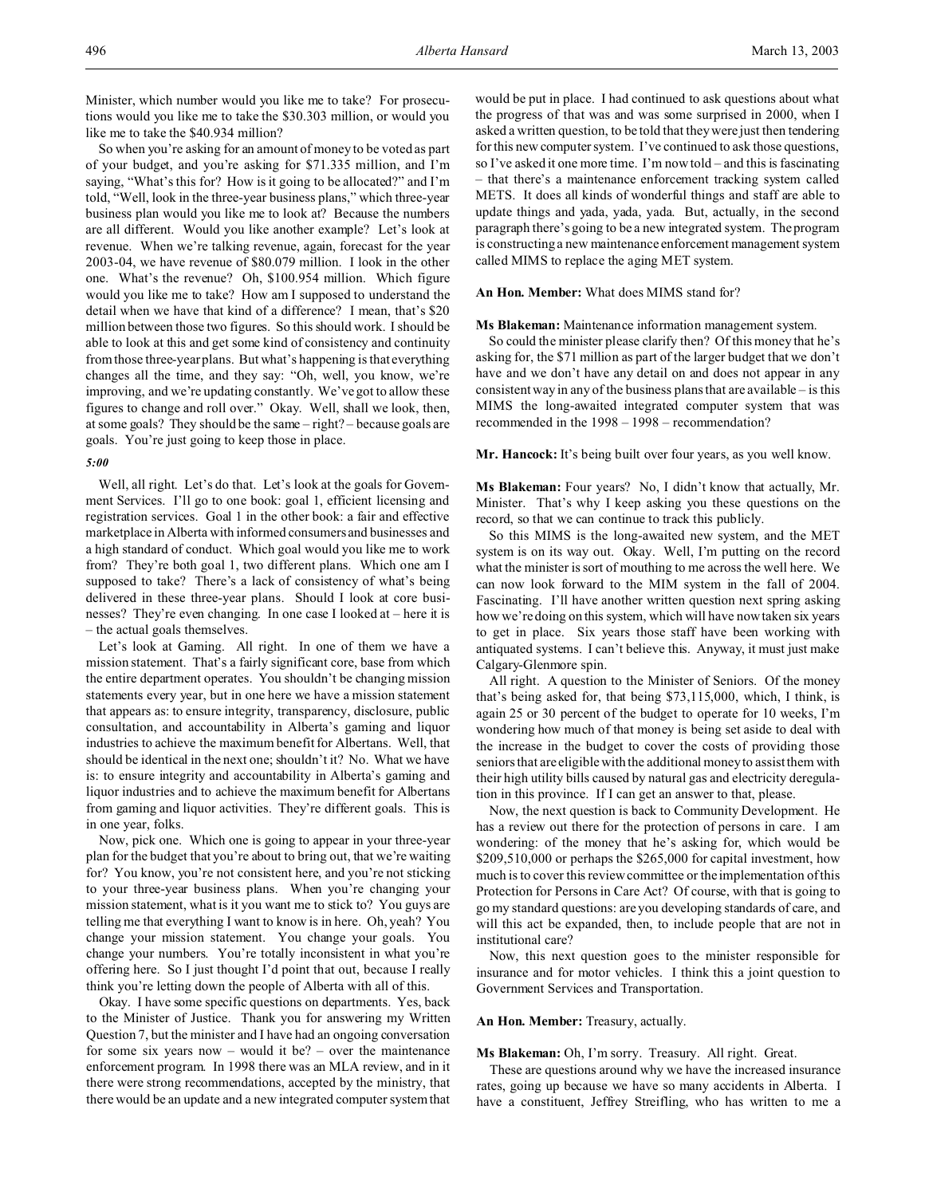Minister, which number would you like me to take? For prosecutions would you like me to take the \$30.303 million, or would you like me to take the \$40.934 million?

So when you're asking for an amount of money to be voted as part of your budget, and you're asking for \$71.335 million, and I'm saying, "What's this for? How is it going to be allocated?" and I'm told, "Well, look in the three-year business plans," which three-year business plan would you like me to look at? Because the numbers are all different. Would you like another example? Let's look at revenue. When we're talking revenue, again, forecast for the year 2003-04, we have revenue of \$80.079 million. I look in the other one. What's the revenue? Oh, \$100.954 million. Which figure would you like me to take? How am I supposed to understand the detail when we have that kind of a difference? I mean, that's \$20 million between those two figures. So this should work. I should be able to look at this and get some kind of consistency and continuity from those three-year plans. But what's happening is that everything changes all the time, and they say: "Oh, well, you know, we're improving, and we're updating constantly. We've got to allow these figures to change and roll over." Okay. Well, shall we look, then, at some goals? They should be the same – right? – because goals are goals. You're just going to keep those in place.

## *5:00*

Well, all right. Let's do that. Let's look at the goals for Government Services. I'll go to one book: goal 1, efficient licensing and registration services. Goal 1 in the other book: a fair and effective marketplace in Alberta with informed consumers and businesses and a high standard of conduct. Which goal would you like me to work from? They're both goal 1, two different plans. Which one am I supposed to take? There's a lack of consistency of what's being delivered in these three-year plans. Should I look at core businesses? They're even changing. In one case I looked at – here it is – the actual goals themselves.

Let's look at Gaming. All right. In one of them we have a mission statement. That's a fairly significant core, base from which the entire department operates. You shouldn't be changing mission statements every year, but in one here we have a mission statement that appears as: to ensure integrity, transparency, disclosure, public consultation, and accountability in Alberta's gaming and liquor industries to achieve the maximum benefit for Albertans. Well, that should be identical in the next one; shouldn't it? No. What we have is: to ensure integrity and accountability in Alberta's gaming and liquor industries and to achieve the maximum benefit for Albertans from gaming and liquor activities. They're different goals. This is in one year, folks.

Now, pick one. Which one is going to appear in your three-year plan for the budget that you're about to bring out, that we're waiting for? You know, you're not consistent here, and you're not sticking to your three-year business plans. When you're changing your mission statement, what is it you want me to stick to? You guys are telling me that everything I want to know is in here. Oh, yeah? You change your mission statement. You change your goals. You change your numbers. You're totally inconsistent in what you're offering here. So I just thought I'd point that out, because I really think you're letting down the people of Alberta with all of this.

Okay. I have some specific questions on departments. Yes, back to the Minister of Justice. Thank you for answering my Written Question 7, but the minister and I have had an ongoing conversation for some six years now – would it be? – over the maintenance enforcement program. In 1998 there was an MLA review, and in it there were strong recommendations, accepted by the ministry, that there would be an update and a new integrated computer system that would be put in place. I had continued to ask questions about what the progress of that was and was some surprised in 2000, when I asked a written question, to be told that they were just then tendering for this new computer system. I've continued to ask those questions, so I've asked it one more time. I'm now told – and this is fascinating – that there's a maintenance enforcement tracking system called METS. It does all kinds of wonderful things and staff are able to update things and yada, yada, yada. But, actually, in the second paragraph there's going to be a new integrated system. The program is constructing a new maintenance enforcement management system called MIMS to replace the aging MET system.

**An Hon. Member:** What does MIMS stand for?

### **Ms Blakeman:** Maintenance information management system.

So could the minister please clarify then? Of this money that he's asking for, the \$71 million as part of the larger budget that we don't have and we don't have any detail on and does not appear in any consistent way in any of the business plans that are available – is this MIMS the long-awaited integrated computer system that was recommended in the 1998 – 1998 – recommendation?

**Mr. Hancock:** It's being built over four years, as you well know.

**Ms Blakeman:** Four years? No, I didn't know that actually, Mr. Minister. That's why I keep asking you these questions on the record, so that we can continue to track this publicly.

So this MIMS is the long-awaited new system, and the MET system is on its way out. Okay. Well, I'm putting on the record what the minister is sort of mouthing to me across the well here. We can now look forward to the MIM system in the fall of 2004. Fascinating. I'll have another written question next spring asking how we're doing on this system, which will have now taken six years to get in place. Six years those staff have been working with antiquated systems. I can't believe this. Anyway, it must just make Calgary-Glenmore spin.

All right. A question to the Minister of Seniors. Of the money that's being asked for, that being \$73,115,000, which, I think, is again 25 or 30 percent of the budget to operate for 10 weeks, I'm wondering how much of that money is being set aside to deal with the increase in the budget to cover the costs of providing those seniors that are eligible with the additional money to assist them with their high utility bills caused by natural gas and electricity deregulation in this province. If I can get an answer to that, please.

Now, the next question is back to Community Development. He has a review out there for the protection of persons in care. I am wondering: of the money that he's asking for, which would be \$209,510,000 or perhaps the \$265,000 for capital investment, how much is to cover this review committee or the implementation of this Protection for Persons in Care Act? Of course, with that is going to go my standard questions: are you developing standards of care, and will this act be expanded, then, to include people that are not in institutional care?

Now, this next question goes to the minister responsible for insurance and for motor vehicles. I think this a joint question to Government Services and Transportation.

### **An Hon. Member:** Treasury, actually.

**Ms Blakeman:** Oh, I'm sorry. Treasury. All right. Great.

These are questions around why we have the increased insurance rates, going up because we have so many accidents in Alberta. I have a constituent, Jeffrey Streifling, who has written to me a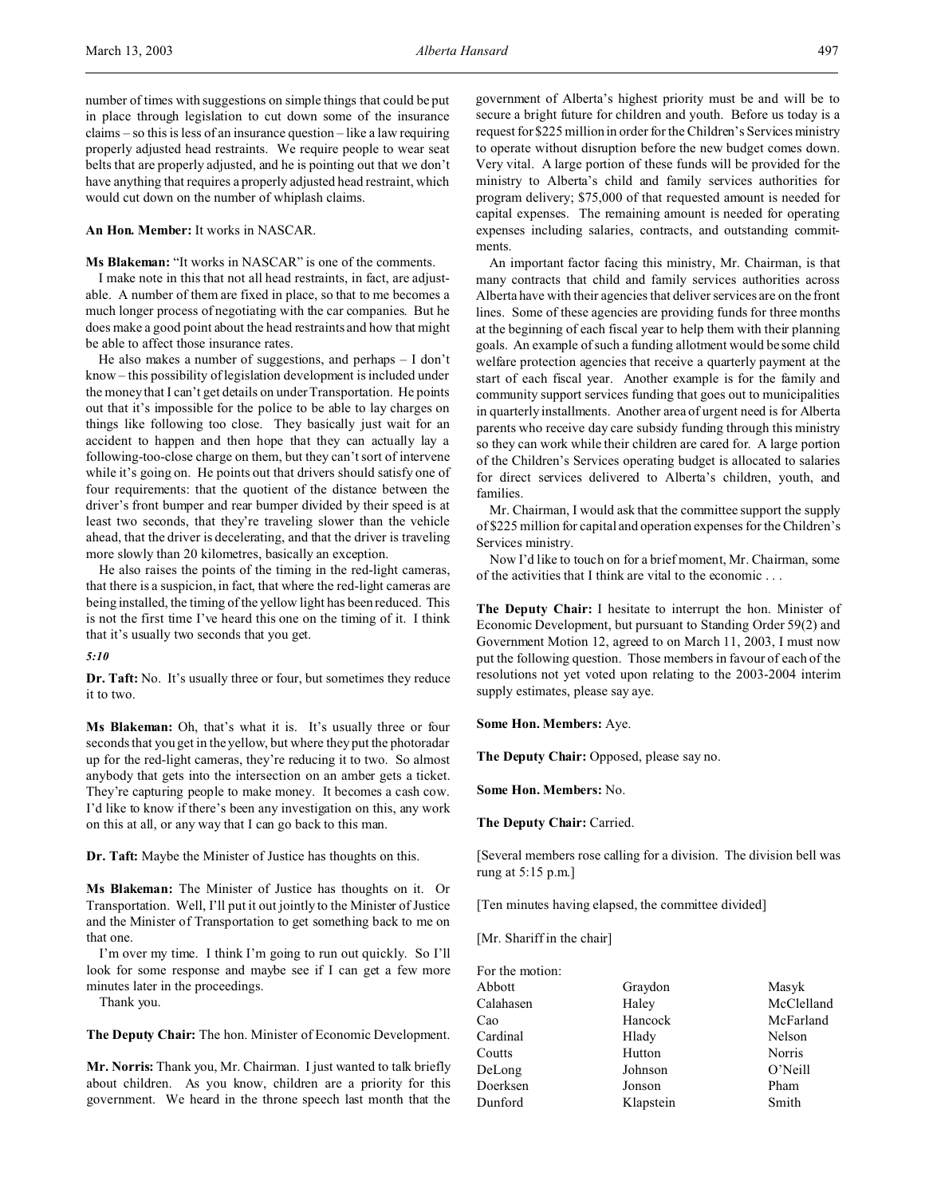number of times with suggestions on simple things that could be put in place through legislation to cut down some of the insurance claims – so this is less of an insurance question – like a law requiring properly adjusted head restraints. We require people to wear seat belts that are properly adjusted, and he is pointing out that we don't have anything that requires a properly adjusted head restraint, which would cut down on the number of whiplash claims.

## **An Hon. Member:** It works in NASCAR.

**Ms Blakeman:** "It works in NASCAR" is one of the comments.

I make note in this that not all head restraints, in fact, are adjustable. A number of them are fixed in place, so that to me becomes a much longer process of negotiating with the car companies. But he does make a good point about the head restraints and how that might be able to affect those insurance rates.

He also makes a number of suggestions, and perhaps – I don't know – this possibility of legislation development is included under the money that I can't get details on under Transportation. He points out that it's impossible for the police to be able to lay charges on things like following too close. They basically just wait for an accident to happen and then hope that they can actually lay a following-too-close charge on them, but they can't sort of intervene while it's going on. He points out that drivers should satisfy one of four requirements: that the quotient of the distance between the driver's front bumper and rear bumper divided by their speed is at least two seconds, that they're traveling slower than the vehicle ahead, that the driver is decelerating, and that the driver is traveling more slowly than 20 kilometres, basically an exception.

He also raises the points of the timing in the red-light cameras, that there is a suspicion, in fact, that where the red-light cameras are being installed, the timing of the yellow light has been reduced. This is not the first time I've heard this one on the timing of it. I think that it's usually two seconds that you get.

*5:10*

**Dr. Taft:** No. It's usually three or four, but sometimes they reduce it to two.

**Ms Blakeman:** Oh, that's what it is. It's usually three or four seconds that you get in the yellow, but where they put the photoradar up for the red-light cameras, they're reducing it to two. So almost anybody that gets into the intersection on an amber gets a ticket. They're capturing people to make money. It becomes a cash cow. I'd like to know if there's been any investigation on this, any work on this at all, or any way that I can go back to this man.

**Dr. Taft:** Maybe the Minister of Justice has thoughts on this.

**Ms Blakeman:** The Minister of Justice has thoughts on it. Or Transportation. Well, I'll put it out jointly to the Minister of Justice and the Minister of Transportation to get something back to me on that one.

I'm over my time. I think I'm going to run out quickly. So I'll look for some response and maybe see if I can get a few more minutes later in the proceedings.

Thank you.

**The Deputy Chair:** The hon. Minister of Economic Development.

**Mr. Norris:** Thank you, Mr. Chairman. I just wanted to talk briefly about children. As you know, children are a priority for this government. We heard in the throne speech last month that the government of Alberta's highest priority must be and will be to secure a bright future for children and youth. Before us today is a request for \$225 million in order for the Children's Services ministry to operate without disruption before the new budget comes down. Very vital. A large portion of these funds will be provided for the ministry to Alberta's child and family services authorities for program delivery; \$75,000 of that requested amount is needed for capital expenses. The remaining amount is needed for operating expenses including salaries, contracts, and outstanding commitments.

An important factor facing this ministry, Mr. Chairman, is that many contracts that child and family services authorities across Alberta have with their agencies that deliver services are on the front lines. Some of these agencies are providing funds for three months at the beginning of each fiscal year to help them with their planning goals. An example of such a funding allotment would be some child welfare protection agencies that receive a quarterly payment at the start of each fiscal year. Another example is for the family and community support services funding that goes out to municipalities in quarterly installments. Another area of urgent need is for Alberta parents who receive day care subsidy funding through this ministry so they can work while their children are cared for. A large portion of the Children's Services operating budget is allocated to salaries for direct services delivered to Alberta's children, youth, and families.

Mr. Chairman, I would ask that the committee support the supply of \$225 million for capital and operation expenses for the Children's Services ministry.

Now I'd like to touch on for a brief moment, Mr. Chairman, some of the activities that I think are vital to the economic . . .

**The Deputy Chair:** I hesitate to interrupt the hon. Minister of Economic Development, but pursuant to Standing Order 59(2) and Government Motion 12, agreed to on March 11, 2003, I must now put the following question. Those members in favour of each of the resolutions not yet voted upon relating to the 2003-2004 interim supply estimates, please say aye.

**Some Hon. Members:** Aye.

**The Deputy Chair:** Opposed, please say no.

**Some Hon. Members:** No.

**The Deputy Chair:** Carried.

[Several members rose calling for a division. The division bell was rung at 5:15 p.m.]

[Ten minutes having elapsed, the committee divided]

[Mr. Shariff in the chair]

| For the motion: |           |            |
|-----------------|-----------|------------|
| Abbott          | Graydon   | Masyk      |
| Calahasen       | Haley     | McClelland |
| Cao             | Hancock   | McFarland  |
| Cardinal        | Hlady     | Nelson     |
| Coutts          | Hutton    | Norris     |
| DeLong          | Johnson   | O'Neill    |
| Doerksen        | Jonson    | Pham       |
| Dunford         | Klapstein | Smith      |
|                 |           |            |